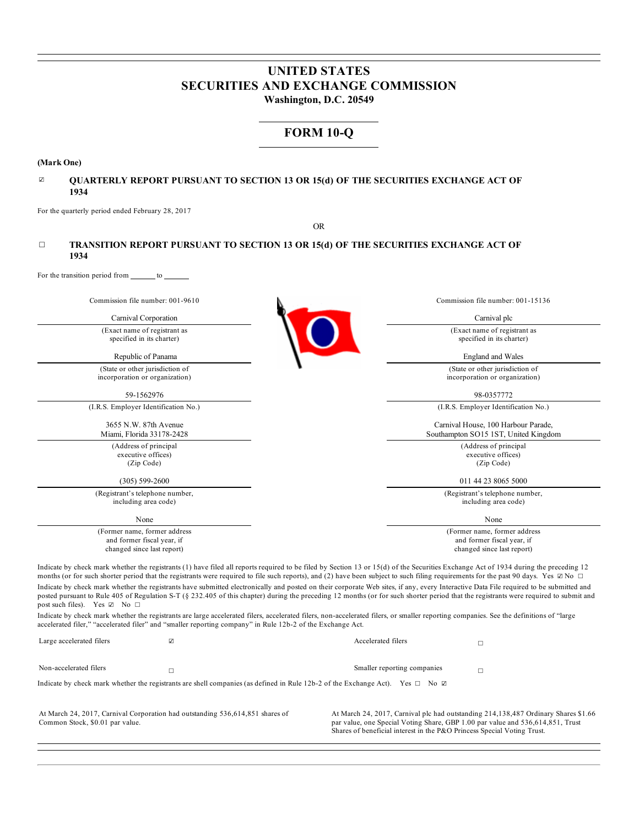# **UNITED STATES SECURITIES AND EXCHANGE COMMISSION Washington, D.C. 20549**

# **FORM 10-Q**

**(Mark One)**

# ☑ **QUARTERLY REPORT PURSUANT TO SECTION 13 OR 15(d) OF THE SECURITIES EXCHANGE ACT OF 1934**

For the quarterly period ended February 28, 2017

OR

# ☐ **TRANSITION REPORT PURSUANT TO SECTION 13 OR 15(d) OF THE SECURITIES EXCHANGE ACT OF 1934**

For the transition period from \_\_\_\_\_\_\_ to \_\_\_\_\_\_

| Commission file number: 001-9610                                                                           | Commission file number: 001-15136                                                                                                                                                                                                                                                                                                                                                          |
|------------------------------------------------------------------------------------------------------------|--------------------------------------------------------------------------------------------------------------------------------------------------------------------------------------------------------------------------------------------------------------------------------------------------------------------------------------------------------------------------------------------|
| Carnival Corporation                                                                                       | Carnival plc                                                                                                                                                                                                                                                                                                                                                                               |
| (Exact name of registrant as<br>specified in its charter)                                                  | (Exact name of registrant as<br>specified in its charter)                                                                                                                                                                                                                                                                                                                                  |
| Republic of Panama                                                                                         | England and Wales                                                                                                                                                                                                                                                                                                                                                                          |
| (State or other jurisdiction of<br>incorporation or organization)                                          | (State or other jurisdiction of<br>incorporation or organization)                                                                                                                                                                                                                                                                                                                          |
| 59-1562976                                                                                                 | 98-0357772                                                                                                                                                                                                                                                                                                                                                                                 |
| (I.R.S. Employer Identification No.)                                                                       | (I.R.S. Employer Identification No.)                                                                                                                                                                                                                                                                                                                                                       |
| 3655 N.W. 87th Avenue<br>Miami, Florida 33178-2428                                                         | Carnival House, 100 Harbour Parade,<br>Southampton SO15 1ST, United Kingdom                                                                                                                                                                                                                                                                                                                |
| (Address of principal<br>executive offices)<br>(Zip Code)                                                  | (Address of principal<br>executive offices)<br>(Zip Code)                                                                                                                                                                                                                                                                                                                                  |
| $(305) 599 - 2600$                                                                                         | 011 44 23 8065 5000                                                                                                                                                                                                                                                                                                                                                                        |
| (Registrant's telephone number,<br>including area code)                                                    | (Registrant's telephone number,<br>including area code)                                                                                                                                                                                                                                                                                                                                    |
| None                                                                                                       | None                                                                                                                                                                                                                                                                                                                                                                                       |
| (Former name, former address<br>and former fiscal year, if<br>changed since last report)                   | (Former name, former address<br>and former fiscal year, if<br>changed since last report)                                                                                                                                                                                                                                                                                                   |
|                                                                                                            | Indicate by check mark whether the registrants (1) have filed all reports required to be filed by Section 13 or 15(d) of the Securities Exchange Act of 1934 during the preceding 12<br>months (or for such shorter period that the registrants were required to file such reports), and (2) have been subject to such filing requirements for the past 90 days. Yes $\boxtimes$ No $\Box$ |
| post such files). Yes $\boxtimes$ No $\Box$                                                                | Indicate by check mark whether the registrants have submitted electronically and posted on their corporate Web sites, if any, every Interactive Data File required to be submitted and<br>posted pursuant to Rule 405 of Regulation S-T (§ 232.405 of this chapter) during the preceding 12 months (or for such shorter period that the registrants were required to submit and            |
| accelerated filer," "accelerated filer" and "smaller reporting company" in Rule 12b-2 of the Exchange Act. | Indicate by check mark whether the registrants are large accelerated filers, accelerated filers, non-accelerated filers, or smaller reporting companies. See the definitions of "large                                                                                                                                                                                                     |
| Large accelerated filers<br>$\triangledown$                                                                | Accelerated filers<br>$\Box$                                                                                                                                                                                                                                                                                                                                                               |

| Non-accelerated filers | Smaller reporting companies                                                                                                             |  |
|------------------------|-----------------------------------------------------------------------------------------------------------------------------------------|--|
|                        | Indicate by check mark whether the registrants are shell companies (as defined in Rule 12b-2 of the Exchange Act). Yes $\Box$ No $\Box$ |  |

At March 24, 2017, Carnival Corporation had outstanding 536,614,851 shares of Common Stock, \$0.01 par value.

At March 24, 2017, Carnival plc had outstanding 214,138,487 Ordinary Shares \$1.66 par value, one Special Voting Share, GBP 1.00 par value and 536,614,851, Trust Shares of beneficial interest in the P&O Princess Special Voting Trust.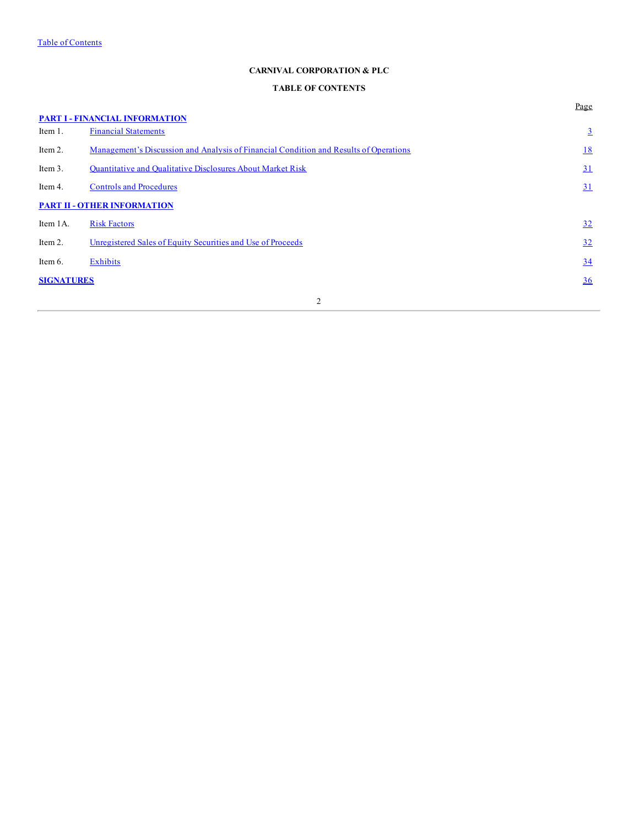# **CARNIVAL CORPORATION & PLC**

# **TABLE OF CONTENTS**

<span id="page-1-0"></span>

|                                       |                                                                                              | Page           |  |  |  |  |  |  |
|---------------------------------------|----------------------------------------------------------------------------------------------|----------------|--|--|--|--|--|--|
| <b>PART I - FINANCIAL INFORMATION</b> |                                                                                              |                |  |  |  |  |  |  |
| Item 1.                               | <b>Financial Statements</b>                                                                  | $\overline{3}$ |  |  |  |  |  |  |
| Item 2.                               | <u>Management's Discussion and Analysis of Financial Condition and Results of Operations</u> | <u>18</u>      |  |  |  |  |  |  |
| Item 3.                               | Quantitative and Qualitative Disclosures About Market Risk                                   | 31             |  |  |  |  |  |  |
| Item 4.                               | <b>Controls and Procedures</b>                                                               | 31             |  |  |  |  |  |  |
|                                       | <b>PART II - OTHER INFORMATION</b>                                                           |                |  |  |  |  |  |  |
| Item 1A.                              | <b>Risk Factors</b>                                                                          | 32             |  |  |  |  |  |  |
| Item 2.                               | Unregistered Sales of Equity Securities and Use of Proceeds                                  | 32             |  |  |  |  |  |  |
| Item 6.                               | Exhibits                                                                                     | 34             |  |  |  |  |  |  |
| <b>SIGNATURES</b>                     |                                                                                              | 36             |  |  |  |  |  |  |
|                                       | $\overline{2}$                                                                               |                |  |  |  |  |  |  |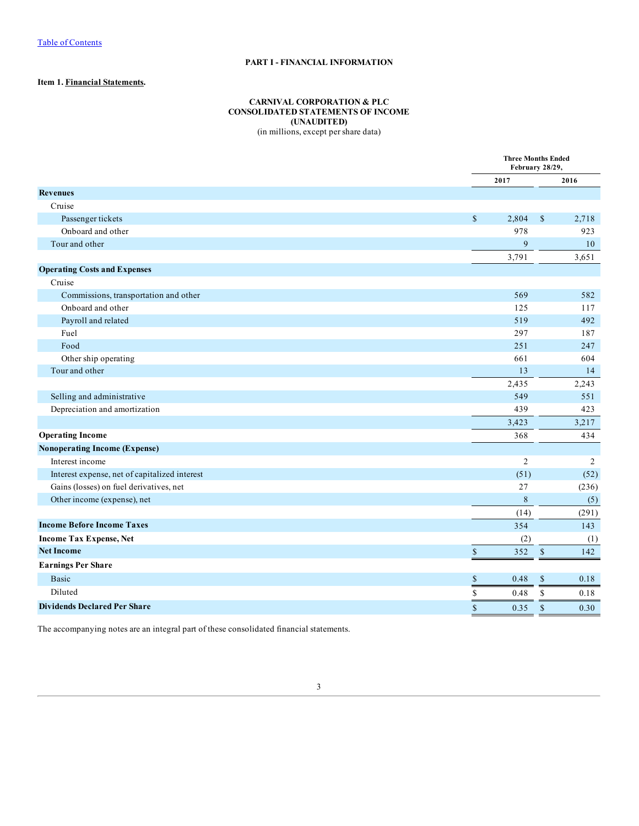# **PART I - FINANCIAL INFORMATION**

# **Item 1. Financial Statements.**

## **CARNIVAL CORPORATION & PLC CONSOLIDATED STATEMENTS OF INCOME (UNAUDITED)** (in millions, except per share data)

|                                               |                       |              | <b>Three Months Ended</b><br>February 28/29, |  |  |
|-----------------------------------------------|-----------------------|--------------|----------------------------------------------|--|--|
|                                               | 2017                  |              | 2016                                         |  |  |
| <b>Revenues</b>                               |                       |              |                                              |  |  |
| Cruise                                        |                       |              |                                              |  |  |
| Passenger tickets                             | $\mathbb{S}$<br>2,804 | $\mathbb{S}$ | 2,718                                        |  |  |
| Onboard and other                             | 978                   |              | 923                                          |  |  |
| Tour and other                                | 9                     |              | 10                                           |  |  |
|                                               | 3,791                 |              | 3,651                                        |  |  |
| <b>Operating Costs and Expenses</b>           |                       |              |                                              |  |  |
| Cruise                                        |                       |              |                                              |  |  |
| Commissions, transportation and other         | 569                   |              | 582                                          |  |  |
| Onboard and other                             | 125                   |              | 117                                          |  |  |
| Payroll and related                           | 519                   |              | 492                                          |  |  |
| Fuel                                          | 297                   |              | 187                                          |  |  |
| Food                                          | 251                   |              | 247                                          |  |  |
| Other ship operating                          | 661                   |              | 604                                          |  |  |
| Tour and other                                | 13                    |              | 14                                           |  |  |
|                                               | 2,435                 |              | 2,243                                        |  |  |
| Selling and administrative                    | 549                   |              | 551                                          |  |  |
| Depreciation and amortization                 | 439                   |              | 423                                          |  |  |
|                                               | 3,423                 |              | 3,217                                        |  |  |
| <b>Operating Income</b>                       | 368                   |              | 434                                          |  |  |
| Nonoperating Income (Expense)                 |                       |              |                                              |  |  |
| Interest income                               | 2                     |              | 2                                            |  |  |
| Interest expense, net of capitalized interest | (51)                  |              | (52)                                         |  |  |
| Gains (losses) on fuel derivatives, net       | 27                    |              | (236)                                        |  |  |
| Other income (expense), net                   | $\,8\,$               |              | (5)                                          |  |  |
|                                               | (14)                  |              | (291)                                        |  |  |
| <b>Income Before Income Taxes</b>             | 354                   |              | 143                                          |  |  |
| <b>Income Tax Expense, Net</b>                | (2)                   |              | (1)                                          |  |  |
| <b>Net Income</b>                             | $\mathbb S$<br>352    | $\mathbb{S}$ | 142                                          |  |  |
| <b>Earnings Per Share</b>                     |                       |              |                                              |  |  |
| <b>Basic</b>                                  | $\$$<br>0.48          | \$           | 0.18                                         |  |  |
| Diluted                                       | $\mathbb{S}$<br>0.48  | \$           | 0.18                                         |  |  |
| <b>Dividends Declared Per Share</b>           | \$<br>0.35            | $\mathbb{S}$ | 0.30                                         |  |  |
|                                               |                       |              |                                              |  |  |

The accompanying notes are an integral part of these consolidated financial statements.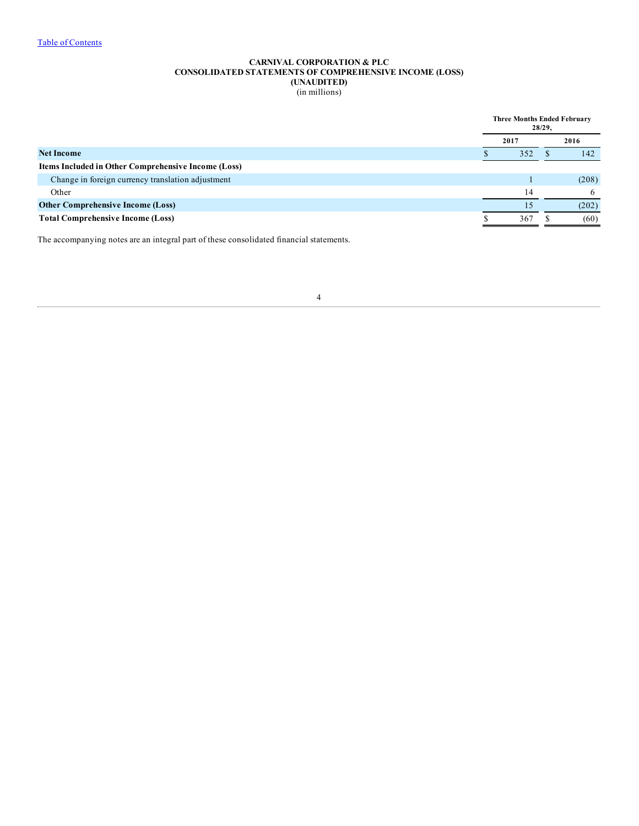#### **CARNIVAL CORPORATION & PLC CONSOLIDATED STATEMENTS OF COMPREHENSIVE INCOME (LOSS) (UNAUDITED)** (in millions)

|                                                     |      | <b>Three Months Ended February</b><br>$28/29$ , |       |  |  |  |  |
|-----------------------------------------------------|------|-------------------------------------------------|-------|--|--|--|--|
|                                                     | 2017 |                                                 | 2016  |  |  |  |  |
| <b>Net Income</b>                                   | 352  |                                                 | 142   |  |  |  |  |
| Items Included in Other Comprehensive Income (Loss) |      |                                                 |       |  |  |  |  |
| Change in foreign currency translation adjustment   |      |                                                 | (208) |  |  |  |  |
| Other                                               | 14   |                                                 | 6     |  |  |  |  |
| <b>Other Comprehensive Income (Loss)</b>            | 15   |                                                 | (202) |  |  |  |  |
| <b>Total Comprehensive Income (Loss)</b>            | 367  |                                                 | (60)  |  |  |  |  |
|                                                     |      |                                                 |       |  |  |  |  |

The accompanying notes are an integral part of these consolidated financial statements.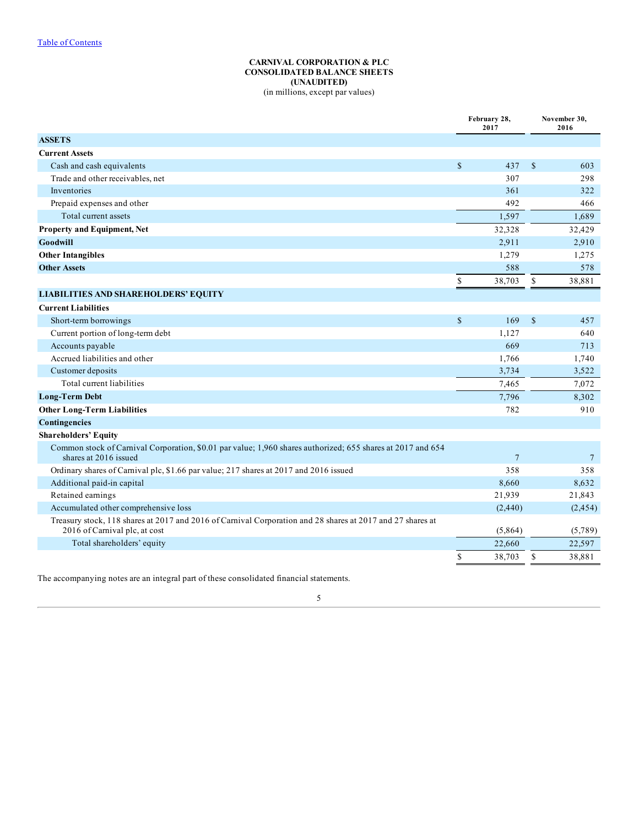## **CARNIVAL CORPORATION & PLC CONSOLIDATED BALANCE SHEETS (UNAUDITED)** (in millions, except par values)

|                                                                                                                                             |              | February 28,<br>2017 |              | November 30,<br>2016 |
|---------------------------------------------------------------------------------------------------------------------------------------------|--------------|----------------------|--------------|----------------------|
| <b>ASSETS</b>                                                                                                                               |              |                      |              |                      |
| <b>Current Assets</b>                                                                                                                       |              |                      |              |                      |
| Cash and cash equivalents                                                                                                                   | $\mathbb{S}$ | 437                  | $\mathbf S$  | 603                  |
| Trade and other receivables, net                                                                                                            |              | 307                  |              | 298                  |
| Inventories                                                                                                                                 |              | 361                  |              | 322                  |
| Prepaid expenses and other                                                                                                                  |              | 492                  |              | 466                  |
| Total current assets                                                                                                                        |              | 1,597                |              | 1.689                |
| <b>Property and Equipment, Net</b>                                                                                                          |              | 32,328               |              | 32,429               |
| Goodwill                                                                                                                                    |              | 2,911                |              | 2,910                |
| <b>Other Intangibles</b>                                                                                                                    |              | 1,279                |              | 1,275                |
| <b>Other Assets</b>                                                                                                                         |              | 588                  |              | 578                  |
|                                                                                                                                             | \$           | 38,703               | \$           | 38,881               |
| <b>LIABILITIES AND SHAREHOLDERS' EQUITY</b>                                                                                                 |              |                      |              |                      |
| <b>Current Liabilities</b>                                                                                                                  |              |                      |              |                      |
| Short-term borrowings                                                                                                                       | \$           | 169                  | $\mathbb{S}$ | 457                  |
| Current portion of long-term debt                                                                                                           |              | 1,127                |              | 640                  |
| Accounts payable                                                                                                                            |              | 669                  |              | 713                  |
| Accrued liabilities and other                                                                                                               |              | 1,766                |              | 1,740                |
| Customer deposits                                                                                                                           |              | 3,734                |              | 3,522                |
| Total current liabilities                                                                                                                   |              | 7,465                |              | 7,072                |
| <b>Long-Term Debt</b>                                                                                                                       |              | 7,796                |              | 8,302                |
| <b>Other Long-Term Liabilities</b>                                                                                                          |              | 782                  |              | 910                  |
| Contingencies                                                                                                                               |              |                      |              |                      |
| <b>Shareholders' Equity</b>                                                                                                                 |              |                      |              |                      |
| Common stock of Carnival Corporation, \$0.01 par value; 1,960 shares authorized; 655 shares at 2017 and 654<br>shares at 2016 issued        |              | $\overline{7}$       |              | 7                    |
| Ordinary shares of Carnival plc, \$1.66 par value; 217 shares at 2017 and 2016 issued                                                       |              | 358                  |              | 358                  |
| Additional paid-in capital                                                                                                                  |              | 8,660                |              | 8,632                |
| Retained earnings                                                                                                                           |              | 21,939               |              | 21,843               |
| Accumulated other comprehensive loss                                                                                                        |              | (2,440)              |              | (2, 454)             |
| Treasury stock, 118 shares at 2017 and 2016 of Carnival Corporation and 28 shares at 2017 and 27 shares at<br>2016 of Carnival plc, at cost |              | (5,864)              |              | (5,789)              |
| Total shareholders' equity                                                                                                                  |              | 22,660               |              | 22,597               |
|                                                                                                                                             | \$           | 38,703               | \$           | 38,881               |

The accompanying notes are an integral part of these consolidated financial statements.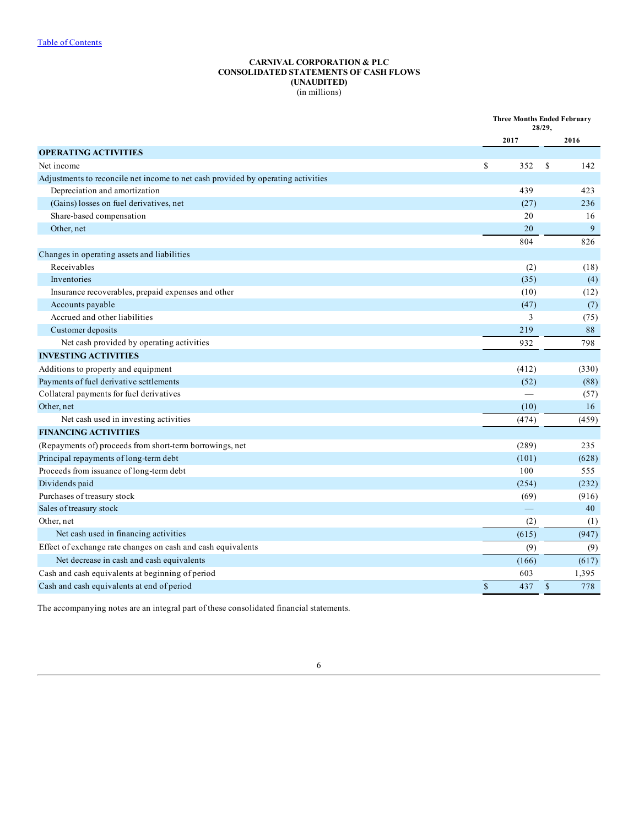### **CARNIVAL CORPORATION & PLC CONSOLIDATED STATEMENTS OF CASH FLOWS (UNAUDITED)** (in millions)

|                                                                                  |              |       | 28/29,      | <b>Three Months Ended February</b> |
|----------------------------------------------------------------------------------|--------------|-------|-------------|------------------------------------|
|                                                                                  | 2017         |       |             | 2016                               |
| <b>OPERATING ACTIVITIES</b>                                                      |              |       |             |                                    |
| Net income                                                                       | \$           | 352   | S           | 142                                |
| Adjustments to reconcile net income to net cash provided by operating activities |              |       |             |                                    |
| Depreciation and amortization                                                    |              | 439   |             | 423                                |
| (Gains) losses on fuel derivatives, net                                          |              | (27)  |             | 236                                |
| Share-based compensation                                                         |              | 20    |             | 16                                 |
| Other, net                                                                       |              | 20    |             | 9                                  |
|                                                                                  |              | 804   |             | 826                                |
| Changes in operating assets and liabilities                                      |              |       |             |                                    |
| Receivables                                                                      |              | (2)   |             | (18)                               |
| Inventories                                                                      |              | (35)  |             | (4)                                |
| Insurance recoverables, prepaid expenses and other                               |              | (10)  |             | (12)                               |
| Accounts payable                                                                 |              | (47)  |             | (7)                                |
| Accrued and other liabilities                                                    |              | 3     |             | (75)                               |
| Customer deposits                                                                |              | 219   |             | 88                                 |
| Net cash provided by operating activities                                        |              | 932   |             | 798                                |
| <b>INVESTING ACTIVITIES</b>                                                      |              |       |             |                                    |
| Additions to property and equipment                                              |              | (412) |             | (330)                              |
| Payments of fuel derivative settlements                                          |              | (52)  |             | (88)                               |
| Collateral payments for fuel derivatives                                         |              |       |             | (57)                               |
| Other, net                                                                       |              | (10)  |             | 16                                 |
| Net cash used in investing activities                                            |              | (474) |             | (459)                              |
| <b>FINANCING ACTIVITIES</b>                                                      |              |       |             |                                    |
| (Repayments of) proceeds from short-term borrowings, net                         |              | (289) |             | 235                                |
| Principal repayments of long-term debt                                           |              | (101) |             | (628)                              |
| Proceeds from issuance of long-term debt                                         |              | 100   |             | 555                                |
| Dividends paid                                                                   |              | (254) |             | (232)                              |
| Purchases of treasury stock                                                      |              | (69)  |             | (916)                              |
| Sales of treasury stock                                                          |              |       |             | 40                                 |
| Other, net                                                                       |              | (2)   |             | (1)                                |
| Net cash used in financing activities                                            |              | (615) |             | (947)                              |
| Effect of exchange rate changes on cash and cash equivalents                     |              | (9)   |             | (9)                                |
| Net decrease in cash and cash equivalents                                        |              | (166) |             | (617)                              |
| Cash and cash equivalents at beginning of period                                 |              | 603   |             | 1,395                              |
| Cash and cash equivalents at end of period                                       | $\mathbb{S}$ | 437   | $\mathbf S$ | 778                                |

The accompanying notes are an integral part of these consolidated financial statements.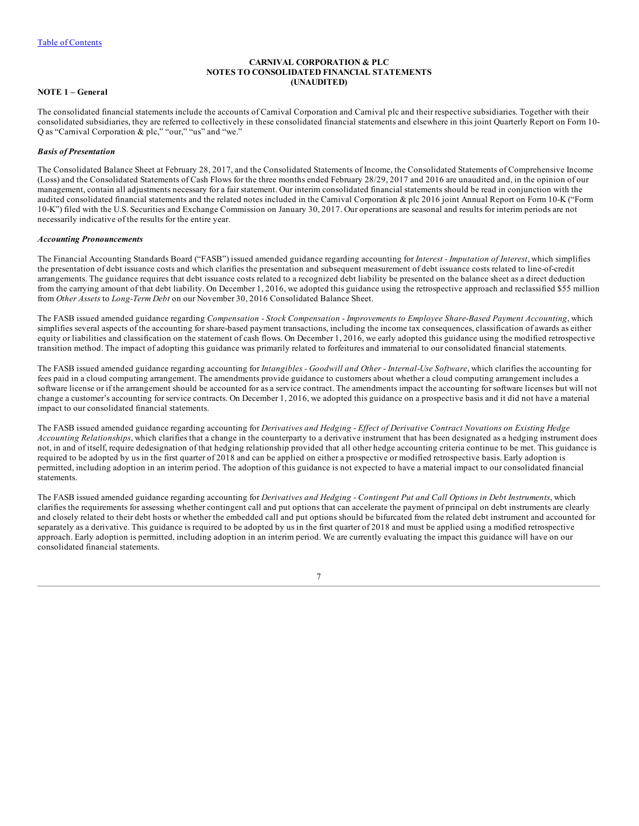#### **CARNIVAL CORPORATION & PLC NOTES TO CONSOLIDATED FINANCIAL STATEMENTS (UNAUDITED)**

#### **NOTE 1 – General**

The consolidated financial statements include the accounts of Carnival Corporation and Carnival plc and their respective subsidiaries. Together with their consolidated subsidiaries, they are referred to collectively in these consolidated financial statements and elsewhere in this joint Quarterly Report on Form 10- Q as "Carnival Corporation & plc," "our," "us" and "we."

### *Basis of Presentation*

The Consolidated Balance Sheet at February 28, 2017, and the Consolidated Statements of Income, the Consolidated Statements of Comprehensive Income (Loss) and the Consolidated Statements of Cash Flows for the three months ended February 28/29, 2017 and 2016 are unaudited and, in the opinion of our management, contain all adjustments necessary for a fair statement. Our interim consolidated financial statements should be read in conjunction with the audited consolidated financial statements and the related notes included in the Carnival Corporation & plc 2016 joint Annual Report on Form 10-K ("Form 10-K") filed with the U.S. Securities and Exchange Commission on January 30, 2017. Our operations are seasonal and results for interim periods are not necessarily indicative of the results for the entire year.

#### *Accounting Pronouncements*

The Financial Accounting Standards Board ("FASB") issued amended guidance regarding accounting for *Interest - Imputation of Interest*, which simplifies the presentation of debt issuance costs and which clarifies the presentation and subsequent measurement of debt issuance costs related to line-of-credit arrangements. The guidance requires that debt issuance costs related to a recognized debt liability be presented on the balance sheet as a direct deduction from the carrying amount of that debt liability. On December 1, 2016, we adopted this guidance using the retrospective approach and reclassified \$55 million from *Other Assets* to *Long-Term Debt* on our November 30, 2016 Consolidated Balance Sheet.

The FASB issued amended guidance regarding *Compensation - Stock Compensation - Improvements to Employee Share-Based Payment Accounting*, which simplifies several aspects of the accounting for share-based payment transactions, including the income tax consequences, classification of awards as either equity or liabilities and classification on the statement of cash flows. On December 1, 2016, we early adopted this guidance using the modified retrospective transition method. The impact of adopting this guidance was primarily related to forfeitures and immaterial to our consolidated financial statements.

The FASB issued amended guidance regarding accounting for *Intangibles - Goodwill and Other - Internal-Use Software*, which clarifies the accounting for fees paid in a cloud computing arrangement. The amendments provide guidance to customers about whether a cloud computing arrangement includes a software license or if the arrangement should be accounted for as a service contract. The amendments impact the accounting for software licenses but will not change a customer's accounting for service contracts. On December 1, 2016, we adopted this guidance on a prospective basis and it did not have a material impact to our consolidated financial statements.

The FASB issued amended guidance regarding accounting for Derivatives and Hedging - Effect of Derivative Contract Novations on Existing Hedge *Accounting Relationships*, which clarifies that a change in the counterparty to a derivative instrument that has been designated as a hedging instrument does not, in and of itself, require dedesignation of that hedging relationship provided that all other hedge accounting criteria continue to be met. This guidance is required to be adopted by us in the first quarter of 2018 and can be applied on either a prospective or modified retrospective basis. Early adoption is permitted, including adoption in an interim period. The adoption of this guidance is not expected to have a material impact to our consolidated financial statements.

The FASB issued amended guidance regarding accounting for Derivatives and Hedging - Contingent Put and Call Options in Debt Instruments, which clarifies the requirements for assessing whether contingent call and put options that can accelerate the payment of principal on debt instruments are clearly and closely related to their debt hosts or whether the embedded call and put options should be bifurcated from the related debt instrument and accounted for separately as a derivative. This guidance is required to be adopted by us in the first quarter of 2018 and must be applied using a modified retrospective approach. Early adoption is permitted, including adoption in an interim period. We are currently evaluating the impact this guidance will have on our consolidated financial statements.

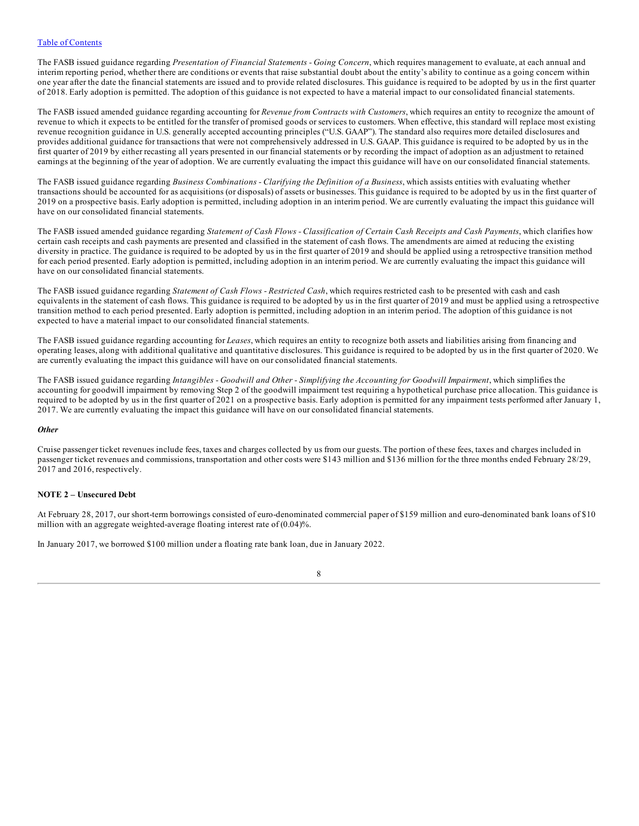The FASB issued guidance regarding *Presentation of Financial Statements - Going Concern*, which requires management to evaluate, at each annual and interim reporting period, whether there are conditions or events that raise substantial doubt about the entity's ability to continue as a going concern within one year after the date the financial statements are issued and to provide related disclosures. This guidance is required to be adopted by us in the first quarter of 2018. Early adoption is permitted. The adoption of this guidance is not expected to have a material impact to our consolidated financial statements.

The FASB issued amended guidance regarding accounting for *Revenue from Contracts with Customers*, which requires an entity to recognize the amount of revenue to which it expects to be entitled for the transfer of promised goods or services to customers. When effective, this standard will replace most existing revenue recognition guidance in U.S. generally accepted accounting principles ("U.S. GAAP"). The standard also requires more detailed disclosures and provides additional guidance for transactions that were not comprehensively addressed in U.S. GAAP. This guidance is required to be adopted by us in the first quarter of 2019 by either recasting all years presented in our financial statements or by recording the impact of adoption as an adjustment to retained earnings at the beginning of the year of adoption. We are currently evaluating the impact this guidance will have on our consolidated financial statements.

The FASB issued guidance regarding *Business Combinations - Clarifying the Definition of a Business*, which assists entities with evaluating whether transactions should be accounted for as acquisitions (or disposals) of assets or businesses. This guidance is required to be adopted by us in the first quarter of 2019 on a prospective basis. Early adoption is permitted, including adoption in an interim period. We are currently evaluating the impact this guidance will have on our consolidated financial statements.

The FASB issued amended guidance regarding Statement of Cash Flows - Classification of Certain Cash Receipts and Cash Payments, which clarifies how certain cash receipts and cash payments are presented and classified in the statement of cash flows. The amendments are aimed at reducing the existing diversity in practice. The guidance is required to be adopted by us in the first quarter of 2019 and should be applied using a retrospective transition method for each period presented. Early adoption is permitted, including adoption in an interim period. We are currently evaluating the impact this guidance will have on our consolidated financial statements.

The FASB issued guidance regarding *Statement of Cash Flows - Restricted Cash*, which requires restricted cash to be presented with cash and cash equivalents in the statement of cash flows. This guidance is required to be adopted by us in the first quarter of 2019 and must be applied using a retrospective transition method to each period presented. Early adoption is permitted, including adoption in an interim period. The adoption of this guidance is not expected to have a material impact to our consolidated financial statements.

The FASB issued guidance regarding accounting for *Leases*, which requires an entity to recognize both assets and liabilities arising from financing and operating leases, along with additional qualitative and quantitative disclosures. This guidance is required to be adopted by us in the first quarter of 2020. We are currently evaluating the impact this guidance will have on our consolidated financial statements.

The FASB issued guidance regarding Intangibles - Goodwill and Other - Simplifying the Accounting for Goodwill Impairment, which simplifies the accounting for goodwill impairment by removing Step 2 of the goodwill impairment test requiring a hypothetical purchase price allocation. This guidance is required to be adopted by us in the first quarter of 2021 on a prospective basis. Early adoption is permitted for any impairment tests performed after January 1, 2017. We are currently evaluating the impact this guidance will have on our consolidated financial statements.

#### *Other*

Cruise passenger ticket revenues include fees, taxes and charges collected by us from our guests. The portion of these fees, taxes and charges included in passenger ticket revenues and commissions, transportation and other costs were \$143 million and \$136 million for the three months ended February 28/29, 2017 and 2016, respectively.

## **NOTE 2 – Unsecured Debt**

At February 28, 2017, our short-term borrowings consisted of euro-denominated commercial paper of \$159 million and euro-denominated bank loans of \$10 million with an aggregate weighted-average floating interest rate of (0.04)%.

In January 2017, we borrowed \$100 million under a floating rate bank loan, due in January 2022.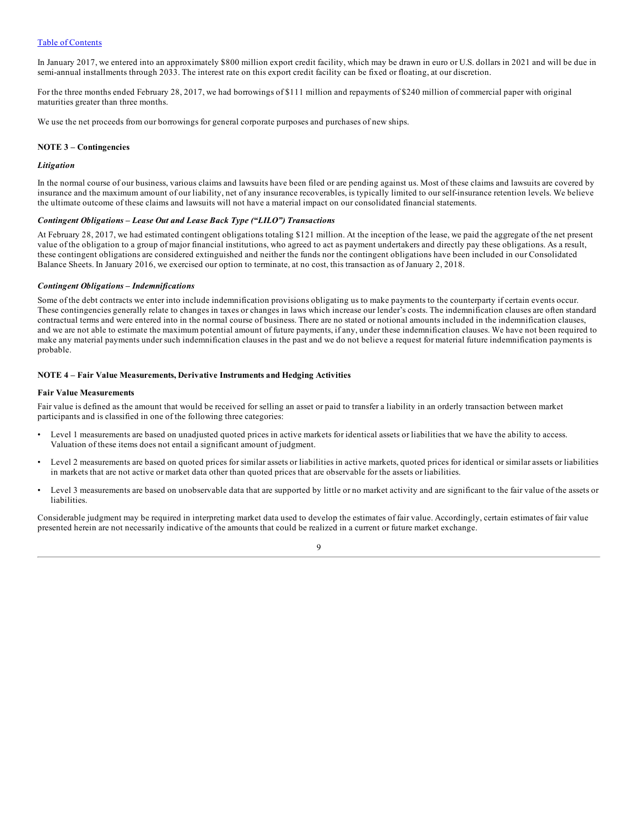In January 2017, we entered into an approximately \$800 million export credit facility, which may be drawn in euro or U.S. dollars in 2021 and will be due in semi-annual installments through 2033. The interest rate on this export credit facility can be fixed or floating, at our discretion.

For the three months ended February 28, 2017, we had borrowings of \$111 million and repayments of \$240 million of commercial paper with original maturities greater than three months.

We use the net proceeds from our borrowings for general corporate purposes and purchases of new ships.

### **NOTE 3 – Contingencies**

# *Litigation*

In the normal course of our business, various claims and lawsuits have been filed or are pending against us. Most of these claims and lawsuits are covered by insurance and the maximum amount of our liability, net of any insurance recoverables, is typically limited to our self-insurance retention levels. We believe the ultimate outcome of these claims and lawsuits will not have a material impact on our consolidated financial statements.

### *Contingent Obligations – Lease Out and Lease Back Type ("LILO") Transactions*

At February 28, 2017, we had estimated contingent obligations totaling \$121 million. At the inception of the lease, we paid the aggregate of the net present value of the obligation to a group of major financial institutions, who agreed to act as payment undertakers and directly pay these obligations. As a result, these contingent obligations are considered extinguished and neither the funds nor the contingent obligations have been included in our Consolidated Balance Sheets. In January 2016, we exercised our option to terminate, at no cost, this transaction as of January 2, 2018.

### *Contingent Obligations – Indemnifications*

Some of the debt contracts we enter into include indemnification provisions obligating us to make payments to the counterparty if certain events occur. These contingencies generally relate to changes in taxes or changes in laws which increase our lender's costs. The indemnification clauses are often standard contractual terms and were entered into in the normal course of business. There are no stated or notional amounts included in the indemnification clauses, and we are not able to estimate the maximum potential amount of future payments, if any, under these indemnification clauses. We have not been required to make any material payments under such indemnification clauses in the past and we do not believe a request for material future indemnification payments is probable.

### **NOTE 4 – Fair Value Measurements, Derivative Instruments and Hedging Activities**

#### **Fair Value Measurements**

Fair value is defined as the amount that would be received for selling an asset or paid to transfer a liability in an orderly transaction between market participants and is classified in one of the following three categories:

- Level 1 measurements are based on unadjusted quoted prices in active markets for identical assets or liabilities that we have the ability to access. Valuation of these items does not entail a significant amount of judgment.
- Level 2 measurements are based on quoted prices for similar assets or liabilities in active markets, quoted prices for identical or similar assets or liabilities in markets that are not active or market data other than quoted prices that are observable for the assets or liabilities.
- Level 3 measurements are based on unobservable data that are supported by little or no market activity and are significant to the fair value of the assets or liabilities.

Considerable judgment may be required in interpreting market data used to develop the estimates of fair value. Accordingly, certain estimates of fair value presented herein are not necessarily indicative of the amounts that could be realized in a current or future market exchange.

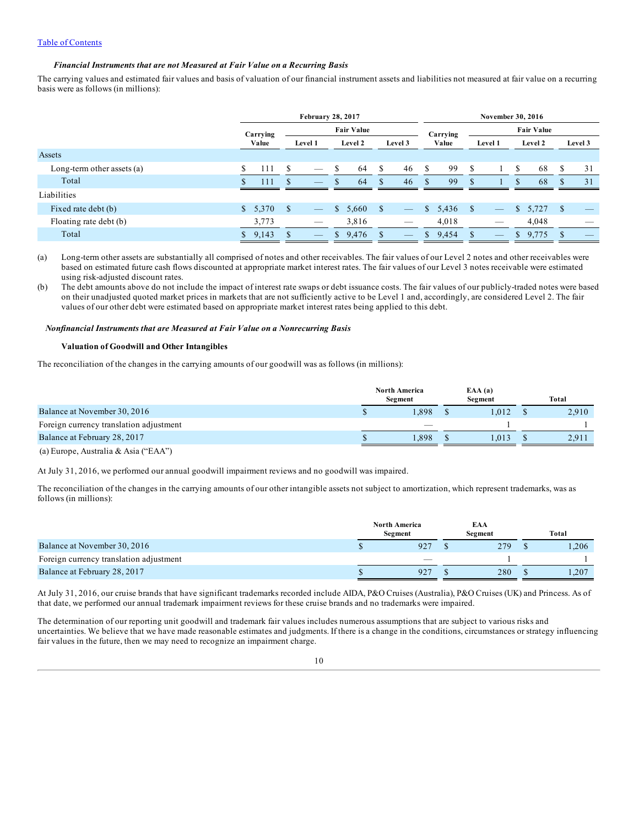#### *Financial Instruments that are not Measured at Fair Value on a Recurring Basis*

The carrying values and estimated fair values and basis of valuation of our financial instrument assets and liabilities not measured at fair value on a recurring basis were as follows (in millions):

|                              |                | <b>February 28, 2017</b> |                   |                   |               |         |         |                          |               | November 30, 2016 |         |                          |         |         |               |    |  |
|------------------------------|----------------|--------------------------|-------------------|-------------------|---------------|---------|---------|--------------------------|---------------|-------------------|---------|--------------------------|---------|---------|---------------|----|--|
|                              | Carrying       |                          | <b>Fair Value</b> |                   |               |         |         |                          | Carrying      | <b>Fair Value</b> |         |                          |         |         |               |    |  |
|                              |                | Value                    | Level 1           |                   | Level 2       |         | Level 3 |                          | Value         |                   | Level 1 |                          | Level 2 |         | Level 3       |    |  |
| Assets                       |                |                          |                   |                   |               |         |         |                          |               |                   |         |                          |         |         |               |    |  |
| Long-term other assets $(a)$ |                | 111                      | \$.               | __                |               | 64      |         | 46                       | -S            | 99                | S       |                          |         | 68      |               | 31 |  |
| Total                        |                | 111                      | <b>S</b>          |                   |               | 64      | -S      | 46                       |               | 99                | \$      |                          |         | 68      |               | 31 |  |
| Liabilities                  |                |                          |                   |                   |               |         |         |                          |               |                   |         |                          |         |         |               |    |  |
| Fixed rate debt (b)          | $\mathbb{S}^-$ | 5,370                    | <sup>\$</sup>     | $\qquad \qquad -$ |               | \$5,660 | - S     |                          |               | \$5,436           | - \$    |                          |         | \$5,727 | <sup>\$</sup> |    |  |
| Floating rate debt (b)       |                | 3,773                    |                   |                   |               | 3,816   |         |                          |               | 4,018             |         |                          |         | 4,048   |               |    |  |
| Total                        | \$.            | 9,143                    |                   |                   | <sup>\$</sup> | 9,476   |         | $\overline{\phantom{m}}$ | <sup>\$</sup> | 9,454             |         | $\overline{\phantom{m}}$ | \$.     | 9,775   |               |    |  |
|                              |                |                          |                   |                   |               |         |         |                          |               |                   |         |                          |         |         |               |    |  |

(a) Long-term other assets are substantially all comprised of notes and other receivables. The fair values of our Level 2 notes and other receivables were based on estimated future cash flows discounted at appropriate market interest rates. The fair values of our Level 3 notes receivable were estimated using risk-adjusted discount rates.

(b) The debt amounts above do not include the impact of interest rate swaps or debt issuance costs. The fair values of our publicly-traded notes were based on their unadjusted quoted market prices in markets that are not sufficiently active to be Level 1 and, accordingly, are considered Level 2. The fair values of our other debt were estimated based on appropriate market interest rates being applied to this debt.

#### *Nonfinancial Instruments that are Measured at Fair Value on a Nonrecurring Basis*

#### **Valuation of Goodwill and Other Intangibles**

The reconciliation of the changes in the carrying amounts of our goodwill was as follows (in millions):

|                                                                                                                 | <b>North America</b><br>Segment | EAA(a)<br>Segment | Total |       |  |
|-----------------------------------------------------------------------------------------------------------------|---------------------------------|-------------------|-------|-------|--|
| Balance at November 30, 2016                                                                                    | 1.898                           | 1.012             |       | 2,910 |  |
| Foreign currency translation adjustment                                                                         | $\sim$                          |                   |       |       |  |
| Balance at February 28, 2017                                                                                    | 1.898                           | .013              |       | 2.911 |  |
| the contract of the contract of the contract of the contract of the contract of the contract of the contract of |                                 |                   |       |       |  |

(a) Europe, Australia & Asia ("EAA")

At July 31, 2016, we performed our annual goodwill impairment reviews and no goodwill was impaired.

The reconciliation of the changes in the carrying amounts of our other intangible assets not subject to amortization, which represent trademarks, was as follows (in millions):

|                                         | <b>North America</b><br>Segment |                          | EAA<br>Segment | Total |
|-----------------------------------------|---------------------------------|--------------------------|----------------|-------|
| Balance at November 30, 2016            |                                 | 927                      | 279            | .206  |
| Foreign currency translation adjustment |                                 | $\overline{\phantom{a}}$ |                |       |
| Balance at February 28, 2017            |                                 | 927                      | 280            | .207  |

At July 31, 2016, our cruise brands that have significant trademarks recorded include AIDA, P&O Cruises (Australia), P&O Cruises (UK) and Princess. As of that date, we performed our annual trademark impairment reviews for these cruise brands and no trademarks were impaired.

The determination of our reporting unit goodwill and trademark fair values includes numerous assumptions that are subject to various risks and uncertainties. We believe that we have made reasonable estimates and judgments. If there is a change in the conditions, circumstances or strategy influencing fair values in the future, then we may need to recognize an impairment charge.

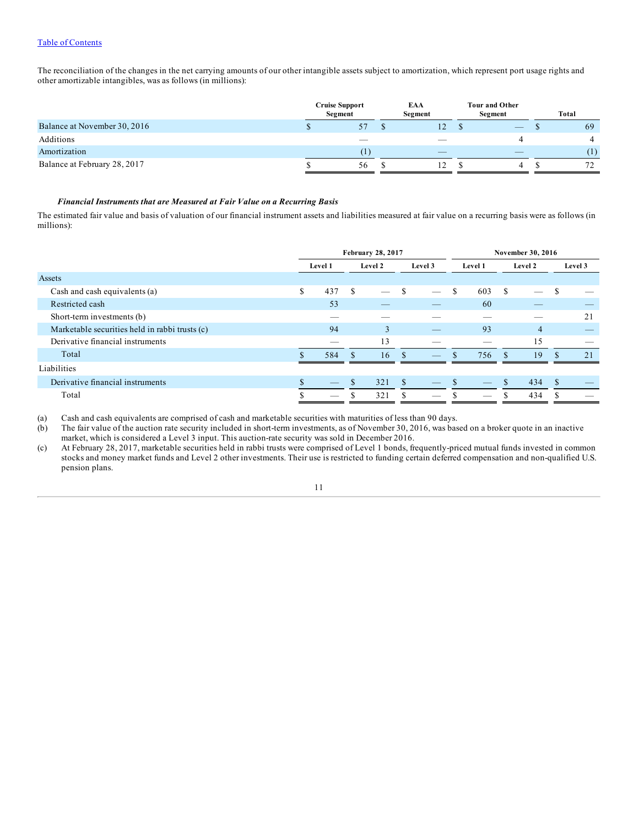The reconciliation of the changes in the net carrying amounts of our other intangible assets subject to amortization, which represent port usage rights and other amortizable intangibles, was as follows (in millions):

|                              | <b>Cruise Support</b><br>Segment |    | <b>EAA</b><br>Segment |    |  | <b>Tour and Other</b><br>Segment | Total |     |  |
|------------------------------|----------------------------------|----|-----------------------|----|--|----------------------------------|-------|-----|--|
| Balance at November 30, 2016 |                                  |    |                       | 12 |  |                                  |       | 69  |  |
| Additions                    |                                  |    |                       |    |  |                                  |       |     |  |
| Amortization                 |                                  |    |                       | __ |  |                                  |       | (1) |  |
| Balance at February 28, 2017 |                                  | 56 |                       |    |  |                                  |       | 72  |  |

# *Financial Instruments that are Measured at Fair Value on a Recurring Basis*

The estimated fair value and basis of valuation of our financial instrument assets and liabilities measured at fair value on a recurring basis were as follows (in millions):

|                                                |         |                          |               | <b>February 28, 2017</b> |               | <b>November 30, 2016</b> |         |     |               |     |         |    |
|------------------------------------------------|---------|--------------------------|---------------|--------------------------|---------------|--------------------------|---------|-----|---------------|-----|---------|----|
|                                                | Level 1 |                          | Level 2       |                          | Level 3       |                          | Level 1 |     | Level 2       |     | Level 3 |    |
| Assets                                         |         |                          |               |                          |               |                          |         |     |               |     |         |    |
| Cash and cash equivalents (a)                  | \$      | 437                      | <sup>\$</sup> |                          |               |                          | S       | 603 | <sup>\$</sup> |     |         |    |
| Restricted cash                                |         | 53                       |               |                          |               |                          |         | 60  |               |     |         |    |
| Short-term investments (b)                     |         | $\sim$                   |               |                          |               |                          |         | __  |               |     |         | 21 |
| Marketable securities held in rabbi trusts (c) |         | 94                       |               | 3                        |               |                          |         | 93  |               | 4   |         |    |
| Derivative financial instruments               |         |                          |               | 13                       |               |                          |         |     |               | 15  |         |    |
| Total                                          |         | 584                      | -S            | 16                       |               |                          | \$.     | 756 | <sup>\$</sup> | 19  | £.      | 21 |
| Liabilities                                    |         |                          |               |                          |               |                          |         |     |               |     |         |    |
| Derivative financial instruments               | Ъ.      | $\overline{\phantom{m}}$ | $\mathcal{S}$ | 321                      | $\mathcal{S}$ |                          | \$      |     | $\mathcal{S}$ | 434 | - \$    |    |
| Total                                          |         |                          | £.            | 321                      |               |                          |         |     |               | 434 |         |    |
|                                                |         |                          |               |                          |               |                          |         |     |               |     |         |    |

(a) Cash and cash equivalents are comprised of cash and marketable securities with maturities of less than 90 days.

(b) The fair value of the auction rate security included in short-term investments, as of November 30, 2016, was based on a broker quote in an inactive market, which is considered a Level 3 input. This auction-rate security was sold in December 2016.

(c) At February 28, 2017, marketable securities held in rabbi trusts were comprised of Level 1 bonds, frequently-priced mutual funds invested in common stocks and money market funds and Level 2 other investments. Their use is restricted to funding certain deferred compensation and non-qualified U.S. pension plans.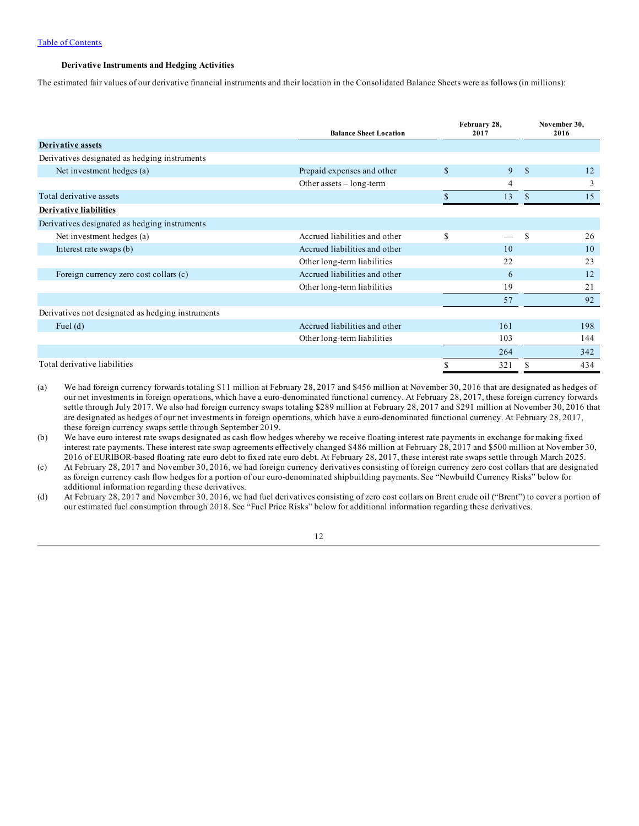### **Derivative Instruments and Hedging Activities**

The estimated fair values of our derivative financial instruments and their location in the Consolidated Balance Sheets were as follows (in millions):

|                                                   | <b>Balance Sheet Location</b> |             | February 28,<br>2017     |               | November 30.<br>2016 |
|---------------------------------------------------|-------------------------------|-------------|--------------------------|---------------|----------------------|
| Derivative assets                                 |                               |             |                          |               |                      |
| Derivatives designated as hedging instruments     |                               |             |                          |               |                      |
| Net investment hedges (a)                         | Prepaid expenses and other    | \$          | 9                        | <sup>\$</sup> | 12                   |
|                                                   | Other assets $-$ long-term    |             | 4                        |               | 3                    |
| Total derivative assets                           |                               | $\mathbf S$ | 13                       |               | 15                   |
| Derivative liabilities                            |                               |             |                          |               |                      |
| Derivatives designated as hedging instruments     |                               |             |                          |               |                      |
| Net investment hedges (a)                         | Accrued liabilities and other | \$          | $\overline{\phantom{0}}$ | <sup>\$</sup> | 26                   |
| Interest rate swaps (b)                           | Accrued liabilities and other |             | 10                       |               | 10                   |
|                                                   | Other long-term liabilities   |             | 22                       |               | 23                   |
| Foreign currency zero cost collars (c)            | Accrued liabilities and other |             | 6                        |               | 12                   |
|                                                   | Other long-term liabilities   |             | 19                       |               | 21                   |
|                                                   |                               |             | 57                       |               | 92                   |
| Derivatives not designated as hedging instruments |                               |             |                          |               |                      |
| Fuel $(d)$                                        | Accrued liabilities and other |             | 161                      |               | 198                  |
|                                                   | Other long-term liabilities   |             | 103                      |               | 144                  |
|                                                   |                               |             | 264                      |               | 342                  |
| Total derivative liabilities                      |                               | \$          | 321                      |               | 434                  |

(a) We had foreign currency forwards totaling \$11 million at February 28, 2017 and \$456 million at November 30, 2016 that are designated as hedges of our net investments in foreign operations, which have a euro-denominated functional currency. At February 28, 2017, these foreign currency forwards settle through July 2017. We also had foreign currency swaps totaling \$289 million at February 28, 2017 and \$291 million at November 30, 2016 that are designated as hedges of our net investments in foreign operations, which have a euro-denominated functional currency. At February 28, 2017, these foreign currency swaps settle through September 2019.

(b) We have euro interest rate swaps designated as cash flow hedges whereby we receive floating interest rate payments in exchange for making fixed interest rate payments. These interest rate swap agreements effectively changed \$486 million at February 28, 2017 and \$500 million at November 30, 2016 of EURIBOR-based floating rate euro debt to fixed rate euro debt. At February 28, 2017, these interest rate swaps settle through March 2025.

(c) At February 28, 2017 and November 30, 2016, we had foreign currency derivatives consisting of foreign currency zero cost collars that are designated as foreign currency cash flow hedges for a portion of our euro-denominated shipbuilding payments. See "Newbuild Currency Risks" below for additional information regarding these derivatives.

(d) At February 28, 2017 and November 30, 2016, we had fuel derivatives consisting of zero cost collars on Brent crude oil ("Brent") to cover a portion of our estimated fuel consumption through 2018. See "Fuel Price Risks" below for additional information regarding these derivatives.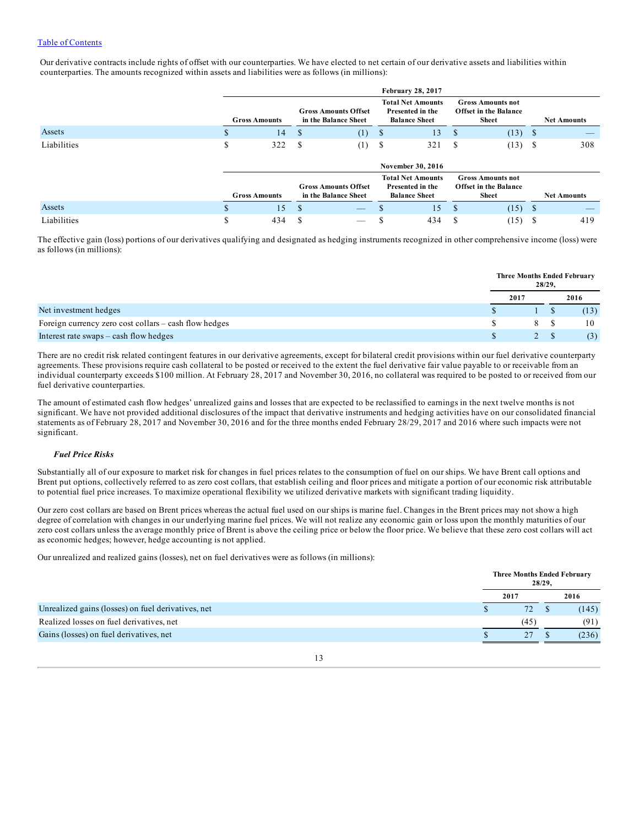Our derivative contracts include rights of offset with our counterparties. We have elected to net certain of our derivative assets and liabilities within counterparties. The amounts recognized within assets and liabilities were as follows (in millions):

|             |                      |                      |      |                                                     |      | <b>February 28, 2017</b>                                             |               |                                                                          |                                                                      |                    |                                                                          |  |  |                    |
|-------------|----------------------|----------------------|------|-----------------------------------------------------|------|----------------------------------------------------------------------|---------------|--------------------------------------------------------------------------|----------------------------------------------------------------------|--------------------|--------------------------------------------------------------------------|--|--|--------------------|
|             |                      | <b>Gross Amounts</b> |      |                                                     |      | <b>Gross Amounts Offset</b><br>in the Balance Sheet                  |               |                                                                          | <b>Total Net Amounts</b><br>Presented in the<br><b>Balance Sheet</b> |                    | <b>Gross Amounts not</b><br><b>Offset in the Balance</b><br><b>Sheet</b> |  |  | <b>Net Amounts</b> |
| Assets      | Φ                    | 14                   | -S   | (1)                                                 | -S   | 13                                                                   | <sup>\$</sup> | (13)                                                                     | - \$                                                                 |                    |                                                                          |  |  |                    |
| Liabilities | \$                   | 322                  | - \$ | (1)                                                 | - \$ | 321                                                                  | S             | (13)                                                                     | - S                                                                  | 308                |                                                                          |  |  |                    |
|             |                      |                      |      |                                                     |      | November 30, 2016                                                    |               |                                                                          |                                                                      |                    |                                                                          |  |  |                    |
|             | <b>Gross Amounts</b> |                      |      | <b>Gross Amounts Offset</b><br>in the Balance Sheet |      | <b>Total Net Amounts</b><br>Presented in the<br><b>Balance Sheet</b> |               | <b>Gross Amounts not</b><br><b>Offset in the Balance</b><br><b>Sheet</b> |                                                                      | <b>Net Amounts</b> |                                                                          |  |  |                    |

The effective gain (loss) portions of our derivatives qualifying and designated as hedging instruments recognized in other comprehensive income (loss) were as follows (in millions):

Assets 15 \$  $\frac{15}{5}$  \$  $\frac{15}{5}$  \$  $\frac{15}{5}$  \$  $\frac{15}{5}$   $\frac{15}{5}$   $\frac{15}{5}$   $\frac{15}{5}$   $\frac{15}{5}$   $\frac{15}{5}$   $\frac{15}{5}$   $\frac{15}{5}$   $\frac{15}{5}$   $\frac{15}{5}$   $\frac{15}{5}$   $\frac{15}{5}$   $\frac{15}{5}$   $\frac{15}{5}$   $\frac{15}{5}$   $\frac{1$ Liabilities \$ 434 \$ — \$ 434 \$ (15) \$ 419

|                                                       |  |      | <b>Three Months Ended February</b><br>28/29. |      |  |
|-------------------------------------------------------|--|------|----------------------------------------------|------|--|
|                                                       |  | 2017 |                                              | 2016 |  |
| Net investment hedges                                 |  |      |                                              | (13) |  |
| Foreign currency zero cost collars – cash flow hedges |  | 8.   |                                              | 10   |  |
| Interest rate swaps – cash flow hedges                |  |      |                                              | (3)  |  |

There are no credit risk related contingent features in our derivative agreements, except for bilateral credit provisions within our fuel derivative counterparty agreements. These provisions require cash collateral to be posted or received to the extent the fuel derivative fair value payable to or receivable from an individual counterparty exceeds \$100 million. At February 28, 2017 and November 30, 2016, no collateral was required to be posted to or received from our fuel derivative counterparties.

The amount of estimated cash flow hedges' unrealized gains and losses that are expected to be reclassified to earnings in the next twelve months is not significant. We have not provided additional disclosures of the impact that derivative instruments and hedging activities have on our consolidated financial statements as of February 28, 2017 and November 30, 2016 and for the three months ended February 28/29, 2017 and 2016 where such impacts were not significant.

## *Fuel Price Risks*

Substantially all of our exposure to market risk for changes in fuel prices relates to the consumption of fuel on our ships. We have Brent call options and Brent put options, collectively referred to as zero cost collars, that establish ceiling and floor prices and mitigate a portion of our economic risk attributable to potential fuel price increases. To maximize operational flexibility we utilized derivative markets with significant trading liquidity.

Our zero cost collars are based on Brent prices whereas the actual fuel used on our ships is marine fuel. Changes in the Brent prices may not show a high degree of correlation with changes in our underlying marine fuel prices. We will not realize any economic gain or loss upon the monthly maturities of our zero cost collars unless the average monthly price of Brent is above the ceiling price or below the floor price. We believe that these zero cost collars will act as economic hedges; however, hedge accounting is not applied.

Our unrealized and realized gains (losses), net on fuel derivatives were as follows (in millions):

|                                                    | <b>Three Months Ended February</b><br>28/29. |       |
|----------------------------------------------------|----------------------------------------------|-------|
|                                                    | 2017                                         | 2016  |
| Unrealized gains (losses) on fuel derivatives, net | 72                                           | (145) |
| Realized losses on fuel derivatives, net           | (45)                                         | (91)  |
| Gains (losses) on fuel derivatives, net            | 27                                           | (236) |
|                                                    |                                              |       |

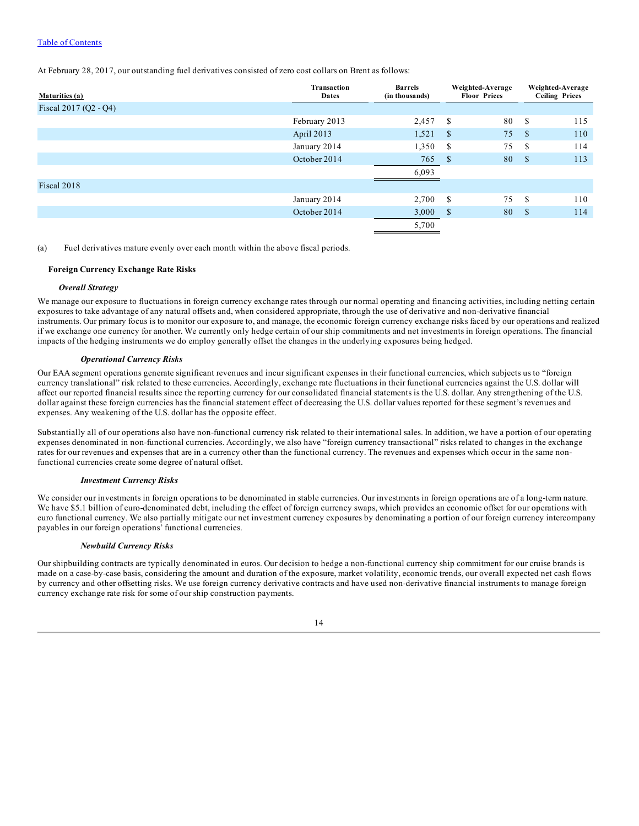At February 28, 2017, our outstanding fuel derivatives consisted of zero cost collars on Brent as follows:

| Maturities (a)        | Transaction<br><b>Dates</b> | <b>Barrels</b><br>Weighted-Average<br><b>Floor Prices</b><br>(in thousands) |               |    | Weighted-Average<br><b>Ceiling Prices</b> |     |
|-----------------------|-----------------------------|-----------------------------------------------------------------------------|---------------|----|-------------------------------------------|-----|
| Fiscal 2017 (Q2 - Q4) |                             |                                                                             |               |    |                                           |     |
|                       | February 2013               | 2,457                                                                       | <sup>\$</sup> | 80 | - \$                                      | 115 |
|                       | April 2013                  | 1,521                                                                       | <sup>\$</sup> | 75 | - \$                                      | 110 |
|                       | January 2014                | 1,350                                                                       | <sup>\$</sup> | 75 | - \$                                      | 114 |
|                       | October 2014                | 765                                                                         | - \$          | 80 | - \$                                      | 113 |
|                       |                             | 6,093                                                                       |               |    |                                           |     |
| Fiscal 2018           |                             |                                                                             |               |    |                                           |     |
|                       | January 2014                | 2,700                                                                       | S             | 75 | - \$                                      | 110 |
|                       | October 2014                | 3,000                                                                       | $\mathbb{S}$  | 80 | - \$                                      | 114 |
|                       |                             | 5,700                                                                       |               |    |                                           |     |

(a) Fuel derivatives mature evenly over each month within the above fiscal periods.

### **Foreign Currency Exchange Rate Risks**

### *Overall Strategy*

We manage our exposure to fluctuations in foreign currency exchange rates through our normal operating and financing activities, including netting certain exposures to take advantage of any natural offsets and, when considered appropriate, through the use of derivative and non-derivative financial instruments. Our primary focus is to monitor our exposure to, and manage, the economic foreign currency exchange risks faced by our operations and realized if we exchange one currency for another. We currently only hedge certain of our ship commitments and net investments in foreign operations. The financial impacts of the hedging instruments we do employ generally offset the changes in the underlying exposures being hedged.

### *Operational Currency Risks*

Our EAA segment operations generate significant revenues and incur significant expenses in their functional currencies, which subjects us to "foreign currency translational" risk related to these currencies. Accordingly, exchange rate fluctuations in their functional currencies against the U.S. dollar will affect our reported financial results since the reporting currency for our consolidated financial statements is the U.S. dollar. Any strengthening of the U.S. dollar against these foreign currencies has the financial statement effect of decreasing the U.S. dollar values reported for these segment's revenues and expenses. Any weakening of the U.S. dollar has the opposite effect.

Substantially all of our operations also have non-functional currency risk related to their international sales. In addition, we have a portion of our operating expenses denominated in non-functional currencies. Accordingly, we also have "foreign currency transactional" risks related to changes in the exchange rates for our revenues and expenses that are in a currency other than the functional currency. The revenues and expenses which occur in the same nonfunctional currencies create some degree of natural offset.

#### *Investment Currency Risks*

We consider our investments in foreign operations to be denominated in stable currencies. Our investments in foreign operations are of a long-term nature. We have \$5.1 billion of euro-denominated debt, including the effect of foreign currency swaps, which provides an economic offset for our operations with euro functional currency. We also partially mitigate our net investment currency exposures by denominating a portion of our foreign currency intercompany payables in our foreign operations' functional currencies.

#### *Newbuild Currency Risks*

Our shipbuilding contracts are typically denominated in euros. Our decision to hedge a non-functional currency ship commitment for our cruise brands is made on a case-by-case basis, considering the amount and duration of the exposure, market volatility, economic trends, our overall expected net cash flows by currency and other offsetting risks. We use foreign currency derivative contracts and have used non-derivative financial instruments to manage foreign currency exchange rate risk for some of our ship construction payments.

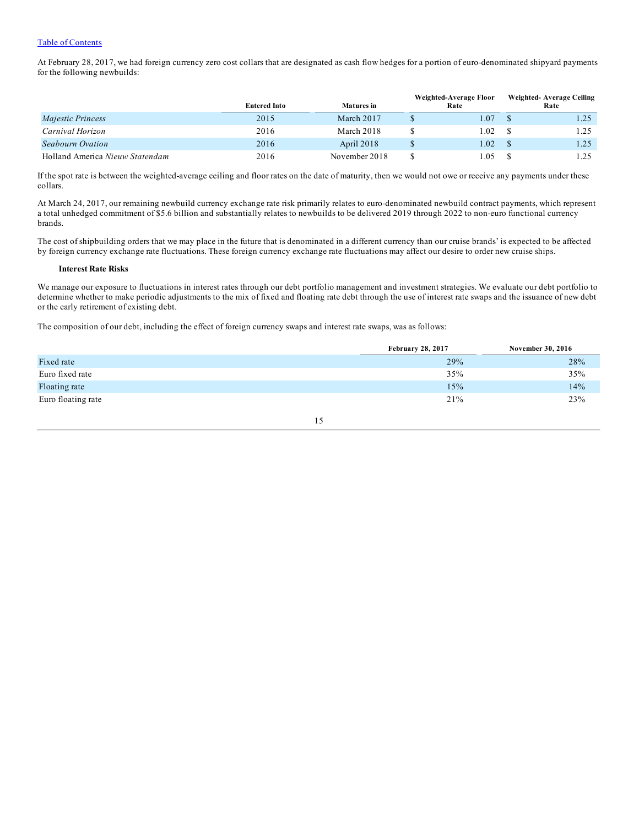At February 28, 2017, we had foreign currency zero cost collars that are designated as cash flow hedges for a portion of euro-denominated shipyard payments for the following newbuilds:

|                                 | <b>Entered Into</b> | Matures in    | Weighted-Average Floor<br>Rate | Weighted- Average Ceiling<br>Rate |
|---------------------------------|---------------------|---------------|--------------------------------|-----------------------------------|
| <i>Majestic Princess</i>        | 2015                | March 2017    | 1.07                           | 1.25                              |
| Carnival Horizon                | 2016                | March 2018    | 1.02                           | 1.25                              |
| <b>Seabourn Ovation</b>         | 2016                | April 2018    | 1.02                           | 1.25                              |
| Holland America Nieuw Statendam | 2016                | November 2018 | 1.05                           |                                   |

If the spot rate is between the weighted-average ceiling and floor rates on the date of maturity, then we would not owe or receive any payments under these collars.

At March 24, 2017, our remaining newbuild currency exchange rate risk primarily relates to euro-denominated newbuild contract payments, which represent a total unhedged commitment of \$5.6 billion and substantially relates to newbuilds to be delivered 2019 through 2022 to non-euro functional currency brands.

The cost of shipbuilding orders that we may place in the future that is denominated in a different currency than our cruise brands' is expected to be affected by foreign currency exchange rate fluctuations. These foreign currency exchange rate fluctuations may affect our desire to order new cruise ships.

#### **Interest Rate Risks**

We manage our exposure to fluctuations in interest rates through our debt portfolio management and investment strategies. We evaluate our debt portfolio to determine whether to make periodic adjustments to the mix of fixed and floating rate debt through the use of interest rate swaps and the issuance of new debt or the early retirement of existing debt.

The composition of our debt, including the effect of foreign currency swaps and interest rate swaps, was as follows:

|                    | <b>February 28, 2017</b> | November 30, 2016 |
|--------------------|--------------------------|-------------------|
| Fixed rate         | 29%                      | 28%               |
| Euro fixed rate    | 35%                      | 35%               |
| Floating rate      | 15%                      | 14%               |
| Euro floating rate | 21%                      | 23%               |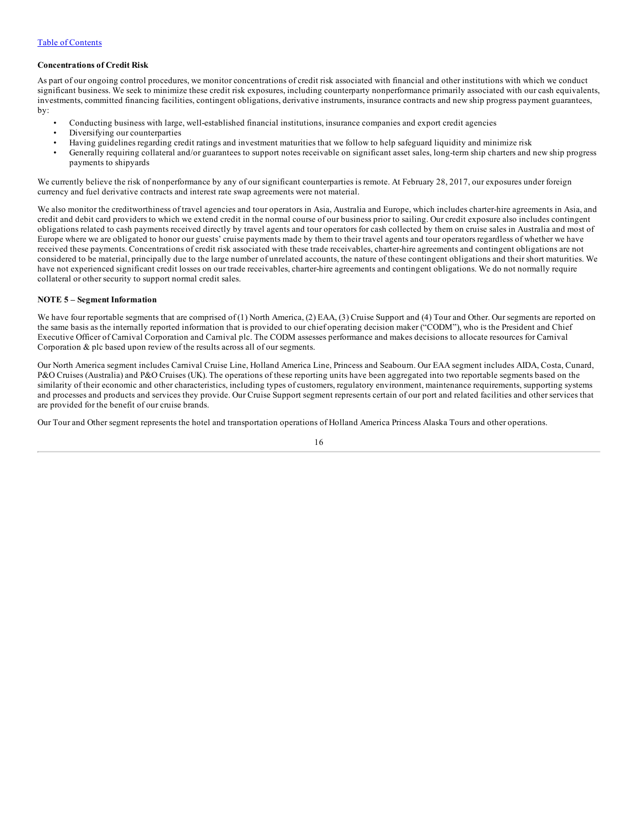# **Concentrations of Credit Risk**

As part of our ongoing control procedures, we monitor concentrations of credit risk associated with financial and other institutions with which we conduct significant business. We seek to minimize these credit risk exposures, including counterparty nonperformance primarily associated with our cash equivalents, investments, committed financing facilities, contingent obligations, derivative instruments, insurance contracts and new ship progress payment guarantees, by:

- Conducting business with large, well-established financial institutions, insurance companies and export credit agencies
- Diversifying our counterparties
- Having guidelines regarding credit ratings and investment maturities that we follow to help safeguard liquidity and minimize risk
- Generally requiring collateral and/or guarantees to support notes receivable on significant asset sales, long-term ship charters and new ship progress payments to shipyards

We currently believe the risk of nonperformance by any of our significant counterparties is remote. At February 28, 2017, our exposures under foreign currency and fuel derivative contracts and interest rate swap agreements were not material.

We also monitor the creditworthiness of travel agencies and tour operators in Asia, Australia and Europe, which includes charter-hire agreements in Asia, and credit and debit card providers to which we extend credit in the normal course of our business prior to sailing. Our credit exposure also includes contingent obligations related to cash payments received directly by travel agents and tour operators for cash collected by them on cruise sales in Australia and most of Europe where we are obligated to honor our guests' cruise payments made by them to their travel agents and tour operators regardless of whether we have received these payments. Concentrations of credit risk associated with these trade receivables, charter-hire agreements and contingent obligations are not considered to be material, principally due to the large number of unrelated accounts, the nature of these contingent obligations and their short maturities. We have not experienced significant credit losses on our trade receivables, charter-hire agreements and contingent obligations. We do not normally require collateral or other security to support normal credit sales.

## **NOTE 5 – Segment Information**

We have four reportable segments that are comprised of (1) North America, (2) EAA, (3) Cruise Support and (4) Tour and Other. Our segments are reported on the same basis as the internally reported information that is provided to our chief operating decision maker ("CODM"), who is the President and Chief Executive Officer of Carnival Corporation and Carnival plc. The CODM assesses performance and makes decisions to allocate resources for Carnival Corporation & plc based upon review of the results across all of our segments.

Our North America segment includes Carnival Cruise Line, Holland America Line, Princess and Seabourn. Our EAA segment includes AIDA, Costa, Cunard, P&O Cruises (Australia) and P&O Cruises (UK). The operations of these reporting units have been aggregated into two reportable segments based on the similarity of their economic and other characteristics, including types of customers, regulatory environment, maintenance requirements, supporting systems and processes and products and services they provide. Our Cruise Support segment represents certain of our port and related facilities and other services that are provided for the benefit of our cruise brands.

Our Tour and Other segment represents the hotel and transportation operations of Holland America Princess Alaska Tours and other operations.

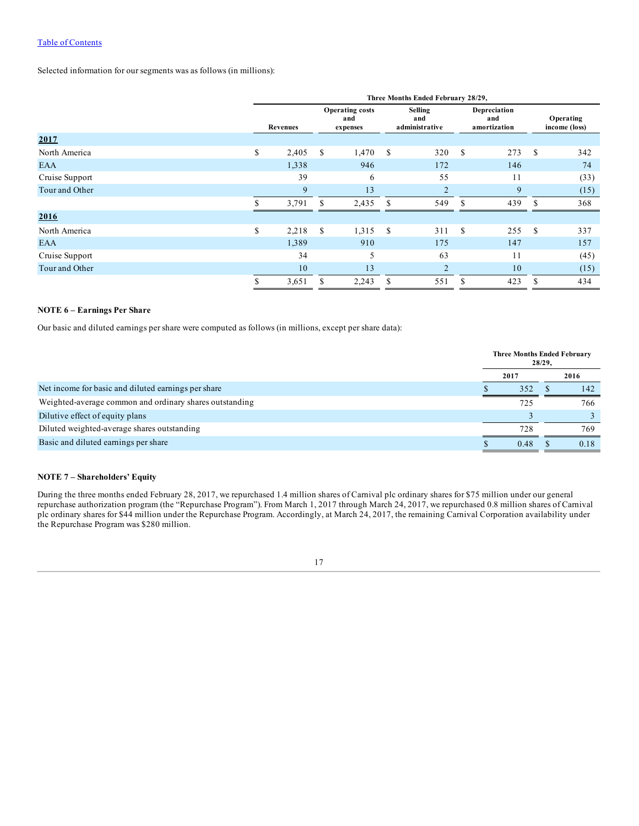<span id="page-16-0"></span>Selected information for our segments was as follows (in millions):

|                | Three Months Ended February 28/29, |       |               |       |               |                |                                           |     |                                         |      |                                     |  |  |                            |
|----------------|------------------------------------|-------|---------------|-------|---------------|----------------|-------------------------------------------|-----|-----------------------------------------|------|-------------------------------------|--|--|----------------------------|
|                | <b>Revenues</b>                    |       |               |       |               |                | <b>Operating costs</b><br>and<br>expenses |     | <b>Selling</b><br>and<br>administrative |      | Depreciation<br>and<br>amortization |  |  | Operating<br>income (loss) |
| 2017           |                                    |       |               |       |               |                |                                           |     |                                         |      |                                     |  |  |                            |
| North America  | \$                                 | 2,405 | S             | 1,470 | <sup>\$</sup> | 320            | \$                                        | 273 | S                                       | 342  |                                     |  |  |                            |
| <b>EAA</b>     |                                    | 1,338 |               | 946   |               | 172            |                                           | 146 |                                         | 74   |                                     |  |  |                            |
| Cruise Support |                                    | 39    |               | 6     |               | 55             |                                           | 11  |                                         | (33) |                                     |  |  |                            |
| Tour and Other |                                    | 9     |               | 13    |               | $\overline{2}$ |                                           | 9   |                                         | (15) |                                     |  |  |                            |
|                |                                    | 3,791 | <b>S</b>      | 2,435 | -S            | 549            | £.                                        | 439 | £.                                      | 368  |                                     |  |  |                            |
| 2016           |                                    |       |               |       |               |                |                                           |     |                                         |      |                                     |  |  |                            |
| North America  | \$                                 | 2,218 | <sup>\$</sup> | 1,315 | <sup>\$</sup> | 311            | S                                         | 255 | S                                       | 337  |                                     |  |  |                            |
| <b>EAA</b>     |                                    | 1,389 |               | 910   |               | 175            |                                           | 147 |                                         | 157  |                                     |  |  |                            |
| Cruise Support |                                    | 34    |               | 5     |               | 63             |                                           | 11  |                                         | (45) |                                     |  |  |                            |
| Tour and Other |                                    | 10    |               | 13    |               | $\overline{2}$ |                                           | 10  |                                         | (15) |                                     |  |  |                            |
|                |                                    | 3,651 | \$            | 2,243 |               | 551            | S                                         | 423 |                                         | 434  |                                     |  |  |                            |

# **NOTE 6 – Earnings Per Share**

Our basic and diluted earnings per share were computed as follows (in millions, except per share data):

|                                                         | <b>Three Months Ended February</b><br>$28/29$ , |      |  |      |
|---------------------------------------------------------|-------------------------------------------------|------|--|------|
|                                                         |                                                 | 2017 |  | 2016 |
| Net income for basic and diluted earnings per share     |                                                 | 352  |  | 142  |
| Weighted-average common and ordinary shares outstanding |                                                 | 725  |  | 766  |
| Dilutive effect of equity plans                         |                                                 |      |  |      |
| Diluted weighted-average shares outstanding             |                                                 | 728  |  | 769  |
| Basic and diluted earnings per share                    |                                                 | 0.48 |  | 0.18 |

# **NOTE 7 – Shareholders' Equity**

During the three months ended February 28, 2017, we repurchased 1.4 million shares of Carnival plc ordinary shares for \$75 million under our general repurchase authorization program (the "Repurchase Program"). From March 1, 2017 through March 24, 2017, we repurchased 0.8 million shares of Carnival plc ordinary shares for \$44 million under the Repurchase Program. Accordingly, at March 24, 2017, the remaining Carnival Corporation availability under the Repurchase Program was \$280 million.

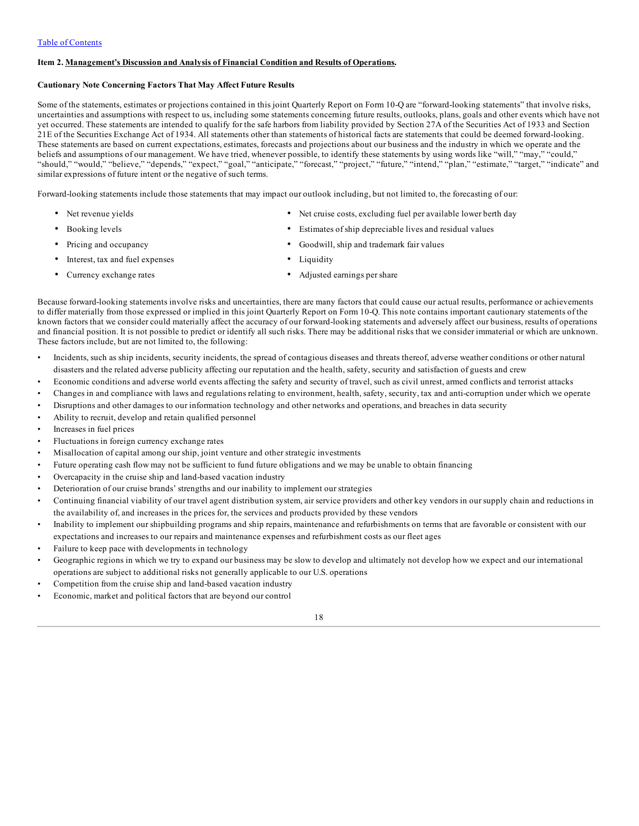#### **Item 2. Management's Discussion and Analysis of Financial Condition and Results of Operations.**

#### **Cautionary Note Concerning Factors That May Affect Future Results**

Some of the statements, estimates or projections contained in this joint Quarterly Report on Form 10-Q are "forward-looking statements" that involve risks, uncertainties and assumptions with respect to us, including some statements concerning future results, outlooks, plans, goals and other events which have not yet occurred. These statements are intended to qualify for the safe harbors from liability provided by Section 27A of the Securities Act of 1933 and Section 21E of the Securities Exchange Act of 1934. All statements other than statements of historical facts are statements that could be deemed forward-looking. These statements are based on current expectations, estimates, forecasts and projections about our business and the industry in which we operate and the beliefs and assumptions of our management. We have tried, whenever possible, to identify these statements by using words like "will," "may," "could," "should," "would," "believe," "depends," "expect," "goal," "anticipate," "forecast," "project," "future," "intend," "plan," "estimate," "target," "indicate" and similar expressions of future intent or the negative of such terms.

Forward-looking statements include those statements that may impact our outlook including, but not limited to, the forecasting of our:

- 
- Net revenue yields Net cruise costs, excluding fuel per available lower berth day
- Booking levels Estimates of ship depreciable lives and residual values
- Pricing and occupancy **•** Goodwill, ship and trademark fair values
- Interest, tax and fuel expenses Liquidity
- 
- 
- Currency exchange rates Adjusted earnings per share

Because forward-looking statements involve risks and uncertainties, there are many factors that could cause our actual results, performance or achievements to differ materially from those expressed or implied in this joint Quarterly Report on Form 10-Q. This note contains important cautionary statements of the known factors that we consider could materially affect the accuracy of our forward-looking statements and adversely affect our business, results of operations and financial position. It is not possible to predict or identify all such risks. There may be additional risks that we consider immaterial or which are unknown. These factors include, but are not limited to, the following:

- Incidents, such as ship incidents, security incidents, the spread of contagious diseases and threats thereof, adverse weather conditions or other natural disasters and the related adverse publicity affecting our reputation and the health, safety, security and satisfaction of guests and crew
- Economic conditions and adverse world events affecting the safety and security of travel, such as civil unrest, armed conflicts and terrorist attacks
- Changes in and compliance with laws and regulations relating to environment, health, safety, security, tax and anti-corruption under which we operate
- Disruptions and other damages to our information technology and other networks and operations, and breaches in data security
- Ability to recruit, develop and retain qualified personnel
- Increases in fuel prices
- Fluctuations in foreign currency exchange rates
- Misallocation of capital among our ship, joint venture and other strategic investments
- Future operating cash flow may not be sufficient to fund future obligations and we may be unable to obtain financing
- Overcapacity in the cruise ship and land-based vacation industry
- Deterioration of our cruise brands' strengths and our inability to implement our strategies
- Continuing financial viability of our travel agent distribution system, air service providers and other key vendors in our supply chain and reductions in the availability of, and increases in the prices for, the services and products provided by these vendors
- Inability to implement our shipbuilding programs and ship repairs, maintenance and refurbishments on terms that are favorable or consistent with our expectations and increases to our repairs and maintenance expenses and refurbishment costs as our fleet ages
- Failure to keep pace with developments in technology
- Geographic regions in which we try to expand our business may be slow to develop and ultimately not develop how we expect and our international operations are subject to additional risks not generally applicable to our U.S. operations
- Competition from the cruise ship and land-based vacation industry
- Economic, market and political factors that are beyond our control

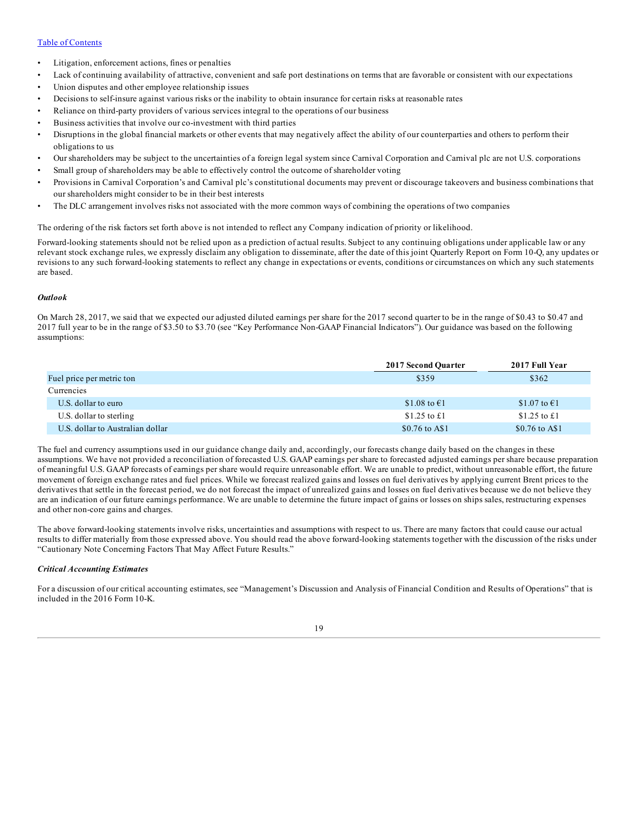- Litigation, enforcement actions, fines or penalties
- Lack of continuing availability of attractive, convenient and safe port destinations on terms that are favorable or consistent with our expectations
- Union disputes and other employee relationship issues
- Decisions to self-insure against various risks or the inability to obtain insurance for certain risks at reasonable rates
- Reliance on third-party providers of various services integral to the operations of our business
- Business activities that involve our co-investment with third parties
- Disruptions in the global financial markets or other events that may negatively affect the ability of our counterparties and others to perform their obligations to us
- Our shareholders may be subject to the uncertainties of a foreign legal system since Carnival Corporation and Carnival plc are not U.S. corporations
- Small group of shareholders may be able to effectively control the outcome of shareholder voting
- Provisions in Carnival Corporation's and Carnival plc's constitutional documents may prevent or discourage takeovers and business combinations that our shareholders might consider to be in their best interests
- The DLC arrangement involves risks not associated with the more common ways of combining the operations of two companies

The ordering of the risk factors set forth above is not intended to reflect any Company indication of priority or likelihood.

Forward-looking statements should not be relied upon as a prediction of actual results. Subject to any continuing obligations under applicable law or any relevant stock exchange rules, we expressly disclaim any obligation to disseminate, after the date of this joint Quarterly Report on Form 10-Q, any updates or revisions to any such forward-looking statements to reflect any change in expectations or events, conditions or circumstances on which any such statements are based.

### *Outlook*

On March 28, 2017, we said that we expected our adjusted diluted earnings per share for the 2017 second quarter to be in the range of \$0.43 to \$0.47 and 2017 full year to be in the range of \$3.50 to \$3.70 (see "Key Performance Non-GAAP Financial Indicators"). Our guidance was based on the following assumptions:

|                                  | <b>2017 Second Quarter</b> | 2017 Full Year         |
|----------------------------------|----------------------------|------------------------|
| Fuel price per metric ton        | \$359                      | \$362                  |
| Currencies                       |                            |                        |
| U.S. dollar to euro              | \$1.08 to $\epsilon$ 1     | \$1.07 to $\epsilon$ 1 |
| U.S. dollar to sterling          | \$1.25 to £1               | \$1.25 to £1           |
| U.S. dollar to Australian dollar | \$0.76 to A\$1             | \$0.76 to A\$1         |

The fuel and currency assumptions used in our guidance change daily and, accordingly, our forecasts change daily based on the changes in these assumptions. We have not provided a reconciliation of forecasted U.S. GAAP earnings per share to forecasted adjusted earnings per share because preparation of meaningful U.S. GAAP forecasts of earnings per share would require unreasonable effort. We are unable to predict, without unreasonable effort, the future movement of foreign exchange rates and fuel prices. While we forecast realized gains and losses on fuel derivatives by applying current Brent prices to the derivatives that settle in the forecast period, we do not forecast the impact of unrealized gains and losses on fuel derivatives because we do not believe they are an indication of our future earnings performance. We are unable to determine the future impact of gains or losses on ships sales, restructuring expenses and other non-core gains and charges.

The above forward-looking statements involve risks, uncertainties and assumptions with respect to us. There are many factors that could cause our actual results to differ materially from those expressed above. You should read the above forward-looking statements together with the discussion of the risks under "Cautionary Note Concerning Factors That May Affect Future Results."

## *Critical Accounting Estimates*

For a discussion of our critical accounting estimates, see "Management's Discussion and Analysis of Financial Condition and Results of Operations" that is included in the 2016 Form 10-K.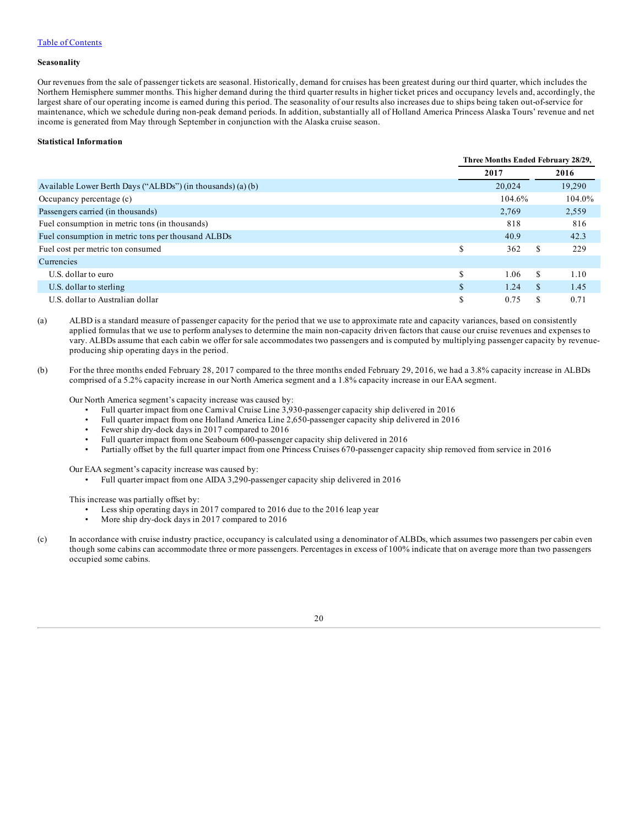#### **Seasonality**

Our revenues from the sale of passenger tickets are seasonal. Historically, demand for cruises has been greatest during our third quarter, which includes the Northern Hemisphere summer months. This higher demand during the third quarter results in higher ticket prices and occupancy levels and, accordingly, the largest share of our operating income is earned during this period. The seasonality of our results also increases due to ships being taken out-of-service for maintenance, which we schedule during non-peak demand periods. In addition, substantially all of Holland America Princess Alaska Tours' revenue and net income is generated from May through September in conjunction with the Alaska cruise season.

#### **Statistical Information**

|                                                             |    | Three Months Ended February 28/29, |          |        |  |
|-------------------------------------------------------------|----|------------------------------------|----------|--------|--|
|                                                             |    | 2017                               |          | 2016   |  |
| Available Lower Berth Days ("ALBDs") (in thousands) (a) (b) |    | 20,024                             |          | 19,290 |  |
| Occupancy percentage (c)                                    |    | 104.6%                             |          | 104.0% |  |
| Passengers carried (in thousands)                           |    | 2,769                              |          | 2,559  |  |
| Fuel consumption in metric tons (in thousands)              |    | 818                                |          | 816    |  |
| Fuel consumption in metric tons per thousand ALBDs          |    | 40.9                               |          | 42.3   |  |
| Fuel cost per metric ton consumed                           | \$ | 362                                | \$.      | 229    |  |
| Currencies                                                  |    |                                    |          |        |  |
| U.S. dollar to euro                                         | \$ | 1.06                               | \$.      | 1.10   |  |
| U.S. dollar to sterling                                     | \$ | 1.24                               | <b>S</b> | 1.45   |  |
| U.S. dollar to Australian dollar                            | S  | 0.75                               | \$.      | 0.71   |  |

(a) ALBD is a standard measure of passenger capacity for the period that we use to approximate rate and capacity variances, based on consistently applied formulas that we use to perform analyses to determine the main non-capacity driven factors that cause our cruise revenues and expenses to vary. ALBDs assume that each cabin we offer for sale accommodates two passengers and is computed by multiplying passenger capacity by revenueproducing ship operating days in the period.

(b) For the three months ended February 28, 2017 compared to the three months ended February 29, 2016, we had a 3.8% capacity increase in ALBDs comprised of a 5.2% capacity increase in our North America segment and a 1.8% capacity increase in our EAA segment.

Our North America segment's capacity increase was caused by:

- Full quarter impact from one Carnival Cruise Line 3,930-passenger capacity ship delivered in 2016
- Full quarter impact from one Holland America Line 2,650-passenger capacity ship delivered in 2016
- Fewer ship dry-dock days in 2017 compared to 2016
- Full quarter impact from one Seabourn 600-passenger capacity ship delivered in 2016
- Partially offset by the full quarter impact from one Princess Cruises 670-passenger capacity ship removed from service in 2016

Our EAA segment's capacity increase was caused by:

• Full quarter impact from one AIDA 3,290-passenger capacity ship delivered in 2016

This increase was partially offset by:

- Less ship operating days in 2017 compared to 2016 due to the 2016 leap year
- More ship dry-dock days in 2017 compared to 2016
- (c) In accordance with cruise industry practice, occupancy is calculated using a denominator of ALBDs, which assumes two passengers per cabin even though some cabins can accommodate three or more passengers. Percentages in excess of 100% indicate that on average more than two passengers occupied some cabins.

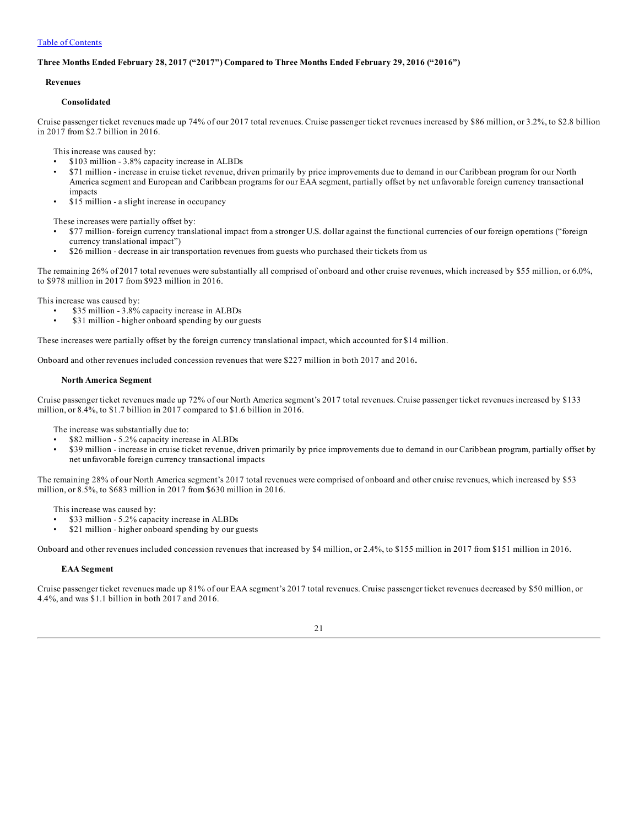### **Three Months Ended February 28, 2017 ("2017") Compared to Three Months Ended February 29, 2016 ("2016")**

#### **Revenues**

#### **Consolidated**

Cruise passenger ticket revenues made up 74% of our 2017 total revenues. Cruise passenger ticket revenues increased by \$86 million, or 3.2%, to \$2.8 billion in 2017 from \$2.7 billion in 2016.

This increase was caused by:

- \$103 million 3.8% capacity increase in ALBDs
- \$71 million increase in cruise ticket revenue, driven primarily by price improvements due to demand in our Caribbean program for our North America segment and European and Caribbean programs for our EAA segment, partially offset by net unfavorable foreign currency transactional impacts
- \$15 million a slight increase in occupancy

These increases were partially offset by:

- \$77 million- foreign currency translational impact from a stronger U.S. dollar against the functional currencies of our foreign operations ("foreign currency translational impact")
- \$26 million decrease in air transportation revenues from guests who purchased their tickets from us

The remaining 26% of 2017 total revenues were substantially all comprised of onboard and other cruise revenues, which increased by \$55 million, or 6.0%, to \$978 million in 2017 from \$923 million in 2016.

This increase was caused by:

- \$35 million 3.8% capacity increase in ALBDs
- \$31 million higher onboard spending by our guests

These increases were partially offset by the foreign currency translational impact, which accounted for \$14 million.

Onboard and other revenues included concession revenues that were \$227 million in both 2017 and 2016**.**

#### **North America Segment**

Cruise passenger ticket revenues made up 72% of our North America segment's 2017 total revenues. Cruise passenger ticket revenues increased by \$133 million, or 8.4%, to \$1.7 billion in 2017 compared to \$1.6 billion in 2016.

The increase was substantially due to:

- \$82 million 5.2% capacity increase in ALBDs
- \$39 million increase in cruise ticket revenue, driven primarily by price improvements due to demand in our Caribbean program, partially offset by net unfavorable foreign currency transactional impacts

The remaining 28% of our North America segment's 2017 total revenues were comprised of onboard and other cruise revenues, which increased by \$53 million, or 8.5%, to \$683 million in 2017 from \$630 million in 2016.

This increase was caused by:

- \$33 million 5.2% capacity increase in ALBDs
- \$21 million higher onboard spending by our guests

Onboard and other revenues included concession revenues that increased by \$4 million, or 2.4%, to \$155 million in 2017 from \$151 million in 2016.

#### **EAA Segment**

Cruise passenger ticket revenues made up 81% of our EAA segment's 2017 total revenues. Cruise passenger ticket revenues decreased by \$50 million, or 4.4%, and was \$1.1 billion in both 2017 and 2016.

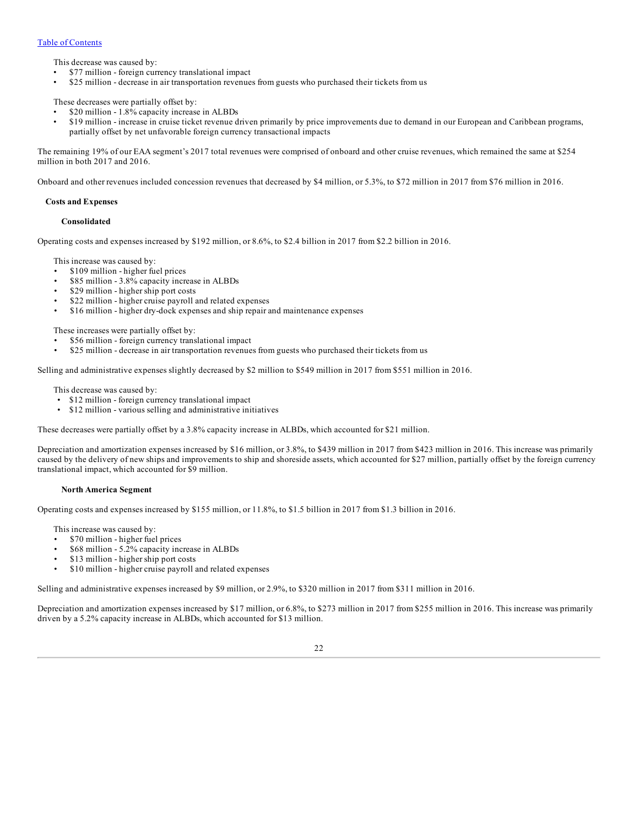This decrease was caused by:

- \$77 million foreign currency translational impact
- \$25 million decrease in air transportation revenues from guests who purchased their tickets from us

These decreases were partially offset by:

- \$20 million 1.8% capacity increase in ALBDs
- \$19 million increase in cruise ticket revenue driven primarily by price improvements due to demand in our European and Caribbean programs, partially offset by net unfavorable foreign currency transactional impacts

The remaining 19% of our EAA segment's 2017 total revenues were comprised of onboard and other cruise revenues, which remained the same at \$254 million in both 2017 and 2016.

Onboard and other revenues included concession revenues that decreased by \$4 million, or 5.3%, to \$72 million in 2017 from \$76 million in 2016.

#### **Costs and Expenses**

#### **Consolidated**

Operating costs and expenses increased by \$192 million, or 8.6%, to \$2.4 billion in 2017 from \$2.2 billion in 2016.

This increase was caused by:

- \$109 million higher fuel prices
- \$85 million 3.8% capacity increase in ALBDs
- \$29 million higher ship port costs
- \$22 million higher cruise payroll and related expenses
- \$16 million higher dry-dock expenses and ship repair and maintenance expenses

These increases were partially offset by:

- \$56 million foreign currency translational impact
- \$25 million decrease in air transportation revenues from guests who purchased their tickets from us

Selling and administrative expenses slightly decreased by \$2 million to \$549 million in 2017 from \$551 million in 2016.

This decrease was caused by:

- \$12 million foreign currency translational impact
- \$12 million various selling and administrative initiatives

These decreases were partially offset by a 3.8% capacity increase in ALBDs, which accounted for \$21 million.

Depreciation and amortization expenses increased by \$16 million, or 3.8%, to \$439 million in 2017 from \$423 million in 2016. This increase was primarily caused by the delivery of new ships and improvements to ship and shoreside assets, which accounted for \$27 million, partially offset by the foreign currency translational impact, which accounted for \$9 million.

#### **North America Segment**

Operating costs and expenses increased by \$155 million, or 11.8%, to \$1.5 billion in 2017 from \$1.3 billion in 2016.

This increase was caused by:

- \$70 million higher fuel prices
- \$68 million 5.2% capacity increase in ALBDs
- \$13 million higher ship port costs
- \$10 million higher cruise payroll and related expenses

Selling and administrative expenses increased by \$9 million, or 2.9%, to \$320 million in 2017 from \$311 million in 2016.

Depreciation and amortization expenses increased by \$17 million, or 6.8%, to \$273 million in 2017 from \$255 million in 2016. This increase was primarily driven by a 5.2% capacity increase in ALBDs, which accounted for \$13 million.

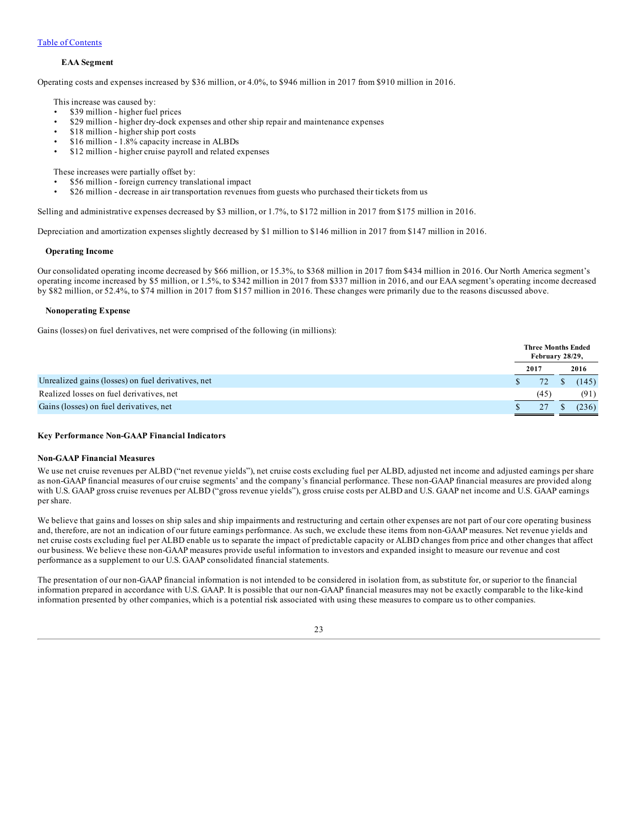#### **EAA Segment**

Operating costs and expenses increased by \$36 million, or 4.0%, to \$946 million in 2017 from \$910 million in 2016.

This increase was caused by:

- \$39 million higher fuel prices
- \$29 million higher dry-dock expenses and other ship repair and maintenance expenses
- \$18 million higher ship port costs
- \$16 million 1.8% capacity increase in ALBDs
- \$12 million higher cruise payroll and related expenses

These increases were partially offset by:

- \$56 million foreign currency translational impact
- \$26 million decrease in air transportation revenues from guests who purchased their tickets from us

Selling and administrative expenses decreased by \$3 million, or 1.7%, to \$172 million in 2017 from \$175 million in 2016.

Depreciation and amortization expenses slightly decreased by \$1 million to \$146 million in 2017 from \$147 million in 2016.

### **Operating Income**

Our consolidated operating income decreased by \$66 million, or 15.3%, to \$368 million in 2017 from \$434 million in 2016. Our North America segment's operating income increased by \$5 million, or 1.5%, to \$342 million in 2017 from \$337 million in 2016, and our EAA segment's operating income decreased by \$82 million, or 52.4%, to \$74 million in 2017 from \$157 million in 2016. These changes were primarily due to the reasons discussed above.

### **Nonoperating Expense**

Gains (losses) on fuel derivatives, net were comprised of the following (in millions):

|                                                    |  | <b>Three Months Ended</b><br>February 28/29, |      |       |  |
|----------------------------------------------------|--|----------------------------------------------|------|-------|--|
|                                                    |  | 2017                                         | 2016 |       |  |
| Unrealized gains (losses) on fuel derivatives, net |  | 72                                           |      | (145) |  |
| Realized losses on fuel derivatives, net           |  | (45)                                         |      | (91)  |  |
| Gains (losses) on fuel derivatives, net            |  |                                              |      | (236) |  |

# **Key Performance Non-GAAP Financial Indicators**

#### **Non-GAAP Financial Measures**

We use net cruise revenues per ALBD ("net revenue yields"), net cruise costs excluding fuel per ALBD, adjusted net income and adjusted earnings per share as non-GAAP financial measures of our cruise segments' and the company's financial performance. These non-GAAP financial measures are provided along with U.S. GAAP gross cruise revenues per ALBD ("gross revenue yields"), gross cruise costs per ALBD and U.S. GAAP net income and U.S. GAAP earnings per share.

We believe that gains and losses on ship sales and ship impairments and restructuring and certain other expenses are not part of our core operating business and, therefore, are not an indication of our future earnings performance. As such, we exclude these items from non-GAAP measures. Net revenue yields and net cruise costs excluding fuel per ALBD enable us to separate the impact of predictable capacity or ALBD changes from price and other changes that affect our business. We believe these non-GAAP measures provide useful information to investors and expanded insight to measure our revenue and cost performance as a supplement to our U.S. GAAP consolidated financial statements.

The presentation of our non-GAAP financial information is not intended to be considered in isolation from, as substitute for, or superior to the financial information prepared in accordance with U.S. GAAP. It is possible that our non-GAAP financial measures may not be exactly comparable to the like-kind information presented by other companies, which is a potential risk associated with using these measures to compare us to other companies.

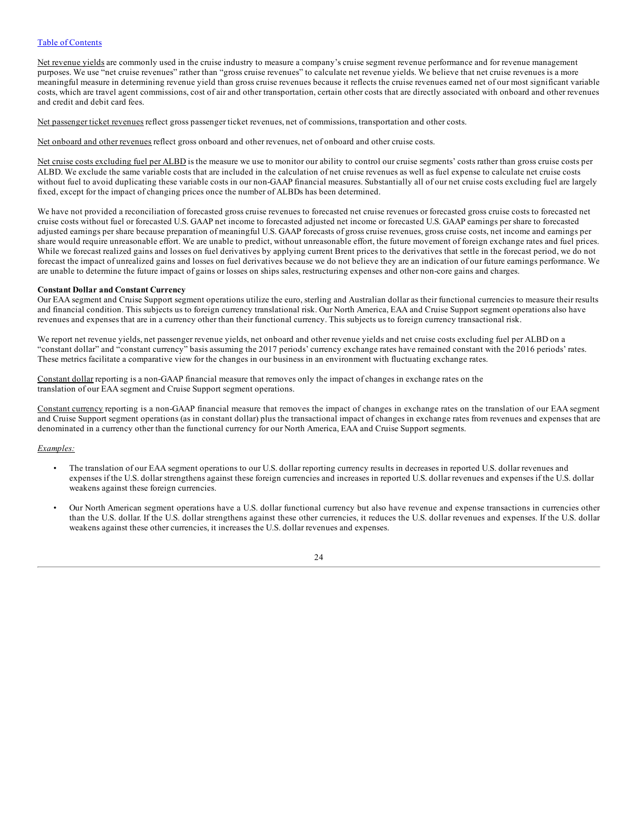Net revenue yields are commonly used in the cruise industry to measure a company's cruise segment revenue performance and for revenue management purposes. We use "net cruise revenues" rather than "gross cruise revenues" to calculate net revenue yields. We believe that net cruise revenues is a more meaningful measure in determining revenue yield than gross cruise revenues because it reflects the cruise revenues earned net of our most significant variable costs, which are travel agent commissions, cost of air and other transportation, certain other costs that are directly associated with onboard and other revenues and credit and debit card fees.

Net passenger ticket revenues reflect gross passenger ticket revenues, net of commissions, transportation and other costs.

Net onboard and other revenues reflect gross onboard and other revenues, net of onboard and other cruise costs.

Net cruise costs excluding fuel per ALBD is the measure we use to monitor our ability to control our cruise segments' costs rather than gross cruise costs per ALBD. We exclude the same variable costs that are included in the calculation of net cruise revenues as well as fuel expense to calculate net cruise costs without fuel to avoid duplicating these variable costs in our non-GAAP financial measures. Substantially all of our net cruise costs excluding fuel are largely fixed, except for the impact of changing prices once the number of ALBDs has been determined.

We have not provided a reconciliation of forecasted gross cruise revenues to forecasted net cruise revenues or forecasted gross cruise costs to forecasted net cruise costs without fuel or forecasted U.S. GAAP net income to forecasted adjusted net income or forecasted U.S. GAAP earnings per share to forecasted adjusted earnings per share because preparation of meaningful U.S. GAAP forecasts of gross cruise revenues, gross cruise costs, net income and earnings per share would require unreasonable effort. We are unable to predict, without unreasonable effort, the future movement of foreign exchange rates and fuel prices. While we forecast realized gains and losses on fuel derivatives by applying current Brent prices to the derivatives that settle in the forecast period, we do not forecast the impact of unrealized gains and losses on fuel derivatives because we do not believe they are an indication of our future earnings performance. We are unable to determine the future impact of gains or losses on ships sales, restructuring expenses and other non-core gains and charges.

### **Constant Dollar and Constant Currency**

Our EAA segment and Cruise Support segment operations utilize the euro, sterling and Australian dollar as their functional currencies to measure their results and financial condition. This subjects us to foreign currency translational risk. Our North America, EAA and Cruise Support segment operations also have revenues and expenses that are in a currency other than their functional currency. This subjects us to foreign currency transactional risk.

We report net revenue yields, net passenger revenue yields, net onboard and other revenue yields and net cruise costs excluding fuel per ALBD on a "constant dollar" and "constant currency" basis assuming the 2017 periods' currency exchange rates have remained constant with the 2016 periods' rates. These metrics facilitate a comparative view for the changes in our business in an environment with fluctuating exchange rates.

Constant dollar reporting is a non-GAAP financial measure that removes only the impact of changes in exchange rates on the translation of our EAA segment and Cruise Support segment operations.

Constant currency reporting is a non-GAAP financial measure that removes the impact of changes in exchange rates on the translation of our EAA segment and Cruise Support segment operations (as in constant dollar) plus the transactional impact of changes in exchange rates from revenues and expenses that are denominated in a currency other than the functional currency for our North America, EAA and Cruise Support segments.

# *Examples:*

- The translation of our EAA segment operations to our U.S. dollar reporting currency results in decreases in reported U.S. dollar revenues and expenses if the U.S. dollar strengthens against these foreign currencies and increases in reported U.S. dollar revenues and expenses if the U.S. dollar weakens against these foreign currencies.
- Our North American segment operations have a U.S. dollar functional currency but also have revenue and expense transactions in currencies other than the U.S. dollar. If the U.S. dollar strengthens against these other currencies, it reduces the U.S. dollar revenues and expenses. If the U.S. dollar weakens against these other currencies, it increases the U.S. dollar revenues and expenses.

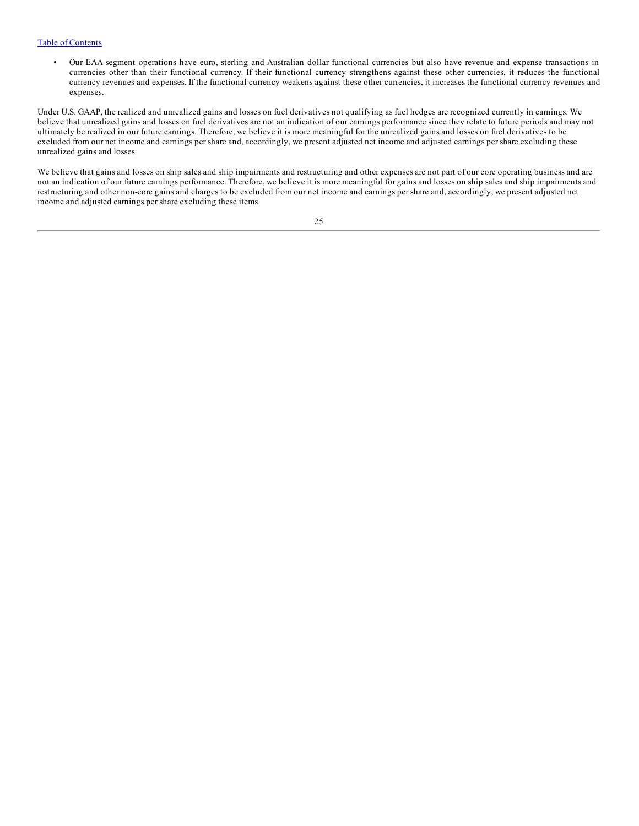• Our EAA segment operations have euro, sterling and Australian dollar functional currencies but also have revenue and expense transactions in currencies other than their functional currency. If their functional currency strengthens against these other currencies, it reduces the functional currency revenues and expenses. If the functional currency weakens against these other currencies, it increases the functional currency revenues and expenses.

Under U.S. GAAP, the realized and unrealized gains and losses on fuel derivatives not qualifying as fuel hedges are recognized currently in earnings. We believe that unrealized gains and losses on fuel derivatives are not an indication of our earnings performance since they relate to future periods and may not ultimately be realized in our future earnings. Therefore, we believe it is more meaningful for the unrealized gains and losses on fuel derivatives to be excluded from our net income and earnings per share and, accordingly, we present adjusted net income and adjusted earnings per share excluding these unrealized gains and losses.

We believe that gains and losses on ship sales and ship impairments and restructuring and other expenses are not part of our core operating business and are not an indication of our future earnings performance. Therefore, we believe it is more meaningful for gains and losses on ship sales and ship impairments and restructuring and other non-core gains and charges to be excluded from our net income and earnings per share and, accordingly, we present adjusted net income and adjusted earnings per share excluding these items.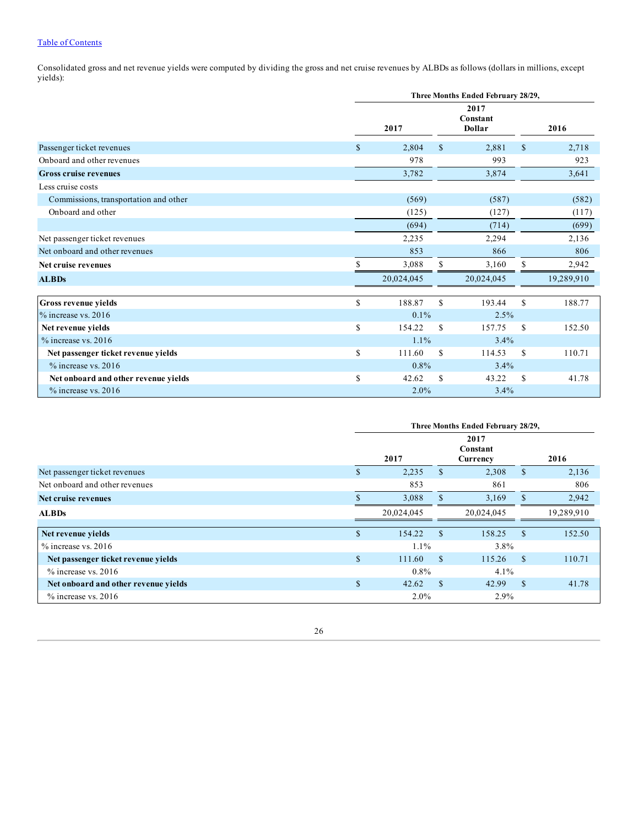Consolidated gross and net revenue yields were computed by dividing the gross and net cruise revenues by ALBDs as follows (dollars in millions, except yields):

|                                       |               | Three Months Ended February 28/29, |              |                            |               |            |  |  |  |  |
|---------------------------------------|---------------|------------------------------------|--------------|----------------------------|---------------|------------|--|--|--|--|
|                                       |               | 2017                               |              | 2017<br>Constant<br>Dollar |               | 2016       |  |  |  |  |
| Passenger ticket revenues             | $\mathbb{S}$  | 2,804                              | $\mathbf{s}$ | 2,881                      | $\mathbb{S}$  | 2,718      |  |  |  |  |
| Onboard and other revenues            |               | 978                                |              | 993                        |               | 923        |  |  |  |  |
| <b>Gross cruise revenues</b>          |               | 3,782                              |              | 3,874                      |               | 3,641      |  |  |  |  |
| Less cruise costs                     |               |                                    |              |                            |               |            |  |  |  |  |
| Commissions, transportation and other |               | (569)                              |              | (587)                      |               | (582)      |  |  |  |  |
| Onboard and other                     |               | (125)                              |              | (127)                      |               | (117)      |  |  |  |  |
|                                       |               | (694)                              |              | (714)                      |               | (699)      |  |  |  |  |
| Net passenger ticket revenues         |               | 2,235                              |              | 2,294                      |               | 2,136      |  |  |  |  |
| Net onboard and other revenues        |               | 853                                |              | 866                        |               | 806        |  |  |  |  |
| Net cruise revenues                   | $\mathbf S$   | 3,088                              | S            | 3,160                      | S             | 2,942      |  |  |  |  |
| <b>ALBDs</b>                          |               | 20,024,045                         |              | 20,024,045                 |               | 19,289,910 |  |  |  |  |
| <b>Gross revenue yields</b>           | <sup>\$</sup> | 188.87                             | S            | 193.44                     | \$            | 188.77     |  |  |  |  |
| $%$ increase vs. 2016                 |               | $0.1\%$                            |              | 2.5%                       |               |            |  |  |  |  |
| Net revenue yields                    | <sup>\$</sup> | 154.22                             | $\mathbb{S}$ | 157.75                     | <sup>\$</sup> | 152.50     |  |  |  |  |
| $%$ increase vs. 2016                 |               | 1.1%                               |              | 3.4%                       |               |            |  |  |  |  |
| Net passenger ticket revenue yields   | $\mathbf S$   | 111.60                             | $\mathbb{S}$ | 114.53                     | <sup>\$</sup> | 110.71     |  |  |  |  |
| $%$ increase vs. 2016                 |               | $0.8\%$                            |              | 3.4%                       |               |            |  |  |  |  |
| Net onboard and other revenue yields  | <sup>\$</sup> | 42.62                              | \$           | 43.22                      | \$            | 41.78      |  |  |  |  |
| $%$ increase vs. 2016                 |               | 2.0%                               |              | 3.4%                       |               |            |  |  |  |  |

|                                      |               | Three Months Ended February 28/29, |               |                              |               |            |  |  |  |  |
|--------------------------------------|---------------|------------------------------------|---------------|------------------------------|---------------|------------|--|--|--|--|
|                                      |               | 2017                               |               | 2017<br>Constant<br>Currency |               | 2016       |  |  |  |  |
| Net passenger ticket revenues        | <sup>\$</sup> | 2,235                              | <sup>\$</sup> | 2,308                        | <sup>\$</sup> | 2,136      |  |  |  |  |
| Net onboard and other revenues       |               | 853                                |               | 861                          |               | 806        |  |  |  |  |
| Net cruise revenues                  |               | 3,088                              |               | 3,169                        |               | 2,942      |  |  |  |  |
| <b>ALBDs</b>                         |               | 20,024,045                         |               | 20,024,045                   |               | 19,289,910 |  |  |  |  |
| Net revenue yields                   | $\mathbf{\$}$ | 154.22                             | $\mathcal{S}$ | 158.25                       | <sup>\$</sup> | 152.50     |  |  |  |  |
| $\%$ increase vs. 2016               |               | $1.1\%$                            |               | 3.8%                         |               |            |  |  |  |  |
| Net passenger ticket revenue yields  | $\mathbb{S}$  | 111.60                             | $\mathcal{S}$ | 115.26                       | -S            | 110.71     |  |  |  |  |
| $\%$ increase vs. 2016               |               | $0.8\%$                            |               | 4.1%                         |               |            |  |  |  |  |
| Net onboard and other revenue yields | $\mathbb{S}$  | 42.62                              | $\mathcal{S}$ | 42.99                        | <sup>\$</sup> | 41.78      |  |  |  |  |
| $%$ increase vs. 2016                |               | $2.0\%$                            |               | $2.9\%$                      |               |            |  |  |  |  |

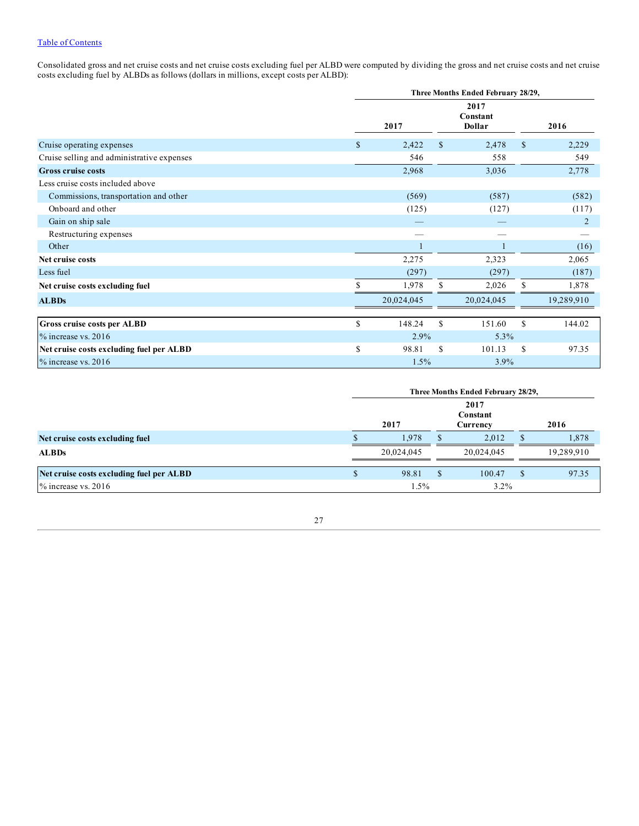Consolidated gross and net cruise costs and net cruise costs excluding fuel per ALBD were computed by dividing the gross and net cruise costs and net cruise costs excluding fuel by ALBDs as follows (dollars in millions, except costs per ALBD):

|                                            |               | Three Months Ended February 28/29, |               |                                   |              |            |  |  |  |  |
|--------------------------------------------|---------------|------------------------------------|---------------|-----------------------------------|--------------|------------|--|--|--|--|
|                                            |               | 2017                               |               | 2017<br>Constant<br><b>Dollar</b> |              | 2016       |  |  |  |  |
| Cruise operating expenses                  | $\mathcal{S}$ | 2,422                              | <sup>\$</sup> | 2,478                             | $\mathbb{S}$ | 2,229      |  |  |  |  |
| Cruise selling and administrative expenses |               | 546                                |               | 558                               |              | 549        |  |  |  |  |
| <b>Gross cruise costs</b>                  |               | 2,968                              |               | 3,036                             |              | 2,778      |  |  |  |  |
| Less cruise costs included above           |               |                                    |               |                                   |              |            |  |  |  |  |
| Commissions, transportation and other      |               | (569)                              |               | (587)                             |              | (582)      |  |  |  |  |
| Onboard and other                          |               | (125)                              |               | (127)                             |              | (117)      |  |  |  |  |
| Gain on ship sale                          |               |                                    |               |                                   |              | 2          |  |  |  |  |
| Restructuring expenses                     |               |                                    |               |                                   |              |            |  |  |  |  |
| Other                                      |               |                                    |               |                                   |              | (16)       |  |  |  |  |
| Net cruise costs                           |               | 2,275                              |               | 2,323                             |              | 2,065      |  |  |  |  |
| Less fuel                                  |               | (297)                              |               | (297)                             |              | (187)      |  |  |  |  |
| Net cruise costs excluding fuel            |               | 1,978                              | S             | 2,026                             | S            | 1,878      |  |  |  |  |
| <b>ALBDs</b>                               |               | 20,024,045                         |               | 20,024,045                        |              | 19,289,910 |  |  |  |  |
| <b>Gross cruise costs per ALBD</b>         | \$            | 148.24                             | \$            | 151.60                            | \$.          | 144.02     |  |  |  |  |
| $%$ increase vs. 2016                      |               | 2.9%                               |               | 5.3%                              |              |            |  |  |  |  |
| Net cruise costs excluding fuel per ALBD   | <sup>\$</sup> | 98.81                              | \$            | 101.13                            | \$           | 97.35      |  |  |  |  |
| $%$ increase vs. 2016                      |               | 1.5%                               |               | 3.9%                              |              |            |  |  |  |  |

|                                          |     | Three Months Ended February 28/29, |  |            |  |            |  |  |  |  |
|------------------------------------------|-----|------------------------------------|--|------------|--|------------|--|--|--|--|
|                                          |     | 2017                               |  | 2016       |  |            |  |  |  |  |
| Net cruise costs excluding fuel          |     | 1.978                              |  | 2.012      |  | 1,878      |  |  |  |  |
| <b>ALBDs</b>                             |     | 20,024,045                         |  | 20.024.045 |  | 19,289,910 |  |  |  |  |
| Net cruise costs excluding fuel per ALBD | \$. | 98.81                              |  | 100.47     |  | 97.35      |  |  |  |  |
| $\%$ increase vs. 2016                   |     | $1.5\%$                            |  | $3.2\%$    |  |            |  |  |  |  |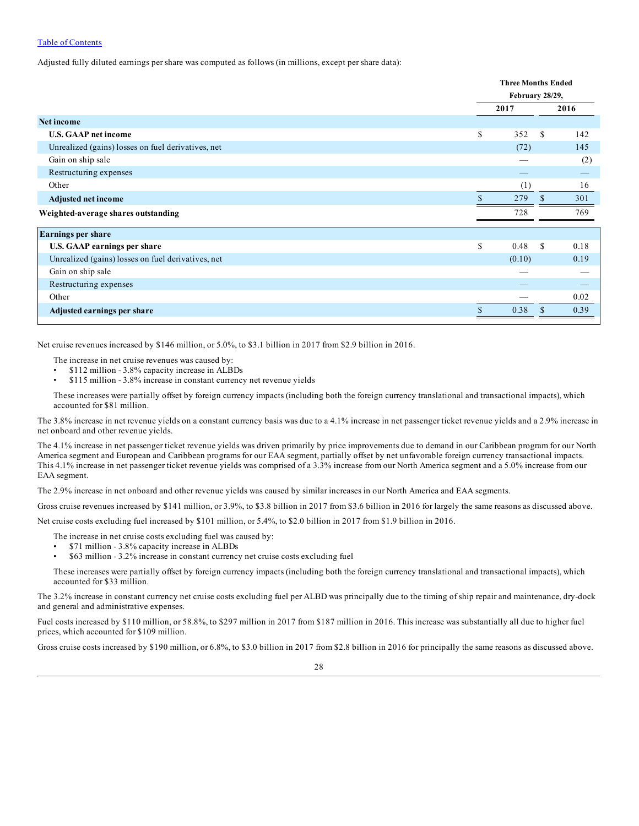Adjusted fully diluted earnings per share was computed as follows (in millions, except per share data):

|                                                    | <b>Three Months Ended</b><br>February 28/29, |        |   |      |
|----------------------------------------------------|----------------------------------------------|--------|---|------|
|                                                    |                                              | 2017   |   | 2016 |
| Net income                                         |                                              |        |   |      |
| <b>U.S. GAAP net income</b>                        | \$                                           | 352    | S | 142  |
| Unrealized (gains) losses on fuel derivatives, net |                                              | (72)   |   | 145  |
| Gain on ship sale                                  |                                              |        |   | (2)  |
| Restructuring expenses                             |                                              |        |   |      |
| Other                                              |                                              | (1)    |   | 16   |
| <b>Adjusted net income</b>                         |                                              | 279    |   | 301  |
| Weighted-average shares outstanding                |                                              | 728    |   | 769  |
| <b>Earnings per share</b>                          |                                              |        |   |      |
| U.S. GAAP earnings per share                       | \$                                           | 0.48   | S | 0.18 |
| Unrealized (gains) losses on fuel derivatives, net |                                              | (0.10) |   | 0.19 |
| Gain on ship sale                                  |                                              |        |   |      |
| Restructuring expenses                             |                                              |        |   |      |
| Other                                              |                                              |        |   | 0.02 |
| Adjusted earnings per share                        |                                              | 0.38   |   | 0.39 |

Net cruise revenues increased by \$146 million, or 5.0%, to \$3.1 billion in 2017 from \$2.9 billion in 2016.

- The increase in net cruise revenues was caused by:
- \$112 million 3.8% capacity increase in ALBDs
- \$115 million 3.8% increase in constant currency net revenue yields

These increases were partially offset by foreign currency impacts (including both the foreign currency translational and transactional impacts), which accounted for \$81 million.

The 3.8% increase in net revenue yields on a constant currency basis was due to a 4.1% increase in net passenger ticket revenue yields and a 2.9% increase in net onboard and other revenue yields.

The 4.1% increase in net passenger ticket revenue yields was driven primarily by price improvements due to demand in our Caribbean program for our North America segment and European and Caribbean programs for our EAA segment, partially offset by net unfavorable foreign currency transactional impacts. This 4.1% increase in net passenger ticket revenue yields was comprised of a 3.3% increase from our North America segment and a 5.0% increase from our EAA segment.

The 2.9% increase in net onboard and other revenue yields was caused by similar increases in our North America and EAA segments.

Gross cruise revenues increased by \$141 million, or 3.9%, to \$3.8 billion in 2017 from \$3.6 billion in 2016 for largely the same reasons as discussed above.

Net cruise costs excluding fuel increased by \$101 million, or 5.4%, to \$2.0 billion in 2017 from \$1.9 billion in 2016.

- The increase in net cruise costs excluding fuel was caused by:
- \$71 million 3.8% capacity increase in ALBDs
- \$63 million 3.2% increase in constant currency net cruise costs excluding fuel

These increases were partially offset by foreign currency impacts (including both the foreign currency translational and transactional impacts), which accounted for \$33 million.

The 3.2% increase in constant currency net cruise costs excluding fuel per ALBD was principally due to the timing of ship repair and maintenance, dry-dock and general and administrative expenses.

Fuel costs increased by \$110 million, or 58.8%, to \$297 million in 2017 from \$187 million in 2016. This increase was substantially all due to higher fuel prices, which accounted for \$109 million.

Gross cruise costs increased by \$190 million, or 6.8%, to \$3.0 billion in 2017 from \$2.8 billion in 2016 for principally the same reasons as discussed above.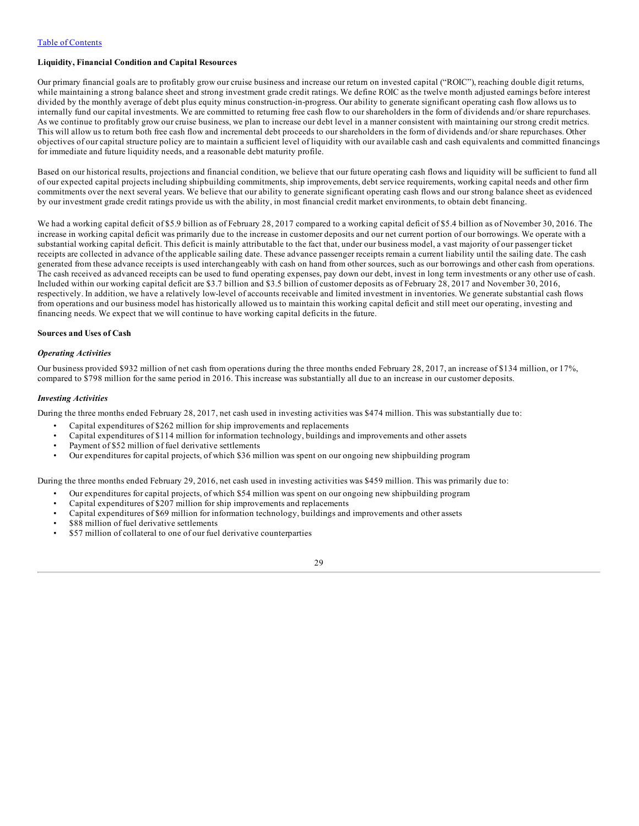#### **Liquidity, Financial Condition and Capital Resources**

Our primary financial goals are to profitably grow our cruise business and increase our return on invested capital ("ROIC"), reaching double digit returns, while maintaining a strong balance sheet and strong investment grade credit ratings. We define ROIC as the twelve month adjusted earnings before interest divided by the monthly average of debt plus equity minus construction-in-progress. Our ability to generate significant operating cash flow allows us to internally fund our capital investments. We are committed to returning free cash flow to our shareholders in the form of dividends and/or share repurchases. As we continue to profitably grow our cruise business, we plan to increase our debt level in a manner consistent with maintaining our strong credit metrics. This will allow us to return both free cash flow and incremental debt proceeds to our shareholders in the form of dividends and/or share repurchases. Other objectives of our capital structure policy are to maintain a sufficient level of liquidity with our available cash and cash equivalents and committed financings for immediate and future liquidity needs, and a reasonable debt maturity profile.

Based on our historical results, projections and financial condition, we believe that our future operating cash flows and liquidity will be sufficient to fund all of our expected capital projects including shipbuilding commitments, ship improvements, debt service requirements, working capital needs and other firm commitments over the next several years. We believe that our ability to generate significant operating cash flows and our strong balance sheet as evidenced by our investment grade credit ratings provide us with the ability, in most financial credit market environments, to obtain debt financing.

We had a working capital deficit of \$5.9 billion as of February 28, 2017 compared to a working capital deficit of \$5.4 billion as of November 30, 2016. The increase in working capital deficit was primarily due to the increase in customer deposits and our net current portion of our borrowings. We operate with a substantial working capital deficit. This deficit is mainly attributable to the fact that, under our business model, a vast majority of our passenger ticket receipts are collected in advance of the applicable sailing date. These advance passenger receipts remain a current liability until the sailing date. The cash generated from these advance receipts is used interchangeably with cash on hand from other sources, such as our borrowings and other cash from operations. The cash received as advanced receipts can be used to fund operating expenses, pay down our debt, invest in long term investments or any other use of cash. Included within our working capital deficit are \$3.7 billion and \$3.5 billion of customer deposits as of February 28, 2017 and November 30, 2016, respectively. In addition, we have a relatively low-level of accounts receivable and limited investment in inventories. We generate substantial cash flows from operations and our business model has historically allowed us to maintain this working capital deficit and still meet our operating, investing and financing needs. We expect that we will continue to have working capital deficits in the future.

#### **Sources and Uses of Cash**

#### *Operating Activities*

Our business provided \$932 million of net cash from operations during the three months ended February 28, 2017, an increase of \$134 million, or 17%, compared to \$798 million for the same period in 2016. This increase was substantially all due to an increase in our customer deposits.

#### *Investing Activities*

During the three months ended February 28, 2017, net cash used in investing activities was \$474 million. This was substantially due to:

- Capital expenditures of \$262 million for ship improvements and replacements
- Capital expenditures of \$114 million for information technology, buildings and improvements and other assets
- Payment of \$52 million of fuel derivative settlements
- Our expenditures for capital projects, of which \$36 million was spent on our ongoing new shipbuilding program

During the three months ended February 29, 2016, net cash used in investing activities was \$459 million. This was primarily due to:

- Our expenditures for capital projects, of which \$54 million was spent on our ongoing new shipbuilding program
- Capital expenditures of \$207 million for ship improvements and replacements
- Capital expenditures of \$69 million for information technology, buildings and improvements and other assets
- \$88 million of fuel derivative settlements
- \$57 million of collateral to one of our fuel derivative counterparties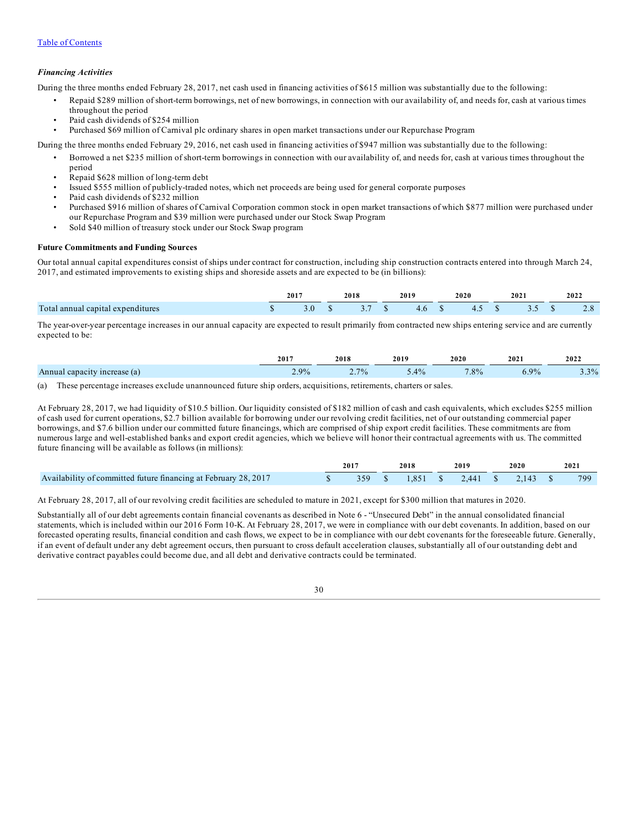# *Financing Activities*

During the three months ended February 28, 2017, net cash used in financing activities of \$615 million was substantially due to the following:

- Repaid \$289 million of short-term borrowings, net of new borrowings, in connection with our availability of, and needs for, cash at various times throughout the period
- Paid cash dividends of \$254 million
- Purchased \$69 million of Carnival plc ordinary shares in open market transactions under our Repurchase Program

During the three months ended February 29, 2016, net cash used in financing activities of \$947 million was substantially due to the following:

- Borrowed a net \$235 million of short-term borrowings in connection with our availability of, and needs for, cash at various times throughout the period
- Repaid \$628 million of long-term debt
- Issued \$555 million of publicly-traded notes, which net proceeds are being used for general corporate purposes
- Paid cash dividends of \$232 million
- Purchased \$916 million of shares of Carnival Corporation common stock in open market transactions of which \$877 million were purchased under our Repurchase Program and \$39 million were purchased under our Stock Swap Program
- Sold \$40 million of treasury stock under our Stock Swap program

#### **Future Commitments and Funding Sources**

Our total annual capital expenditures consist of ships under contract for construction, including ship construction contracts entered into through March 24, 2017, and estimated improvements to existing ships and shoreside assets and are expected to be (in billions):

|                                   | 2017 | 2018 | 2019 | 2020 | 2021                               | 2022 |
|-----------------------------------|------|------|------|------|------------------------------------|------|
| Total annual capital expenditures |      |      |      |      | 3.0 \$ 3.7 \$ 4.6 \$ 4.5 \$ 3.5 \$ | 2.8  |

The year-over-year percentage increases in our annual capacity are expected to result primarily from contracted new ships entering service and are currently expected to be:

|                              | 2017 | 2018  | 2019    | 2020    | 2021 | 2022 |
|------------------------------|------|-------|---------|---------|------|------|
| Annual capacity increase (a) | 9%   | $7\%$ | $3.4\%$ | $7.8\%$ | 6.9% | 3.3% |

(a) These percentage increases exclude unannounced future ship orders, acquisitions, retirements, charters or sales.

At February 28, 2017, we had liquidity of \$10.5 billion. Our liquidity consisted of \$182 million of cash and cash equivalents, which excludes \$255 million of cash used for current operations, \$2.7 billion available for borrowing under our revolving credit facilities, net of our outstanding commercial paper borrowings, and \$7.6 billion under our committed future financings, which are comprised of ship export credit facilities. These commitments are from numerous large and well-established banks and export credit agencies, which we believe will honor their contractual agreements with us. The committed future financing will be available as follows (in millions):

|                                                                 | 201' | 2018 | 2019 | 2020                                 | 2021 |
|-----------------------------------------------------------------|------|------|------|--------------------------------------|------|
| Availability of committed future financing at February 28, 2017 |      |      |      | \$ 359 \$ 1.851 \$ 2.441 \$ 2.143 \$ | 799  |

At February 28, 2017, all of our revolving credit facilities are scheduled to mature in 2021, except for \$300 million that matures in 2020.

Substantially all of our debt agreements contain financial covenants as described in Note 6 - "Unsecured Debt" in the annual consolidated financial statements, which is included within our 2016 Form 10-K. At February 28, 2017, we were in compliance with our debt covenants. In addition, based on our forecasted operating results, financial condition and cash flows, we expect to be in compliance with our debt covenants for the foreseeable future. Generally, if an event of default under any debt agreement occurs, then pursuant to cross default acceleration clauses, substantially all of our outstanding debt and derivative contract payables could become due, and all debt and derivative contracts could be terminated.

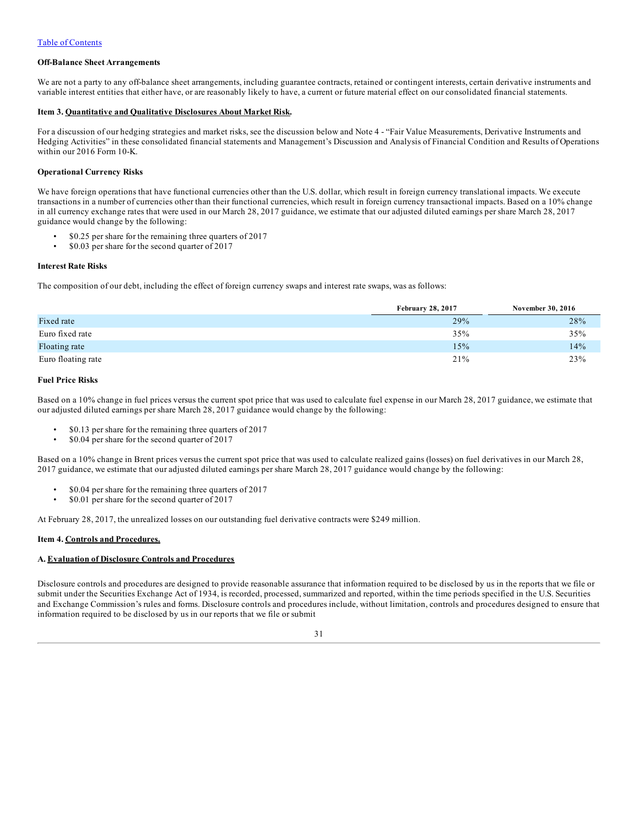#### <span id="page-30-0"></span>**Off-Balance Sheet Arrangements**

We are not a party to any off-balance sheet arrangements, including guarantee contracts, retained or contingent interests, certain derivative instruments and variable interest entities that either have, or are reasonably likely to have, a current or future material effect on our consolidated financial statements.

#### **Item 3. Quantitative and Qualitative Disclosures About Market Risk.**

For a discussion of our hedging strategies and market risks, see the discussion below and Note 4 - "Fair Value Measurements, Derivative Instruments and Hedging Activities" in these consolidated financial statements and Management's Discussion and Analysis of Financial Condition and Results of Operations within our 2016 Form 10-K.

#### **Operational Currency Risks**

We have foreign operations that have functional currencies other than the U.S. dollar, which result in foreign currency translational impacts. We execute transactions in a number of currencies other than their functional currencies, which result in foreign currency transactional impacts. Based on a 10% change in all currency exchange rates that were used in our March 28, 2017 guidance, we estimate that our adjusted diluted earnings per share March 28, 2017 guidance would change by the following:

- \$0.25 per share for the remaining three quarters of 2017
- \$0.03 per share for the second quarter of 2017

#### **Interest Rate Risks**

The composition of our debt, including the effect of foreign currency swaps and interest rate swaps, was as follows:

|                    | <b>February 28, 2017</b> | November 30, 2016 |
|--------------------|--------------------------|-------------------|
| Fixed rate         | 29%                      | 28%               |
| Euro fixed rate    | 35%                      | 35%               |
| Floating rate      | 15%                      | 14%               |
| Euro floating rate | 21%                      | 23%               |

#### **Fuel Price Risks**

Based on a 10% change in fuel prices versus the current spot price that was used to calculate fuel expense in our March 28, 2017 guidance, we estimate that our adjusted diluted earnings per share March 28, 2017 guidance would change by the following:

- \$0.13 per share for the remaining three quarters of 2017
- \$0.04 per share for the second quarter of 2017

Based on a 10% change in Brent prices versus the current spot price that was used to calculate realized gains (losses) on fuel derivatives in our March 28, 2017 guidance, we estimate that our adjusted diluted earnings per share March 28, 2017 guidance would change by the following:

- \$0.04 per share for the remaining three quarters of 2017
- \$0.01 per share for the second quarter of 2017

At February 28, 2017, the unrealized losses on our outstanding fuel derivative contracts were \$249 million.

#### **Item 4. Controls and Procedures.**

# **A. Evaluation of Disclosure Controls and Procedures**

Disclosure controls and procedures are designed to provide reasonable assurance that information required to be disclosed by us in the reports that we file or submit under the Securities Exchange Act of 1934, is recorded, processed, summarized and reported, within the time periods specified in the U.S. Securities and Exchange Commission's rules and forms. Disclosure controls and procedures include, without limitation, controls and procedures designed to ensure that information required to be disclosed by us in our reports that we file or submit

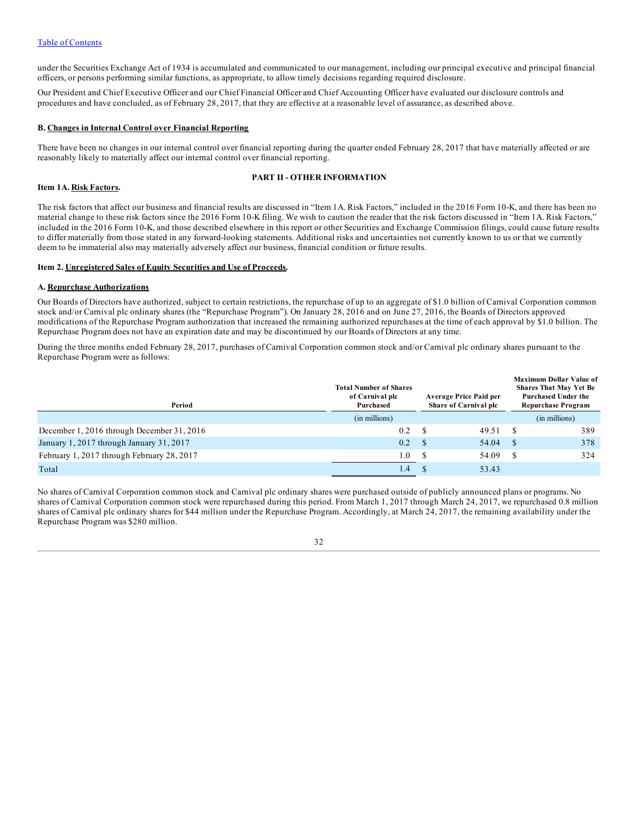<span id="page-31-0"></span>under the Securities Exchange Act of 1934 is accumulated and communicated to our management, including our principal executive and principal financial officers, or persons performing similar functions, as appropriate, to allow timely decisions regarding required disclosure.

Our President and Chief Executive Officer and our Chief Financial Officer and Chief Accounting Officer have evaluated our disclosure controls and procedures and have concluded, as of February 28, 2017, that they are effective at a reasonable level of assurance, as described above.

## **B. Changes in Internal Control over Financial Reporting**

There have been no changes in our internal control over financial reporting during the quarter ended February 28, 2017 that have materially affected or are reasonably likely to materially affect our internal control over financial reporting.

# **PART II - OTHER INFORMATION**

#### **Item 1A. Risk Factors.**

The risk factors that affect our business and financial results are discussed in "Item 1A. Risk Factors," included in the 2016 Form 10-K, and there has been no material change to these risk factors since the 2016 Form 10-K filing. We wish to caution the reader that the risk factors discussed in "Item 1A. Risk Factors," included in the 2016 Form 10-K, and those described elsewhere in this report or other Securities and Exchange Commission filings, could cause future results to differ materially from those stated in any forward-looking statements. Additional risks and uncertainties not currently known to us or that we currently deem to be immaterial also may materially adversely affect our business, financial condition or future results.

#### **Item 2. Unregistered Sales of Equity Securities and Use of Proceeds.**

### **A. Repurchase Authorizations**

Our Boards of Directors have authorized, subject to certain restrictions, the repurchase of up to an aggregate of \$1.0 billion of Carnival Corporation common stock and/or Carnival plc ordinary shares (the "Repurchase Program"). On January 28, 2016 and on June 27, 2016, the Boards of Directors approved modifications of the Repurchase Program authorization that increased the remaining authorized repurchases at the time of each approval by \$1.0 billion. The Repurchase Program does not have an expiration date and may be discontinued by our Boards of Directors at any time.

During the three months ended February 28, 2017, purchases of Carnival Corporation common stock and/or Carnival plc ordinary shares pursuant to the Repurchase Program were as follows:

| Period                                     | <b>Total Number of Shares</b><br>of Carnival plc<br>Purchased | Average Price Paid per<br>Share of Carnival plc |       |   | <b>Maximum Dollar Value of</b><br><b>Shares That May Yet Be</b><br><b>Purchased Under the</b><br>Repurchase Program |  |  |
|--------------------------------------------|---------------------------------------------------------------|-------------------------------------------------|-------|---|---------------------------------------------------------------------------------------------------------------------|--|--|
|                                            | (in millions)                                                 |                                                 |       |   | (in millions)                                                                                                       |  |  |
| December 1, 2016 through December 31, 2016 | 0.2                                                           | -S                                              | 49.51 |   | 389                                                                                                                 |  |  |
| January 1, 2017 through January 31, 2017   | 0.2                                                           | -S                                              | 54.04 |   | 378                                                                                                                 |  |  |
| February 1, 2017 through February 28, 2017 | 1.0                                                           |                                                 | 54.09 | S | 324                                                                                                                 |  |  |
| Total                                      | 1.4                                                           |                                                 | 53.43 |   |                                                                                                                     |  |  |

No shares of Carnival Corporation common stock and Carnival plc ordinary shares were purchased outside of publicly announced plans or programs. No shares of Carnival Corporation common stock were repurchased during this period. From March 1, 2017 through March 24, 2017, we repurchased 0.8 million shares of Carnival plc ordinary shares for \$44 million under the Repurchase Program. Accordingly, at March 24, 2017, the remaining availability under the Repurchase Program was \$280 million.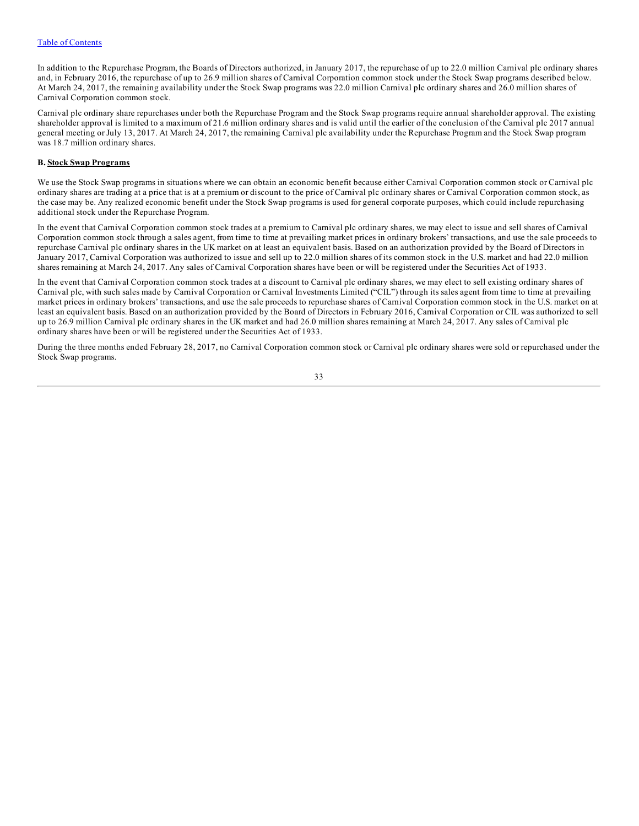<span id="page-32-0"></span>In addition to the Repurchase Program, the Boards of Directors authorized, in January 2017, the repurchase of up to 22.0 million Carnival plc ordinary shares and, in February 2016, the repurchase of up to 26.9 million shares of Carnival Corporation common stock under the Stock Swap programs described below. At March 24, 2017, the remaining availability under the Stock Swap programs was 22.0 million Carnival plc ordinary shares and 26.0 million shares of Carnival Corporation common stock.

Carnival plc ordinary share repurchases under both the Repurchase Program and the Stock Swap programs require annual shareholder approval. The existing shareholder approval is limited to a maximum of 21.6 million ordinary shares and is valid until the earlier of the conclusion of the Carnival plc 2017 annual general meeting or July 13, 2017. At March 24, 2017, the remaining Carnival plc availability under the Repurchase Program and the Stock Swap program was 18.7 million ordinary shares.

## **B. Stock Swap Programs**

We use the Stock Swap programs in situations where we can obtain an economic benefit because either Carnival Corporation common stock or Carnival plc ordinary shares are trading at a price that is at a premium or discount to the price of Carnival plc ordinary shares or Carnival Corporation common stock, as the case may be. Any realized economic benefit under the Stock Swap programs is used for general corporate purposes, which could include repurchasing additional stock under the Repurchase Program.

In the event that Carnival Corporation common stock trades at a premium to Carnival plc ordinary shares, we may elect to issue and sell shares of Carnival Corporation common stock through a sales agent, from time to time at prevailing market prices in ordinary brokers' transactions, and use the sale proceeds to repurchase Carnival plc ordinary shares in the UK market on at least an equivalent basis. Based on an authorization provided by the Board of Directors in January 2017, Carnival Corporation was authorized to issue and sell up to 22.0 million shares of its common stock in the U.S. market and had 22.0 million shares remaining at March 24, 2017. Any sales of Carnival Corporation shares have been or will be registered under the Securities Act of 1933.

In the event that Carnival Corporation common stock trades at a discount to Carnival plc ordinary shares, we may elect to sell existing ordinary shares of Carnival plc, with such sales made by Carnival Corporation or Carnival Investments Limited ("CIL") through its sales agent from time to time at prevailing market prices in ordinary brokers' transactions, and use the sale proceeds to repurchase shares of Carnival Corporation common stock in the U.S. market on at least an equivalent basis. Based on an authorization provided by the Board of Directors in February 2016, Carnival Corporation or CIL was authorized to sell up to 26.9 million Carnival plc ordinary shares in the UK market and had 26.0 million shares remaining at March 24, 2017. Any sales of Carnival plc ordinary shares have been or will be registered under the Securities Act of 1933.

During the three months ended February 28, 2017, no Carnival Corporation common stock or Carnival plc ordinary shares were sold or repurchased under the Stock Swap programs.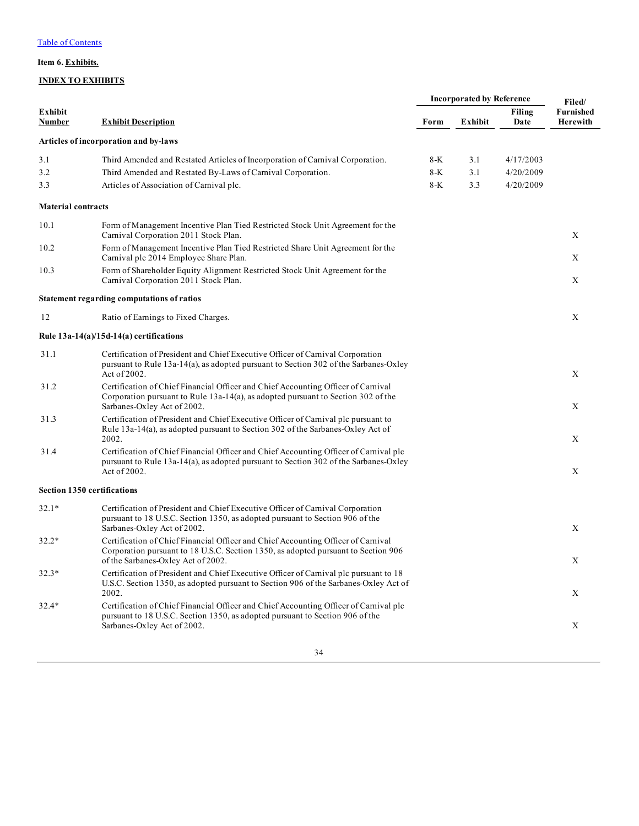# **Item 6. Exhibits.**

# **INDEX TO EXHIBITS**

|                                    |                                                                                                                                                                                                               |       |                | <b>Incorporated by Reference</b> |                                               |  |  |  |  |
|------------------------------------|---------------------------------------------------------------------------------------------------------------------------------------------------------------------------------------------------------------|-------|----------------|----------------------------------|-----------------------------------------------|--|--|--|--|
| Exhibit<br>Number                  | <b>Exhibit Description</b>                                                                                                                                                                                    | Form  | <b>Exhibit</b> | Filing<br>Date                   | Filed/<br><b>Furnished</b><br><b>Herewith</b> |  |  |  |  |
|                                    | Articles of incorporation and by-laws                                                                                                                                                                         |       |                |                                  |                                               |  |  |  |  |
| 3.1                                | Third Amended and Restated Articles of Incorporation of Carnival Corporation.                                                                                                                                 | 8-K   | 3.1            | 4/17/2003                        |                                               |  |  |  |  |
| 3.2                                | Third Amended and Restated By-Laws of Carnival Corporation.                                                                                                                                                   | $8-K$ | 3.1            | 4/20/2009                        |                                               |  |  |  |  |
| 3.3                                | Articles of Association of Carnival plc.                                                                                                                                                                      | $8-K$ | 3.3            | 4/20/2009                        |                                               |  |  |  |  |
| <b>Material contracts</b>          |                                                                                                                                                                                                               |       |                |                                  |                                               |  |  |  |  |
| 10.1                               | Form of Management Incentive Plan Tied Restricted Stock Unit Agreement for the<br>Carnival Corporation 2011 Stock Plan.                                                                                       |       |                |                                  | X                                             |  |  |  |  |
| 10.2                               | Form of Management Incentive Plan Tied Restricted Share Unit Agreement for the<br>Carnival plc 2014 Employee Share Plan.                                                                                      |       |                |                                  | X                                             |  |  |  |  |
| 10.3                               | Form of Shareholder Equity Alignment Restricted Stock Unit Agreement for the<br>Carnival Corporation 2011 Stock Plan.                                                                                         |       |                |                                  | X                                             |  |  |  |  |
|                                    | Statement regarding computations of ratios                                                                                                                                                                    |       |                |                                  |                                               |  |  |  |  |
| 12                                 | Ratio of Earnings to Fixed Charges.                                                                                                                                                                           |       |                |                                  | X                                             |  |  |  |  |
|                                    | Rule $13a-14(a)/15d-14(a)$ certifications                                                                                                                                                                     |       |                |                                  |                                               |  |  |  |  |
| 31.1                               | Certification of President and Chief Executive Officer of Carnival Corporation<br>pursuant to Rule 13a-14(a), as adopted pursuant to Section 302 of the Sarbanes-Oxley<br>Act of 2002.                        |       |                |                                  | $\mathbf X$                                   |  |  |  |  |
| 31.2                               | Certification of Chief Financial Officer and Chief Accounting Officer of Carnival<br>Corporation pursuant to Rule 13a-14(a), as adopted pursuant to Section 302 of the<br>Sarbanes-Oxley Act of 2002.         |       |                |                                  | X                                             |  |  |  |  |
| 31.3                               | Certification of President and Chief Executive Officer of Carnival plc pursuant to<br>Rule 13a-14(a), as adopted pursuant to Section 302 of the Sarbanes-Oxley Act of<br>2002.                                |       |                |                                  | X                                             |  |  |  |  |
| 31.4                               | Certification of Chief Financial Officer and Chief Accounting Officer of Carnival plc<br>pursuant to Rule 13a-14(a), as adopted pursuant to Section 302 of the Sarbanes-Oxley<br>Act of 2002.                 |       |                |                                  | X                                             |  |  |  |  |
| <b>Section 1350 certifications</b> |                                                                                                                                                                                                               |       |                |                                  |                                               |  |  |  |  |
| $32.1*$                            | Certification of President and Chief Executive Officer of Carnival Corporation<br>pursuant to 18 U.S.C. Section 1350, as adopted pursuant to Section 906 of the<br>Sarbanes-Oxley Act of 2002.                |       |                |                                  | X                                             |  |  |  |  |
| $32.2*$                            | Certification of Chief Financial Officer and Chief Accounting Officer of Carnival<br>Corporation pursuant to 18 U.S.C. Section 1350, as adopted pursuant to Section 906<br>of the Sarbanes-Oxley Act of 2002. |       |                |                                  | X                                             |  |  |  |  |
| $32.3*$                            | Certification of President and Chief Executive Officer of Carnival plc pursuant to 18<br>U.S.C. Section 1350, as adopted pursuant to Section 906 of the Sarbanes-Oxley Act of<br>2002.                        |       |                |                                  | X                                             |  |  |  |  |
| $32.4*$                            | Certification of Chief Financial Officer and Chief Accounting Officer of Carnival plc<br>pursuant to 18 U.S.C. Section 1350, as adopted pursuant to Section 906 of the<br>Sarbanes-Oxley Act of 2002.         |       |                |                                  | X                                             |  |  |  |  |
|                                    |                                                                                                                                                                                                               |       |                |                                  |                                               |  |  |  |  |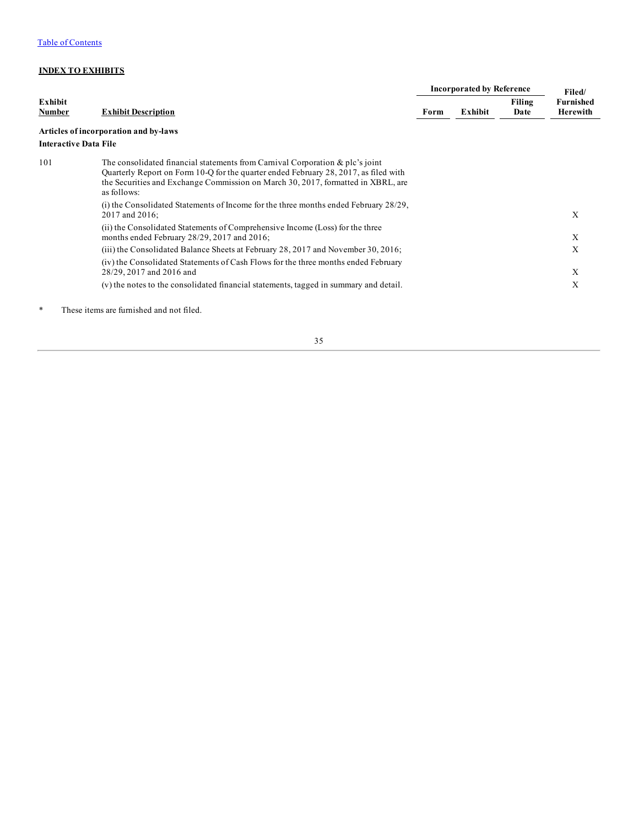# <span id="page-34-0"></span>**INDEX TO EXHIBITS**

|                              |                                                                                                                                                                                                                                                                             | <b>Incorporated by Reference</b> | Filed/  |                |                                     |
|------------------------------|-----------------------------------------------------------------------------------------------------------------------------------------------------------------------------------------------------------------------------------------------------------------------------|----------------------------------|---------|----------------|-------------------------------------|
| Exhibit<br><b>Number</b>     | <b>Exhibit Description</b>                                                                                                                                                                                                                                                  | Form                             | Exhibit | Filing<br>Date | <b>Furnished</b><br><b>Herewith</b> |
|                              | Articles of incorporation and by-laws                                                                                                                                                                                                                                       |                                  |         |                |                                     |
| <b>Interactive Data File</b> |                                                                                                                                                                                                                                                                             |                                  |         |                |                                     |
| 101                          | The consolidated financial statements from Carnival Corporation $\&$ plc's joint<br>Quarterly Report on Form 10-Q for the quarter ended February 28, 2017, as filed with<br>the Securities and Exchange Commission on March 30, 2017, formatted in XBRL, are<br>as follows: |                                  |         |                |                                     |
|                              | (i) the Consolidated Statements of Income for the three months ended February 28/29,<br>2017 and 2016;                                                                                                                                                                      |                                  |         |                | $\mathbf{x}$                        |
|                              | (ii) the Consolidated Statements of Comprehensive Income (Loss) for the three<br>months ended February $28/29$ , $2017$ and $2016$ ;                                                                                                                                        |                                  |         |                | X                                   |
|                              | (iii) the Consolidated Balance Sheets at February 28, 2017 and November 30, 2016;                                                                                                                                                                                           |                                  |         |                | $\mathbf x$                         |
|                              | (iv) the Consolidated Statements of Cash Flows for the three months ended February<br>28/29, 2017 and 2016 and                                                                                                                                                              |                                  |         |                | X                                   |
|                              | (v) the notes to the consolidated financial statements, tagged in summary and detail.                                                                                                                                                                                       |                                  |         |                | X                                   |
|                              |                                                                                                                                                                                                                                                                             |                                  |         |                |                                     |

\* These items are furnished and not filed.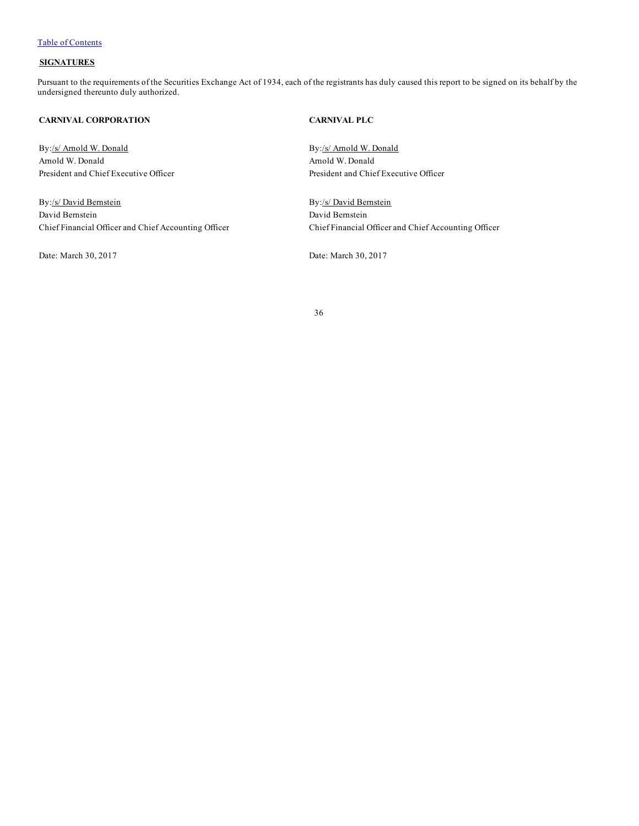### **SIGNATURES**

Pursuant to the requirements of the Securities Exchange Act of 1934, each of the registrants has duly caused this report to be signed on its behalf by the undersigned thereunto duly authorized.

# **CARNIVAL CORPORATION CARNIVAL PLC**

By:/s/ Arnold W. Donald By:/s/ Arnold W. Donald Arnold W. Donald Arnold W. Donald

By:/s/ David Bernstein By:/s/ David Bernstein David Bernstein David Bernstein

President and Chief Executive Officer President and Chief Executive Officer President and Chief Executive Officer

Chief Financial Officer and Chief Accounting Officer Chief Financial Officer and Chief Accounting Officer

Date: March 30, 2017 Date: March 30, 2017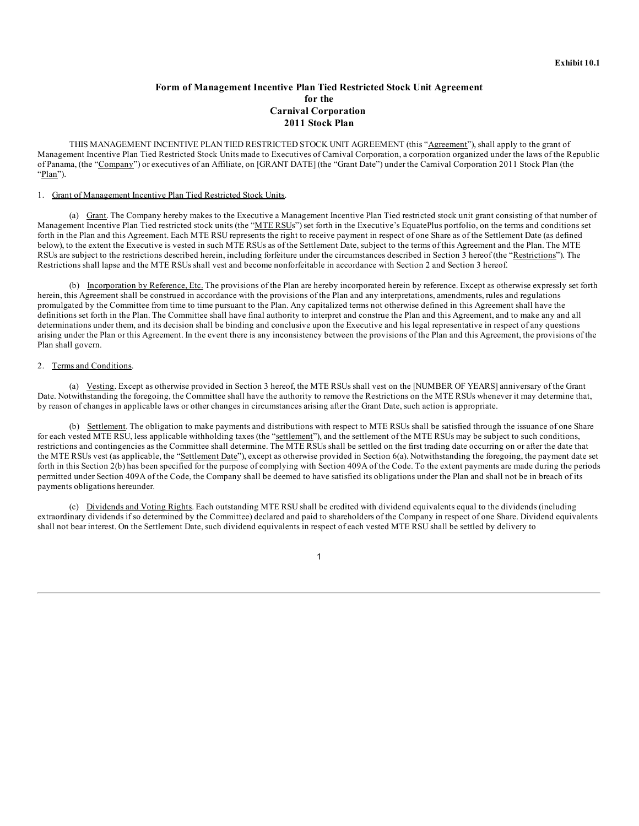# **Form of Management Incentive Plan Tied Restricted Stock Unit Agreement for the Carnival Corporation 2011 Stock Plan**

THIS MANAGEMENT INCENTIVE PLAN TIED RESTRICTED STOCK UNIT AGREEMENT (this "Agreement"), shall apply to the grant of Management Incentive Plan Tied Restricted Stock Units made to Executives of Carnival Corporation, a corporation organized under the laws of the Republic of Panama, (the "Company") or executives of an Affiliate, on [GRANT DATE] (the "Grant Date") under the Carnival Corporation 2011 Stock Plan (the "Plan").

#### 1. Grant of Management Incentive Plan Tied Restricted Stock Units.

(a) Grant. The Company hereby makes to the Executive a Management Incentive Plan Tied restricted stock unit grant consisting of that number of Management Incentive Plan Tied restricted stock units (the "MTE RSUs") set forth in the Executive's EquatePlus portfolio, on the terms and conditions set forth in the Plan and this Agreement. Each MTE RSU represents the right to receive payment in respect of one Share as of the Settlement Date (as defined below), to the extent the Executive is vested in such MTE RSUs as of the Settlement Date, subject to the terms of this Agreement and the Plan. The MTE RSUs are subject to the restrictions described herein, including forfeiture under the circumstances described in Section 3 hereof (the "Restrictions"). The Restrictions shall lapse and the MTE RSUs shall vest and become nonforfeitable in accordance with Section 2 and Section 3 hereof.

(b) Incorporation by Reference, Etc. The provisions of the Plan are hereby incorporated herein by reference. Except as otherwise expressly set forth herein, this Agreement shall be construed in accordance with the provisions of the Plan and any interpretations, amendments, rules and regulations promulgated by the Committee from time to time pursuant to the Plan. Any capitalized terms not otherwise defined in this Agreement shall have the definitions set forth in the Plan. The Committee shall have final authority to interpret and construe the Plan and this Agreement, and to make any and all determinations under them, and its decision shall be binding and conclusive upon the Executive and his legal representative in respect of any questions arising under the Plan or this Agreement. In the event there is any inconsistency between the provisions of the Plan and this Agreement, the provisions of the Plan shall govern.

### 2. Terms and Conditions.

(a) Vesting. Except as otherwise provided in Section 3 hereof, the MTE RSUs shall vest on the [NUMBER OF YEARS] anniversary of the Grant Date. Notwithstanding the foregoing, the Committee shall have the authority to remove the Restrictions on the MTE RSUs whenever it may determine that, by reason of changes in applicable laws or other changes in circumstances arising after the Grant Date, such action is appropriate.

(b) Settlement. The obligation to make payments and distributions with respect to MTE RSUs shall be satisfied through the issuance of one Share for each vested MTE RSU, less applicable withholding taxes (the "settlement"), and the settlement of the MTE RSUs may be subject to such conditions, restrictions and contingencies as the Committee shall determine. The MTE RSUs shall be settled on the first trading date occurring on or after the date that the MTE RSUs vest (as applicable, the "Settlement Date"), except as otherwise provided in Section 6(a). Notwithstanding the foregoing, the payment date set forth in this Section 2(b) has been specified for the purpose of complying with Section 409A of the Code. To the extent payments are made during the periods permitted under Section 409A of the Code, the Company shall be deemed to have satisfied its obligations under the Plan and shall not be in breach of its payments obligations hereunder.

(c) Dividends and Voting Rights. Each outstanding MTE RSU shall be credited with dividend equivalents equal to the dividends (including extraordinary dividends if so determined by the Committee) declared and paid to shareholders of the Company in respect of one Share. Dividend equivalents shall not bear interest. On the Settlement Date, such dividend equivalents in respect of each vested MTE RSU shall be settled by delivery to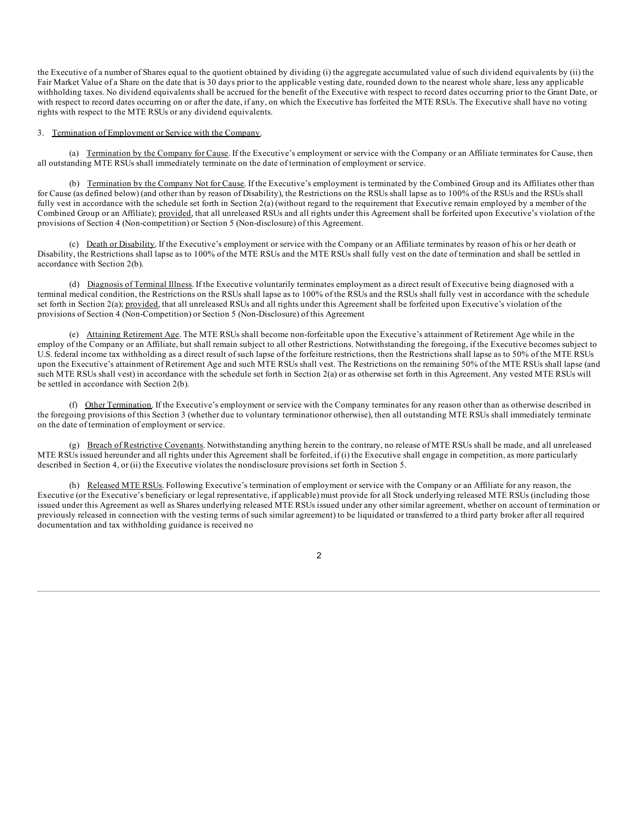the Executive of a number of Shares equal to the quotient obtained by dividing (i) the aggregate accumulated value of such dividend equivalents by (ii) the Fair Market Value of a Share on the date that is 30 days prior to the applicable vesting date, rounded down to the nearest whole share, less any applicable withholding taxes. No dividend equivalents shall be accrued for the benefit of the Executive with respect to record dates occurring prior to the Grant Date, or with respect to record dates occurring on or after the date, if any, on which the Executive has forfeited the MTE RSUs. The Executive shall have no voting rights with [respect](#page-1-0) to the MTE RSUs or any dividend equivalents.

3. Termination of [Employment](#page-1-0) or Service with the Company.

(a) Termination by the Company for Cause. If the Executive's [employment](#page-16-0) or service with the Company or an Affiliate terminates for Cause, t[hen](#page-16-0) all outstanding MTE RSUs shall [immediately](#page-30-0) terminate on the date of termination of employment or service.

(b) [Termination](#page-30-0) by the Company Not for Cause. If the Executive's employment is terminated by the Combined Group and its Affiliates other t[han](#page-30-0) for Cause (as defined below) (and other than by reason of Disability), the Restrictions on the RSUs shall lapse as to 100% of the RSUs and the RSUs shall fully vest in [accordance](#page-31-0) with the schedule set forth in Section 2(a) (without regard to the requirement that Executive remain employed by a member of the Combined Group or an Affiliate); provided, that all unreleased RSUs and all rights under this Agreement shall be forfeited upon Executive's violation of the provisions of [Section](#page-31-0) 4 (Non-competition) or Section 5 (Non-disclosure) of this Agreement.

(c) Death or Disability. If the Executive's [employment](#page-31-0) or service with the Company or an Affiliate terminates by reason of his or her death or Disability, the Restrictions shall lapse as to 100% of the MTE RSUs and the MTE RSUs shall fully vest on the date of termination and shall be settled in accordance with [Sectio](#page-32-0)n 2(b).

[\(d\)](#page-34-0) Diagnosis of Terminal Illness. If the Executive voluntarily terminates employment as a direct result of Executive being diagnosed with a terminal medical condition, the Restrictions on the RSUs shall lapse as to 100% of the RSUs and the RSUs shall fully vest in accordance with the schedule set forth in Section 2(a); provided, that all unreleased RSUs and all rights under this Agreement shall be forfeited upon Executive's violation of the provisions of Section 4 (Non-Competition) or Section 5 (Non-Disclosure) of this Agreement

(e) Attaining Retirement Age. The MTE RSUs shall become non-forfeitable upon the Executive's attainment of Retirement Age while in the employ of the Company or an Affiliate, but shall remain subject to all other Restrictions. Notwithstanding the foregoing, if the Executive becomes subject to U.S. federal income tax withholding as a direct result of such lapse of the forfeiture restrictions, then the Restrictions shall lapse as to 50% of the MTE RSUs upon the Executive's attainment of Retirement Age and such MTE RSUs shall vest. The Restrictions on the remaining 50% of the MTE RSUs shall lapse (and such MTE RSUs shall vest) in accordance with the schedule set forth in Section 2(a) or as otherwise set forth in this Agreement. Any vested MTE RSUs will be settled in accordance with Section 2(b).

(f) Other Termination. If the Executive's employment or service with the Company terminates for any reason other than as otherwise described in the foregoing provisions of this Section 3 (whether due to voluntary terminationor otherwise), then all outstanding MTE RSUs shall immediately terminate on the date of termination of employment or service.

(g) Breach of Restrictive Covenants. Notwithstanding anything herein to the contrary, no release of MTE RSUs shall be made, and all unreleased MTE RSUs issued hereunder and all rights under this Agreement shall be forfeited, if (i) the Executive shall engage in competition, as more particularly described in Section 4, or (ii) the Executive violates the nondisclosure provisions set forth in Section 5.

(h) Released MTE RSUs. Following Executive's termination of employment or service with the Company or an Affiliate for any reason, the Executive (or the Executive's beneficiary or legal representative, if applicable) must provide for all Stock underlying released MTE RSUs (including those issued under this Agreement as well as Shares underlying released MTE RSUs issued under any other similar agreement, whether on account of termination or previously released in connection with the vesting terms of such similar agreement) to be liquidated or transferred to a third party broker after all required documentation and tax withholding guidance is received no

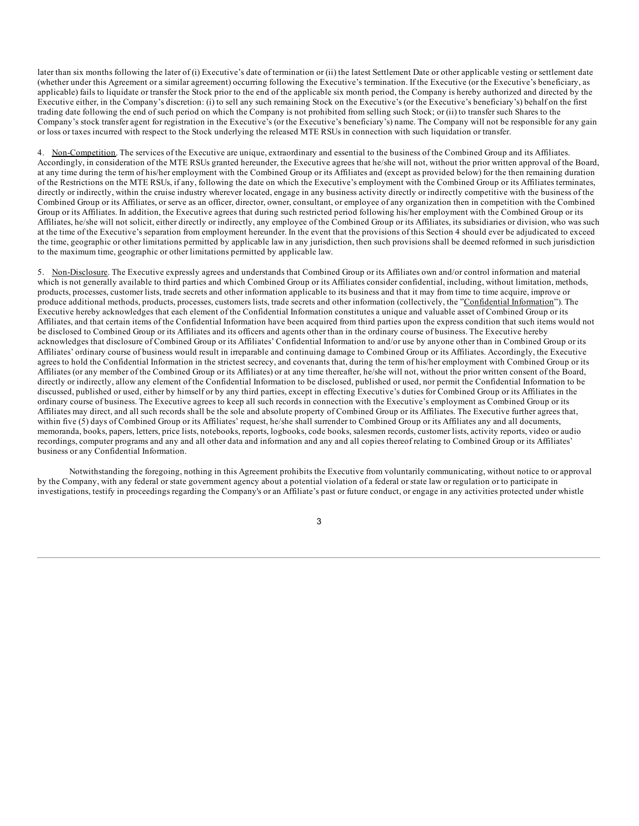later than six months following the later of (i) Executive's date of termination or (ii) the latest Settlement Date or other applicable vesting or settlement date (whether under this Agreement or a similar agreement) occurring following the Executive's termination. If the Executive (or the Executive's beneficiary, as applicable) fails to liquidate or transfer the Stock prior to the end of the applicable six month period, the Company is hereby authorized and directed by the Executive either, in the Company's discretion: (i) to sell any such remaining Stock on the Executive's (or the Executive's beneficiary's) behalf on the first trading date following the end of such period on which the Company is not prohibited from selling such Stock; or (ii) to transfer such Shares to the Company's stock transfer agent for registration in the Executive's (or the Executive's beneficiary's) name. The Company will not be responsible for any gain or loss or taxes incurred with respect to the Stock underlying the released MTE RSUs in connection with such liquidation or transfer.

4. Non-Competition. The services of the Executive are unique, extraordinary and essential to the business of the Combined Group and its Affiliates. Accordingly, in consideration of the MTE RSUs granted hereunder, the Executive agrees that he/she will not, without the prior written approval of the Board, at any time during the term of his/her employment with the Combined Group or its Affiliates and (except as provided below) for the then remaining duration of the Restrictions on the MTE RSUs, if any, following the date on which the Executive's employment with the Combined Group or its Affiliates terminates, directly or indirectly, within the cruise industry wherever located, engage in any business activity directly or indirectly competitive with the business of the Combined Group or its Affiliates, or serve as an officer, director, owner, consultant, or employee of any organization then in competition with the Combined Group or its Affiliates. In addition, the Executive agrees that during such restricted period following his/her employment with the Combined Group or its Affiliates, he/she will not solicit, either directly or indirectly, any employee of the Combined Group or its Affiliates, its subsidiaries or division, who was such at the time of the Executive's separation from employment hereunder. In the event that the provisions of this Section 4 should ever be adjudicated to exceed the time, geographic or other limitations permitted by applicable law in any jurisdiction, then such provisions shall be deemed reformed in such jurisdiction to the maximum time, geographic or other limitations permitted by applicable law.

5. Non-Disclosure. The Executive expressly agrees and understands that Combined Group or its Affiliates own and/or control information and material which is not generally available to third parties and which Combined Group or its Affiliates consider confidential, including, without limitation, methods, products, processes, customer lists, trade secrets and other information applicable to its business and that it may from time to time acquire, improve or produce additional methods, products, processes, customers lists, trade secrets and other information (collectively, the "Confidential Information"). The Executive hereby acknowledges that each element of the Confidential Information constitutes a unique and valuable asset of Combined Group or its Affiliates, and that certain items of the Confidential Information have been acquired from third parties upon the express condition that such items would not be disclosed to Combined Group or its Affiliates and its officers and agents other than in the ordinary course of business. The Executive hereby acknowledges that disclosure of Combined Group or its Affiliates' Confidential Information to and/or use by anyone other than in Combined Group or its Affiliates' ordinary course of business would result in irreparable and continuing damage to Combined Group or its Affiliates. Accordingly, the Executive agrees to hold the Confidential Information in the strictest secrecy, and covenants that, during the term of his/her employment with Combined Group or its Affiliates (or any member of the Combined Group or its Affiliates) or at any time thereafter, he/she will not, without the prior written consent of the Board, directly or indirectly, allow any element of the Confidential Information to be disclosed, published or used, nor permit the Confidential Information to be discussed, published or used, either by himself or by any third parties, except in effecting Executive's duties for Combined Group or its Affiliates in the ordinary course of business. The Executive agrees to keep all such records in connection with the Executive's employment as Combined Group or its Affiliates may direct, and all such records shall be the sole and absolute property of Combined Group or its Affiliates. The Executive further agrees that, within five (5) days of Combined Group or its Affiliates' request, he/she shall surrender to Combined Group or its Affiliates any and all documents, memoranda, books, papers, letters, price lists, notebooks, reports, logbooks, code books, salesmen records, customer lists, activity reports, video or audio recordings, computer programs and any and all other data and information and any and all copies thereof relating to Combined Group or its Affiliates' business or any Confidential Information.

Notwithstanding the foregoing, nothing in this Agreement prohibits the Executive from voluntarily communicating, without notice to or approval by the Company, with any federal or state government agency about a potential violation of a federal or state law or regulation or to participate in investigations, testify in proceedings regarding the Company's or an Affiliate's past or future conduct, or engage in any activities protected under whistle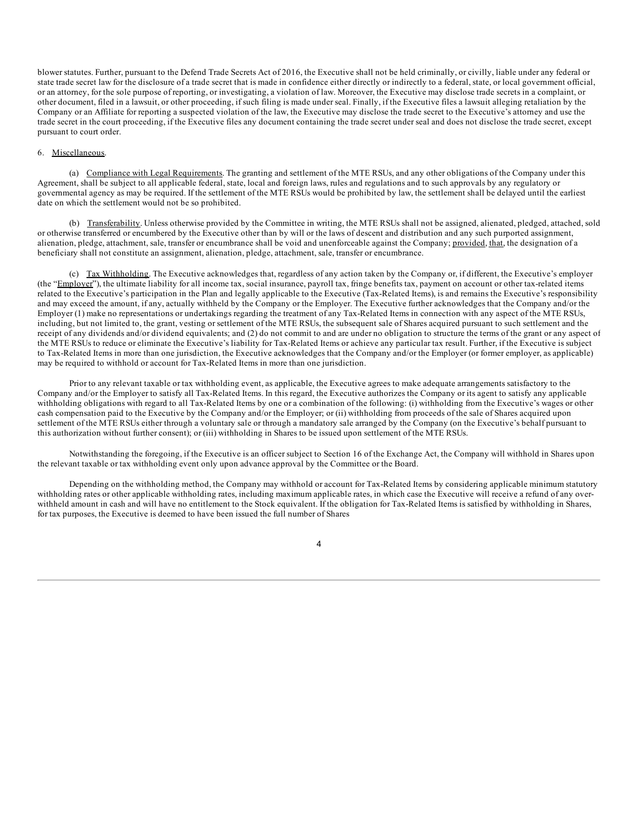blower statutes. Further, pursuant to the Defend Trade Secrets Act of 2016, the Executive shall not be held criminally, or civilly, liable under any federal or state trade secret law for the disclosure of a trade secret that is made in confidence either directly or indirectly to a federal, state, or local government official, or an attorney, for the sole purpose of reporting, or investigating, a violation of law. Moreover, the Executive may disclose trade secrets in a complaint, or other document, filed in a lawsuit, or other proceeding, if such filing is made under seal. Finally, if the Executive files a lawsuit alleging retaliation by the Company or an Affiliate for reporting a suspected violation of the law, the Executive may disclose the trade secret to the Executive's attorney and use the trade secret in the court proceeding, if the Executive files any document containing the trade secret under seal and does not disclose the trade secret, except pursuant to court order.

### 6. Miscellaneous.

(a) Compliance with Legal Requirements. The granting and settlement of the MTE RSUs, and any other obligations of the Company under this Agreement, shall be subject to all applicable federal, state, local and foreign laws, rules and regulations and to such approvals by any regulatory or governmental agency as may be required. If the settlement of the MTE RSUs would be prohibited by law, the settlement shall be delayed until the earliest date on which the settlement would not be so prohibited.

(b) Transferability. Unless otherwise provided by the Committee in writing, the MTE RSUs shall not be assigned, alienated, pledged, attached, sold or otherwise transferred or encumbered by the Executive other than by will or the laws of descent and distribution and any such purported assignment, alienation, pledge, attachment, sale, transfer or encumbrance shall be void and unenforceable against the Company; provided, that, the designation of a beneficiary shall not constitute an assignment, alienation, pledge, attachment, sale, transfer or encumbrance.

(c) Tax Withholding. The Executive acknowledges that, regardless of any action taken by the Company or, if different, the Executive's employer (the "Employer"), the ultimate liability for all income tax, social insurance, payroll tax, fringe benefits tax, payment on account or other tax-related items related to the Executive's participation in the Plan and legally applicable to the Executive (Tax-Related Items), is and remains the Executive's responsibility and may exceed the amount, if any, actually withheld by the Company or the Employer. The Executive further acknowledges that the Company and/or the Employer (1) make no representations or undertakings regarding the treatment of any Tax-Related Items in connection with any aspect of the MTE RSUs, including, but not limited to, the grant, vesting or settlement of the MTE RSUs, the subsequent sale of Shares acquired pursuant to such settlement and the receipt of any dividends and/or dividend equivalents; and (2) do not commit to and are under no obligation to structure the terms of the grant or any aspect of the MTE RSUs to reduce or eliminate the Executive's liability for Tax-Related Items or achieve any particular tax result. Further, if the Executive is subject to Tax-Related Items in more than one jurisdiction, the Executive acknowledges that the Company and/or the Employer (or former employer, as applicable) may be required to withhold or account for Tax-Related Items in more than one jurisdiction.

Prior to any relevant taxable or tax withholding event, as applicable, the Executive agrees to make adequate arrangements satisfactory to the Company and/or the Employer to satisfy all Tax-Related Items. In this regard, the Executive authorizes the Company or its agent to satisfy any applicable withholding obligations with regard to all Tax-Related Items by one or a combination of the following: (i) withholding from the Executive's wages or other cash compensation paid to the Executive by the Company and/or the Employer; or (ii) withholding from proceeds of the sale of Shares acquired upon settlement of the MTE RSUs either through a voluntary sale or through a mandatory sale arranged by the Company (on the Executive's behalf pursuant to this authorization without further consent); or (iii) withholding in Shares to be issued upon settlement of the MTE RSUs.

Notwithstanding the foregoing, if the Executive is an officer subject to Section 16 of the Exchange Act, the Company will withhold in Shares upon the relevant taxable or tax withholding event only upon advance approval by the Committee or the Board.

Depending on the withholding method, the Company may withhold or account for Tax-Related Items by considering applicable minimum statutory withholding rates or other applicable withholding rates, including maximum applicable rates, in which case the Executive will receive a refund of any overwithheld amount in cash and will have no entitlement to the Stock equivalent. If the obligation for Tax-Related Items is satisfied by withholding in Shares, for tax purposes, the Executive is deemed to have been issued the full number of Shares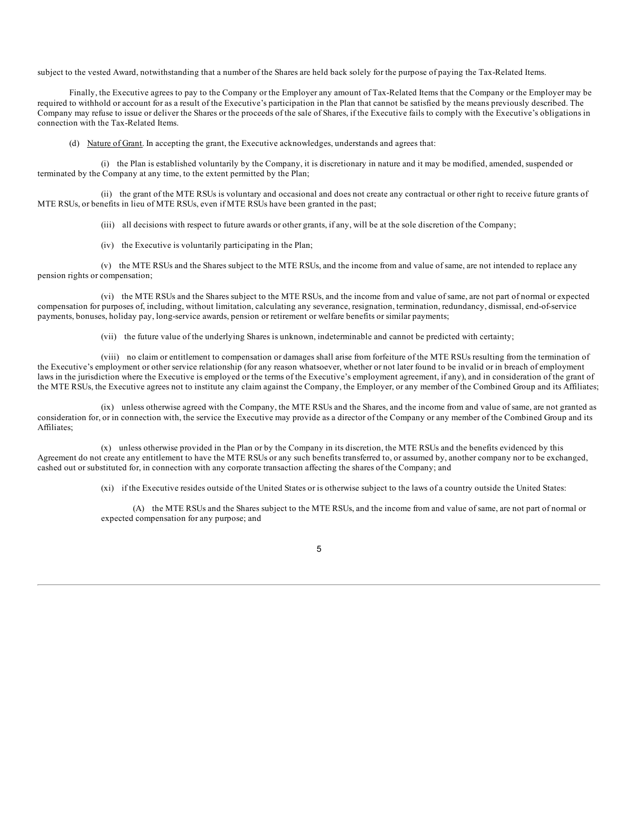subject to the vested Award, notwithstanding that a number of the Shares are held back solely for the purpose of paying the Tax-Related Items.

Finally, the Executive agrees to pay to the Company or the Employer any amount of Tax-Related Items that the Company or the Employer may be required to withhold or account for as a result of the Executive's participation in the Plan that cannot be satisfied by the means previously described. The Company may refuse to issue or deliver the Shares or the proceeds of the sale of Shares, if the Executive fails to comply with the Executive's obligations in connection with the Tax-Related Items.

(d) Nature of Grant. In accepting the grant, the Executive acknowledges, understands and agrees that:

(i) the Plan is established voluntarily by the Company, it is discretionary in nature and it may be modified, amended, suspended or terminated by the Company at any time, to the extent permitted by the Plan;

(ii) the grant of the MTE RSUs is voluntary and occasional and does not create any contractual or other right to receive future grants of MTE RSUs, or benefits in lieu of MTE RSUs, even if MTE RSUs have been granted in the past;

(iii) all decisions with respect to future awards or other grants, if any, will be at the sole discretion of the Company;

(iv) the Executive is voluntarily participating in the Plan;

(v) the MTE RSUs and the Shares subject to the MTE RSUs, and the income from and value of same, are not intended to replace any pension rights or compensation;

(vi) the MTE RSUs and the Shares subject to the MTE RSUs, and the income from and value of same, are not part of normal or expected compensation for purposes of, including, without limitation, calculating any severance, resignation, termination, redundancy, dismissal, end-of-service payments, bonuses, holiday pay, long-service awards, pension or retirement or welfare benefits or similar payments;

(vii) the future value of the underlying Shares is unknown, indeterminable and cannot be predicted with certainty;

(viii) no claim or entitlement to compensation or damages shall arise from forfeiture of the MTE RSUs resulting from the termination of the Executive's employment or other service relationship (for any reason whatsoever, whether or not later found to be invalid or in breach of employment laws in the jurisdiction where the Executive is employed or the terms of the Executive's employment agreement, if any), and in consideration of the grant of the MTE RSUs, the Executive agrees not to institute any claim against the Company, the Employer, or any member of the Combined Group and its Affiliates;

(ix) unless otherwise agreed with the Company, the MTE RSUs and the Shares, and the income from and value of same, are not granted as consideration for, or in connection with, the service the Executive may provide as a director of the Company or any member of the Combined Group and its Affiliates;

(x) unless otherwise provided in the Plan or by the Company in its discretion, the MTE RSUs and the benefits evidenced by this Agreement do not create any entitlement to have the MTE RSUs or any such benefits transferred to, or assumed by, another company nor to be exchanged, cashed out or substituted for, in connection with any corporate transaction affecting the shares of the Company; and

(xi) if the Executive resides outside of the United States or is otherwise subject to the laws of a country outside the United States:

(A) the MTE RSUs and the Shares subject to the MTE RSUs, and the income from and value of same, are not part of normal or expected compensation for any purpose; and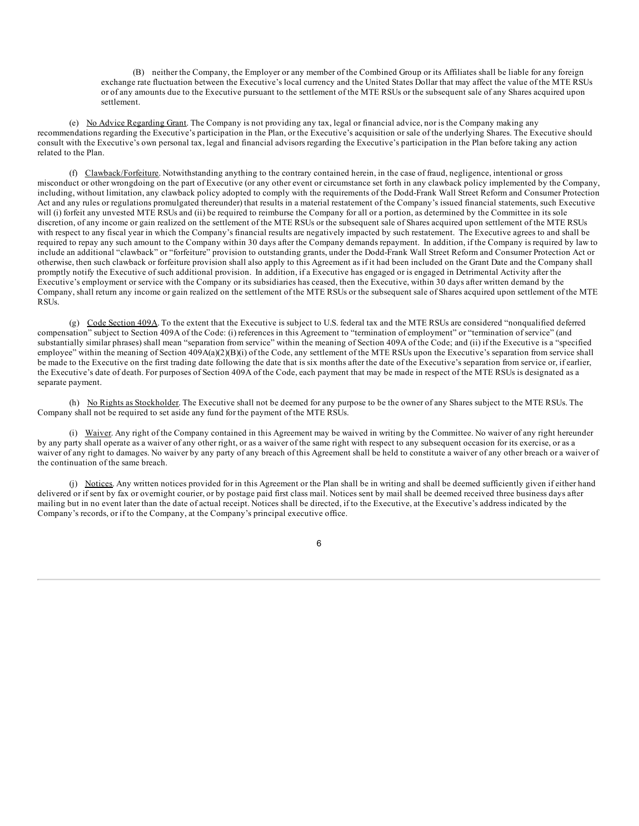(B) neither the Company, the Employer or any member of the Combined Group or its Affiliates shall be liable for any foreign exchange rate fluctuation between the Executive's local currency and the United States Dollar that may affect the value of the MTE RSUs or of any amounts due to the Executive pursuant to the settlement of the MTE RSUs or the subsequent sale of any Shares acquired upon settlement.

(e) No Advice Regarding Grant. The Company is not providing any tax, legal or financial advice, nor is the Company making any recommendations regarding the Executive's participation in the Plan, or the Executive's acquisition or sale of the underlying Shares. The Executive should consult with the Executive's own personal tax, legal and financial advisors regarding the Executive's participation in the Plan before taking any action related to the Plan.

(f) Clawback/Forfeiture. Notwithstanding anything to the contrary contained herein, in the case of fraud, negligence, intentional or gross misconduct or other wrongdoing on the part of Executive (or any other event or circumstance set forth in any clawback policy implemented by the Company, including, without limitation, any clawback policy adopted to comply with the requirements of the Dodd-Frank Wall Street Reform and Consumer Protection Act and any rules or regulations promulgated thereunder) that results in a material restatement of the Company's issued financial statements, such Executive will (i) forfeit any unvested MTE RSUs and (ii) be required to reimburse the Company for all or a portion, as determined by the Committee in its sole discretion, of any income or gain realized on the settlement of the MTE RSUs or the subsequent sale of Shares acquired upon settlement of the MTE RSUs with respect to any fiscal year in which the Company's financial results are negatively impacted by such restatement. The Executive agrees to and shall be required to repay any such amount to the Company within 30 days after the Company demands repayment. In addition, if the Company is required by law to include an additional "clawback" or "forfeiture" provision to outstanding grants, under the Dodd-Frank Wall Street Reform and Consumer Protection Act or otherwise, then such clawback or forfeiture provision shall also apply to this Agreement as if it had been included on the Grant Date and the Company shall promptly notify the Executive of such additional provision. In addition, if a Executive has engaged or is engaged in Detrimental Activity after the Executive's employment or service with the Company or its subsidiaries has ceased, then the Executive, within 30 days after written demand by the Company, shall return any income or gain realized on the settlement of the MTE RSUs or the subsequent sale of Shares acquired upon settlement of the MTE RSUs.

(g) Code Section 409A. To the extent that the Executive is subject to U.S. federal tax and the MTE RSUs are considered "nonqualified deferred compensation" subject to Section 409A of the Code: (i) references in this Agreement to "termination of employment" or "termination of service" (and substantially similar phrases) shall mean "separation from service" within the meaning of Section 409A of the Code; and (ii) if the Executive is a "specified employee" within the meaning of Section  $409A(a)(2)(B)(i)$  of the Code, any settlement of the MTE RSUs upon the Executive's separation from service shall be made to the Executive on the first trading date following the date that is six months after the date of the Executive's separation from service or, if earlier, the Executive's date of death. For purposes of Section 409A of the Code, each payment that may be made in respect of the MTE RSUs is designated as a separate payment.

(h) No Rights as Stockholder. The Executive shall not be deemed for any purpose to be the owner of any Shares subject to the MTE RSUs. The Company shall not be required to set aside any fund for the payment of the MTE RSUs.

(i) Waiver. Any right of the Company contained in this Agreement may be waived in writing by the Committee. No waiver of any right hereunder by any party shall operate as a waiver of any other right, or as a waiver of the same right with respect to any subsequent occasion for its exercise, or as a waiver of any right to damages. No waiver by any party of any breach of this Agreement shall be held to constitute a waiver of any other breach or a waiver of the continuation of the same breach.

(j) Notices. Any written notices provided for in this Agreement or the Plan shall be in writing and shall be deemed sufficiently given if either hand delivered or if sent by fax or overnight courier, or by postage paid first class mail. Notices sent by mail shall be deemed received three business days after mailing but in no event later than the date of actual receipt. Notices shall be directed, if to the Executive, at the Executive's address indicated by the Company's records, or if to the Company, at the Company's principal executive office.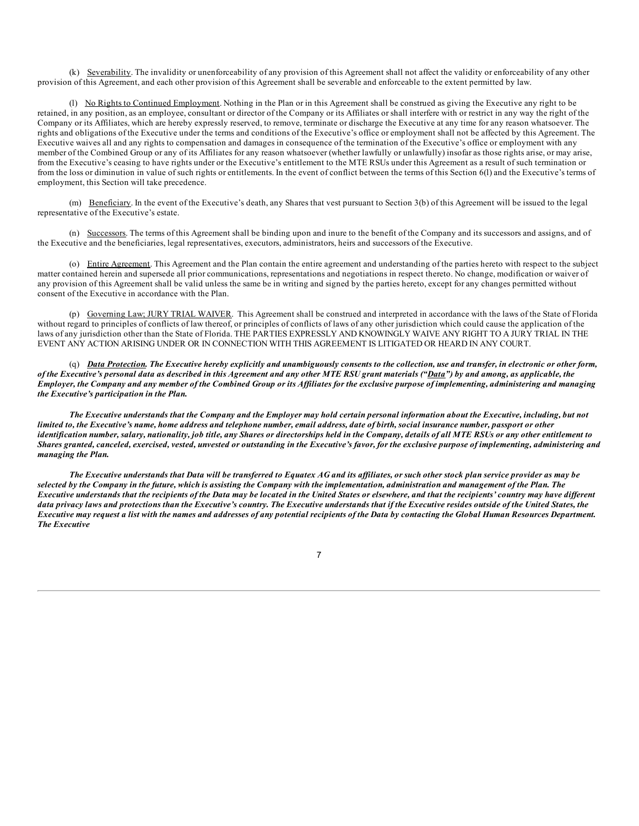(k) Severability. The invalidity or unenforceability of any provision of this Agreement shall not affect the validity or enforceability of any other provision of this Agreement, and each other provision of this Agreement shall be severable and enforceable to the extent permitted by law.

(l) No Rights to Continued Employment. Nothing in the Plan or in this Agreement shall be construed as giving the Executive any right to be retained, in any position, as an employee, consultant or director of the Company or its Affiliates or shall interfere with or restrict in any way the right of the Company or its Affiliates, which are hereby expressly reserved, to remove, terminate or discharge the Executive at any time for any reason whatsoever. The rights and obligations of the Executive under the terms and conditions of the Executive's office or employment shall not be affected by this Agreement. The Executive waives all and any rights to compensation and damages in consequence of the termination of the Executive's office or employment with any member of the Combined Group or any of its Affiliates for any reason whatsoever (whether lawfully or unlawfully) insofar as those rights arise, or may arise, from the Executive's ceasing to have rights under or the Executive's entitlement to the MTE RSUs under this Agreement as a result of such termination or from the loss or diminution in value of such rights or entitlements. In the event of conflict between the terms of this Section 6(l) and the Executive's terms of employment, this Section will take precedence.

(m) Beneficiary. In the event of the Executive's death, any Shares that vest pursuant to Section 3(b) of this Agreement will be issued to the legal representative of the Executive's estate.

(n) Successors. The terms of this Agreement shall be binding upon and inure to the benefit of the Company and its successors and assigns, and of the Executive and the beneficiaries, legal representatives, executors, administrators, heirs and successors of the Executive.

(o) Entire Agreement. This Agreement and the Plan contain the entire agreement and understanding of the parties hereto with respect to the subject matter contained herein and supersede all prior communications, representations and negotiations in respect thereto. No change, modification or waiver of any provision of this Agreement shall be valid unless the same be in writing and signed by the parties hereto, except for any changes permitted without consent of the Executive in accordance with the Plan.

(p) Governing Law; JURY TRIAL WAIVER. This Agreement shall be construed and interpreted in accordance with the laws of the State of Florida without regard to principles of conflicts of law thereof, or principles of conflicts of laws of any other jurisdiction which could cause the application of the laws of any jurisdiction other than the State of Florida. THE PARTIES EXPRESSLY AND KNOWINGLY WAIVE ANY RIGHT TO A JURY TRIAL IN THE EVENT ANY ACTION ARISING UNDER OR IN CONNECTION WITH THIS AGREEMENT IS LITIGATED OR HEARD IN ANY COURT.

(a) Data Protection. The Executive hereby explicitly and unambiguously consents to the collection, use and transfer, in electronic or other form, of the Executive's personal data as described in this Agreement and any other MTE RSU grant materials ("Data") by and among, as applicable, the Employer, the Company and any member of the Combined Group or its Affiliates for the exclusive purpose of implementing, administering and managing *the Executive's participation in the Plan.*

The Executive understands that the Company and the Employer may hold certain personal information about the Executive, including, but not limited to, the Executive's name, home address and telephone number, email address, date of birth, social insurance number, passport or other identification number, salary, nationality, job title, any Shares or directorships held in the Company, details of all MTE RSUs or any other entitlement to Shares granted, canceled, exercised, vested, unvested or outstanding in the Executive's favor, for the exclusive purpose of implementing, administering and *managing the Plan.*

The Executive understands that Data will be transferred to Equatex AG and its affiliates, or such other stock plan service provider as may be selected by the Company in the future, which is assisting the Company with the implementation, administration and management of the Plan. The Executive understands that the recipients of the Data may be located in the United States or elsewhere, and that the recipients' country may have different data privacy laws and protections than the Executive's country. The Executive understands that if the Executive resides outside of the United States, the Executive may request a list with the names and addresses of any potential recipients of the Data by contacting the Global Human Resources Department. *The Executive*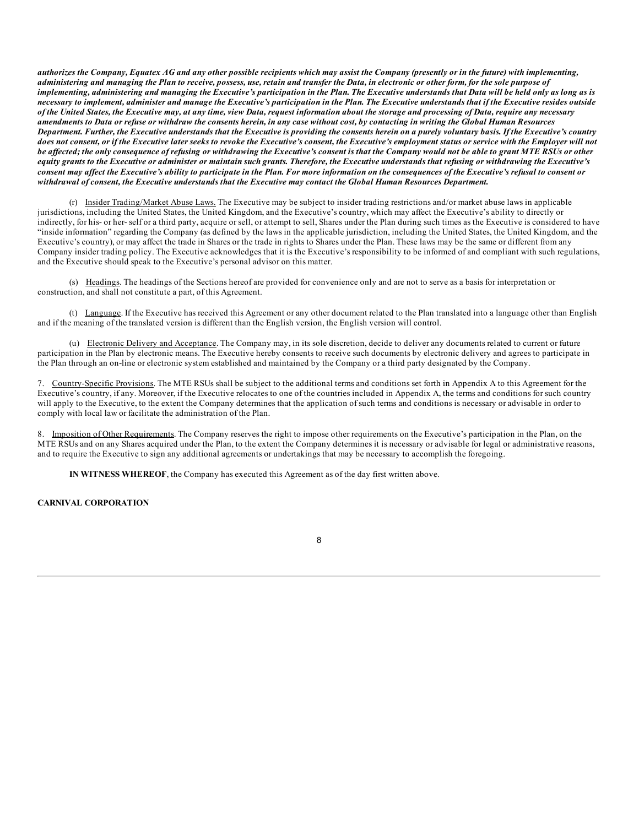authorizes the Company, Equatex AG and any other possible recipients which may assist the Company (presently or in the future) with implementing, administering and managing the Plan to receive, possess, use, retain and transfer the Data, in electronic or other form, for the sole purpose of implementing, administering and managing the Executive's participation in the Plan. The Executive understands that Data will be held only as long as is necessary to implement, administer and manage the Executive's participation in the Plan. The Executive understands that if the Executive resides outside of the United States, the Executive may, at any time, view Data, request information about the storage and processing of Data, require any necessary amendments to Data or refuse or withdraw the consents herein, in any case without cost, by contacting in writing the Global Human Resources Department. Further, the Executive understands that the Executive is providing the consents herein on a purely voluntary basis. If the Executive's country does not consent, or if the Executive later seeks to revoke the Executive's consent, the Executive's employment status or service with the Employer will not be affected; the only consequence of refusing or withdrawing the Executive's consent is that the Company would not be able to grant MTE RSUs or other equity grants to the Executive or administer or maintain such grants. Therefore, the Executive understands that refusing or withdrawing the Executive's consent may affect the Executive's ability to participate in the Plan. For more information on the consequences of the Executive's refusal to consent or withdrawal of consent, the Executive understands that the Executive may contact the Global Human Resources Department.

(r) Insider Trading/Market Abuse Laws. The Executive may be subject to insider trading restrictions and/or market abuse laws in applicable jurisdictions, including the United States, the United Kingdom, and the Executive's country, which may affect the Executive's ability to directly or indirectly, for his- or her- self or a third party, acquire or sell, or attempt to sell, Shares under the Plan during such times as the Executive is considered to have "inside information" regarding the Company (as defined by the laws in the applicable jurisdiction, including the United States, the United Kingdom, and the Executive's country), or may affect the trade in Shares or the trade in rights to Shares under the Plan. These laws may be the same or different from any Company insider trading policy. The Executive acknowledges that it is the Executive's responsibility to be informed of and compliant with such regulations, and the Executive should speak to the Executive's personal advisor on this matter.

(s) Headings. The headings of the Sections hereof are provided for convenience only and are not to serve as a basis for interpretation or construction, and shall not constitute a part, of this Agreement.

(t) Language. If the Executive has received this Agreement or any other document related to the Plan translated into a language other than English and if the meaning of the translated version is different than the English version, the English version will control.

(u) Electronic Delivery and Acceptance. The Company may, in its sole discretion, decide to deliver any documents related to current or future participation in the Plan by electronic means. The Executive hereby consents to receive such documents by electronic delivery and agrees to participate in the Plan through an on-line or electronic system established and maintained by the Company or a third party designated by the Company.

7. Country-Specific Provisions. The MTE RSUs shall be subject to the additional terms and conditions set forth in Appendix A to this Agreement for the Executive's country, if any. Moreover, if the Executive relocates to one of the countries included in Appendix A, the terms and conditions for such country will apply to the Executive, to the extent the Company determines that the application of such terms and conditions is necessary or advisable in order to comply with local law or facilitate the administration of the Plan.

8. Imposition of Other Requirements. The Company reserves the right to impose other requirements on the Executive's participation in the Plan, on the MTE RSUs and on any Shares acquired under the Plan, to the extent the Company determines it is necessary or advisable for legal or administrative reasons, and to require the Executive to sign any additional agreements or undertakings that may be necessary to accomplish the foregoing.

8

**IN WITNESS WHEREOF**, the Company has executed this Agreement as of the day first written above.

# **CARNIVAL CORPORATION**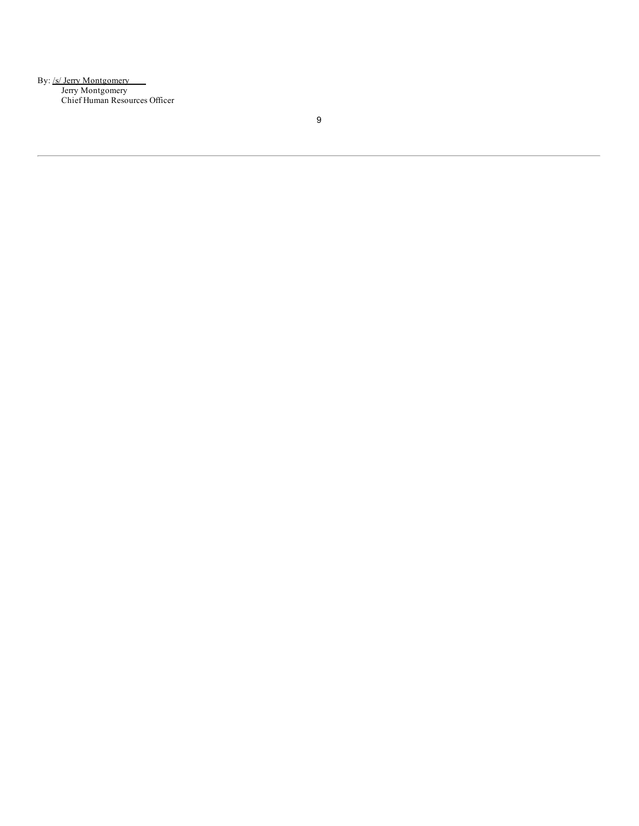By: /s/ Jerry Montgomery Jerry Montgomery Chief Human Resources Officer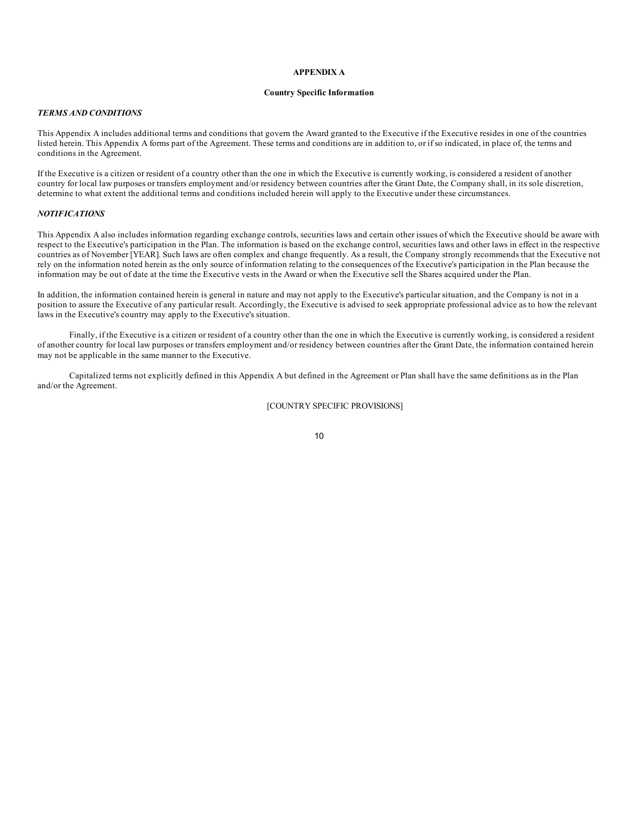# **APPENDIX A**

#### **Country Specific Information**

#### *TERMS AND CONDITIONS*

This Appendix A includes additional terms and conditions that govern the Award granted to the Executive if the Executive resides in one of the countries listed herein. This Appendix A forms part of the Agreement. These terms and conditions are in addition to, or if so indicated, in place of, the terms and conditions in the Agreement.

If the Executive is a citizen or resident of a country other than the one in which the Executive is currently working, is considered a resident of another country for local law purposes or transfers employment and/or residency between countries after the Grant Date, the Company shall, in its sole discretion, determine to what extent the additional terms and conditions included herein will apply to the Executive under these circumstances.

#### *NOTIFICATIONS*

This Appendix A also includes information regarding exchange controls, securities laws and certain other issues of which the Executive should be aware with respect to the Executive's participation in the Plan. The information is based on the exchange control, securities laws and other laws in effect in the respective countries as of November [YEAR]. Such laws are often complex and change frequently. As a result, the Company strongly recommends that the Executive not rely on the information noted herein as the only source of information relating to the consequences of the Executive's participation in the Plan because the information may be out of date at the time the Executive vests in the Award or when the Executive sell the Shares acquired under the Plan.

In addition, the information contained herein is general in nature and may not apply to the Executive's particular situation, and the Company is not in a position to assure the Executive of any particular result. Accordingly, the Executive is advised to seek appropriate professional advice as to how the relevant laws in the Executive's country may apply to the Executive's situation.

Finally, if the Executive is a citizen or resident of a country other than the one in which the Executive is currently working, is considered a resident of another country for local law purposes or transfers employment and/or residency between countries after the Grant Date, the information contained herein may not be applicable in the same manner to the Executive.

Capitalized terms not explicitly defined in this Appendix A but defined in the Agreement or Plan shall have the same definitions as in the Plan and/or the Agreement.

[COUNTRY SPECIFIC PROVISIONS]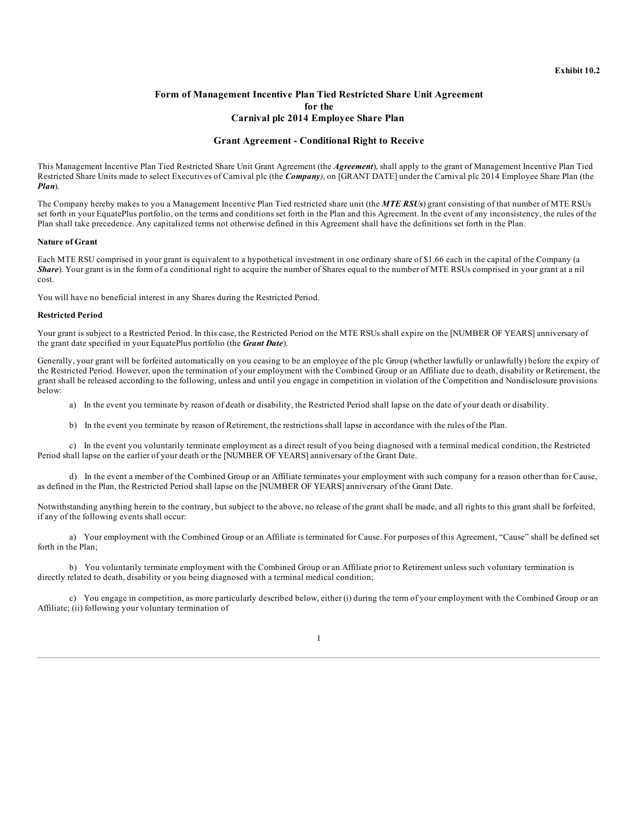**Exhibit 10.2**

# **Form of Management Incentive Plan Tied Restricted Share Unit Agreement for the Carnival plc 2014 Employee Share Plan**

# **Grant Agreement - Conditional Right to Receive**

This Management Incentive Plan Tied Restricted Share Unit Grant Agreement (the *Agreement*), shall apply to the grant of Management Incentive Plan Tied Restricted Share Units made to select Executives of Carnival plc (the *Company)*, on [GRANT DATE] under the Carnival plc 2014 Employee Share Plan (the *Plan*).

The Company hereby makes to you a Management Incentive Plan Tied restricted share unit (the *MTE RSUs*) grant consisting of that number of MTE RSUs set forth in your EquatePlus portfolio, on the terms and conditions set forth in the Plan and this Agreement. In the event of any inconsistency, the rules of the Plan shall take precedence. Any capitalized terms not otherwise defined in this Agreement shall have the definitions set forth in the Plan.

### **Nature of Grant**

Each MTE RSU comprised in your grant is equivalent to a hypothetical investment in one ordinary share of \$1.66 each in the capital of the Company (a *Share*). Your grant is in the form of a conditional right to acquire the number of Shares equal to the number of MTE RSUs comprised in your grant at a nil cost.

You will have no beneficial interest in any Shares during the Restricted Period.

#### **Restricted Period**

Your grant is subject to a Restricted Period. In this case, the Restricted Period on the MTE RSUs shall expire on the [NUMBER OF YEARS] anniversary of the grant date specified in your EquatePlus portfolio (the *Grant Date*).

Generally, your grant will be forfeited automatically on you ceasing to be an employee of the plc Group (whether lawfully or unlawfully) before the expiry of the Restricted Period. However, upon the termination of your employment with the Combined Group or an Affiliate due to death, disability or Retirement, the grant shall be released according to the following, unless and until you engage in competition in violation of the Competition and Nondisclosure provisions below:

- a) In the event you terminate by reason of death or disability, the Restricted Period shall lapse on the date of your death or disability.
- b) In the event you terminate by reason of Retirement, the restrictions shall lapse in accordance with the rules of the Plan.

c) In the event you voluntarily terminate employment as a direct result of you being diagnosed with a terminal medical condition, the Restricted Period shall lapse on the earlier of your death or the [NUMBER OF YEARS] anniversary of the Grant Date.

d) In the event a member of the Combined Group or an Affiliate terminates your employment with such company for a reason other than for Cause, as defined in the Plan, the Restricted Period shall lapse on the [NUMBER OF YEARS] anniversary of the Grant Date.

Notwithstanding anything herein to the contrary, but subject to the above, no release of the grant shall be made, and all rights to this grant shall be forfeited, if any of the following events shall occur:

a) Your employment with the Combined Group or an Affiliate is terminated for Cause. For purposes of this Agreement, "Cause" shall be defined set forth in the Plan;

b) You voluntarily terminate employment with the Combined Group or an Affiliate prior to Retirement unless such voluntary termination is directly related to death, disability or you being diagnosed with a terminal medical condition;

c) You engage in competition, as more particularly described below, either (i) during the term of your employment with the Combined Group or an Affiliate; (ii) following your voluntary termination of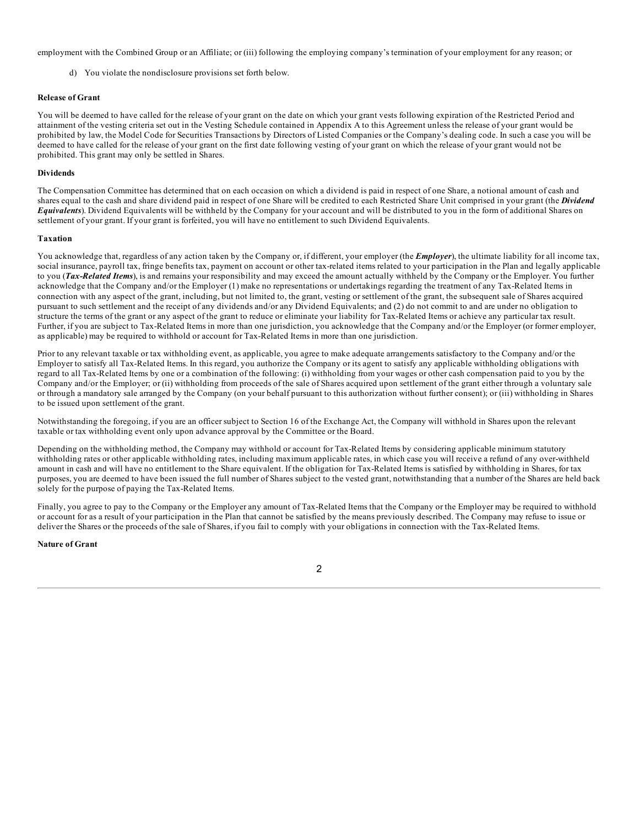employment with the Combined Group or an Affiliate; or (iii) following the employing company's termination of your employment for any reason; or

d) You violate the nondisclosure provisions set forth below.

# **Release of Grant**

You will be [deemed](#page-1-0) to have called for the release of your grant on the date on which your grant vests following expiration of the Restricted Period and attainment of the [vesting](#page-1-0) criteria set out in the Vesting Schedule contained in Appendix A to this Agreement unless the release of your grant would be prohibited by law, the Model Code for Securities Transactions by Directors of Listed Companies or the Company's dealing code. In such a case you will b[e](#page-1-0) deemed to have called for the release of your grant on the first date [following](#page-16-0) vesting of your grant on which the release of your grant would not be prohibited. This grant may only be settled in Shares.

#### **Dividends**

The Compensation [Committee](#page-30-0) has determined that on each occasion on which a dividend is paid in respect of one Share, a notional amount of cash and [shares](#page-31-0) equal to the cash and share dividend paid in respect of one Share will be credited to each Restricted Share Unit comprised in your grant (the *Dividend Equivalents*). Dividend Equivalents will be withheld by the Company for your account and will be distributed to you in the form of additional Shares on settlement of your [grant.](#page-31-0) If your grant is forfeited, you will have no entitlement to such Dividend Equivalents.

### **Taxation**

You acknowledge [that,](#page-32-0) regardless of any action [ta](#page-32-0)ken by the Company or, if different, your employer (the *Employer*), the ultimate liability for all income tax, social insurance, payroll tax, fringe benefits tax, payment on account or other tax-related items related to your participation in the Plan and legally applicable to you (*[Tax-Rel](#page-34-0)ated Items*), is and remains your responsibility and may exceed the amount actually withheld by the Company or the Employer. You fur[ther](#page-34-0) acknowledge that the Company and/or the Employer (1) make no representations or undertakings regarding the treatment of any Tax-Related Items in connection with any aspect of the grant, including, but not limited to, the grant, vesting or settlement of the grant, the subsequent sale of Shares acquired pursuant to such settlement and the receipt of any dividends and/or any Dividend Equivalents; and (2) do not commit to and are under no obligation to structure the terms of the grant or any aspect of the grant to reduce or eliminate your liability for Tax-Related Items or achieve any particular tax result. Further, if you are subject to Tax-Related Items in more than one jurisdiction, you acknowledge that the Company and/or the Employer (or former employer, as applicable) may be required to withhold or account for Tax-Related Items in more than one jurisdiction.

Prior to any relevant taxable or tax withholding event, as applicable, you agree to make adequate arrangements satisfactory to the Company and/or the Employer to satisfy all Tax-Related Items. In this regard, you authorize the Company or its agent to satisfy any applicable withholding obligations with regard to all Tax-Related Items by one or a combination of the following: (i) withholding from your wages or other cash compensation paid to you by the Company and/or the Employer; or (ii) withholding from proceeds of the sale of Shares acquired upon settlement of the grant either through a voluntary sale or through a mandatory sale arranged by the Company (on your behalf pursuant to this authorization without further consent); or (iii) withholding in Shares to be issued upon settlement of the grant.

Notwithstanding the foregoing, if you are an officer subject to Section 16 of the Exchange Act, the Company will withhold in Shares upon the relevant taxable or tax withholding event only upon advance approval by the Committee or the Board.

Depending on the withholding method, the Company may withhold or account for Tax-Related Items by considering applicable minimum statutory withholding rates or other applicable withholding rates, including maximum applicable rates, in which case you will receive a refund of any over-withheld amount in cash and will have no entitlement to the Share equivalent. If the obligation for Tax-Related Items is satisfied by withholding in Shares, for tax purposes, you are deemed to have been issued the full number of Shares subject to the vested grant, notwithstanding that a number of the Shares are held back solely for the purpose of paying the Tax-Related Items.

Finally, you agree to pay to the Company or the Employer any amount of Tax-Related Items that the Company or the Employer may be required to withhold or account for as a result of your participation in the Plan that cannot be satisfied by the means previously described. The Company may refuse to issue or deliver the Shares or the proceeds of the sale of Shares, if you fail to comply with your obligations in connection with the Tax-Related Items.

2

### **Nature of Grant**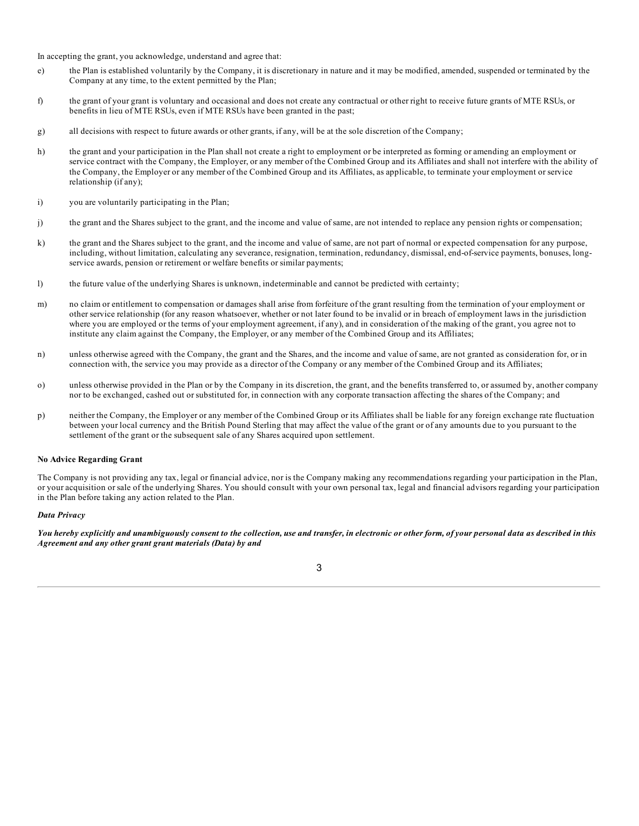In accepting the grant, you acknowledge, understand and agree that:

- e) the Plan is established voluntarily by the Company, it is discretionary in nature and it may be modified, amended, suspended or terminated by the Company at any time, to the extent permitted by the Plan;
- f) the grant of your grant is voluntary and occasional and does not create any contractual or other right to receive future grants of MTE RSUs, or benefits in lieu of MTE RSUs, even if MTE RSUs have been granted in the past;
- g) all decisions with respect to future awards or other grants, if any, will be at the sole discretion of the Company;
- h) the grant and your participation in the Plan shall not create a right to employment or be interpreted as forming or amending an employment or service contract with the Company, the Employer, or any member of the Combined Group and its Affiliates and shall not interfere with the ability of the Company, the Employer or any member of the Combined Group and its Affiliates, as applicable, to terminate your employment or service relationship (if any);
- i) you are voluntarily participating in the Plan;
- j) the grant and the Shares subject to the grant, and the income and value of same, are not intended to replace any pension rights or compensation;
- k) the grant and the Shares subject to the grant, and the income and value of same, are not part of normal or expected compensation for any purpose, including, without limitation, calculating any severance, resignation, termination, redundancy, dismissal, end-of-service payments, bonuses, longservice awards, pension or retirement or welfare benefits or similar payments;
- l) the future value of the underlying Shares is unknown, indeterminable and cannot be predicted with certainty;
- m) no claim or entitlement to compensation or damages shall arise from forfeiture of the grant resulting from the termination of your employment or other service relationship (for any reason whatsoever, whether or not later found to be invalid or in breach of employment laws in the jurisdiction where you are employed or the terms of your employment agreement, if any), and in consideration of the making of the grant, you agree not to institute any claim against the Company, the Employer, or any member of the Combined Group and its Affiliates;
- n) unless otherwise agreed with the Company, the grant and the Shares, and the income and value of same, are not granted as consideration for, or in connection with, the service you may provide as a director of the Company or any member of the Combined Group and its Affiliates;
- o) unless otherwise provided in the Plan or by the Company in its discretion, the grant, and the benefits transferred to, or assumed by, another company nor to be exchanged, cashed out or substituted for, in connection with any corporate transaction affecting the shares of the Company; and
- p) neither the Company, the Employer or any member of the Combined Group or its Affiliates shall be liable for any foreign exchange rate fluctuation between your local currency and the British Pound Sterling that may affect the value of the grant or of any amounts due to you pursuant to the settlement of the grant or the subsequent sale of any Shares acquired upon settlement.

#### **No Advice Regarding Grant**

The Company is not providing any tax, legal or financial advice, nor is the Company making any recommendations regarding your participation in the Plan, or your acquisition or sale of the underlying Shares. You should consult with your own personal tax, legal and financial advisors regarding your participation in the Plan before taking any action related to the Plan.

### *Data Privacy*

You hereby explicitly and unambiguously consent to the collection, use and transfer, in electronic or other form, of your personal data as described in this *Agreement and any other grant grant materials (Data) by and*

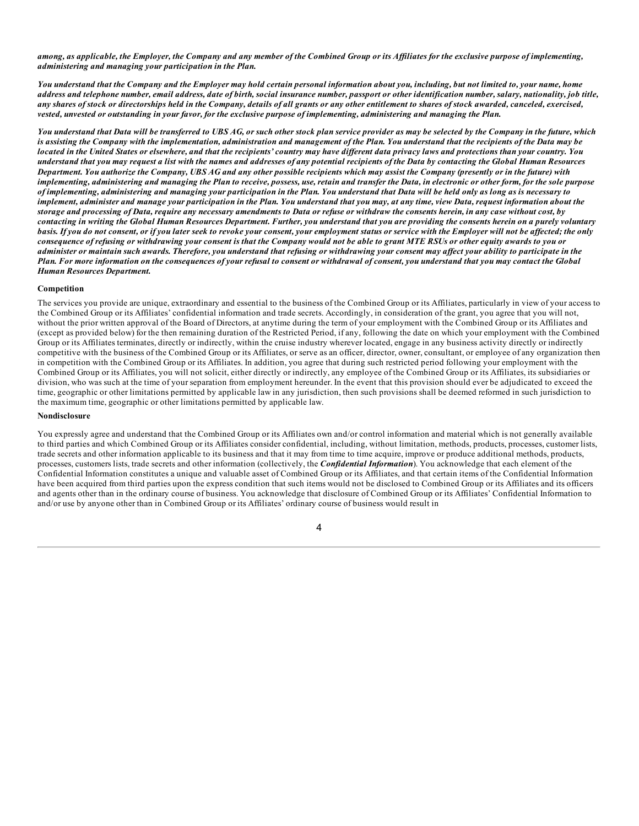among, as applicable, the Employer, the Company and any member of the Combined Group or its Affiliates for the exclusive purpose of implementing, *administering and managing your participation in the Plan.*

You understand that the Company and the Employer may hold certain personal information about you, including, but not limited to, your name, home address and telephone number, email address, date of birth, social insurance number, passport or other identification number, salary, nationality, job title, any shares of stock or directorships held in the Company, details of all grants or any other entitlement to shares of stock awarded, canceled, exercised, vested, unvested or outstanding in your favor, for the exclusive purpose of implementing, administering and managing the Plan.

You understand that Data will be transferred to UBS AG, or such other stock plan service provider as may be selected by the Company in the future, which is assisting the Company with the implementation, administration and management of the Plan. You understand that the recipients of the Data may be located in the United States or elsewhere, and that the recipients' country may have different data privacy laws and protections than your country. You understand that you may request a list with the names and addresses of any potential recipients of the Data by contacting the Global Human Resources Department. You authorize the Company, UBS AG and any other possible recipients which may assist the Company (presently or in the future) with implementing, administering and managing the Plan to receive, possess, use, retain and transfer the Data, in electronic or other form, for the sole purpose of implementing, administering and managing your participation in the Plan. You understand that Data will be held only as long as is necessary to implement, administer and manage your participation in the Plan. You understand that you may, at any time, view Data, request information about the storage and processing of Data, require any necessary amendments to Data or refuse or withdraw the consents herein, in any case without cost, by contacting in writing the Global Human Resources Department. Further, you understand that you are providing the consents herein on a purely voluntary basis. If you do not consent, or if you later seek to revoke your consent, your employment status or service with the Employer will not be affected; the only consequence of refusing or withdrawing your consent is that the Company would not be able to grant MTE RSUs or other equity awards to you or administer or maintain such awards. Therefore, you understand that refusing or withdrawing your consent may affect your ability to participate in the Plan. For more information on the consequences of your refusal to consent or withdrawal of consent, you understand that you may contact the Global *Human Resources Department.*

### **Competition**

The services you provide are unique, extraordinary and essential to the business of the Combined Group or its Affiliates, particularly in view of your access to the Combined Group or its Affiliates' confidential information and trade secrets. Accordingly, in consideration of the grant, you agree that you will not, without the prior written approval of the Board of Directors, at anytime during the term of your employment with the Combined Group or its Affiliates and (except as provided below) for the then remaining duration of the Restricted Period, if any, following the date on which your employment with the Combined Group or its Affiliates terminates, directly or indirectly, within the cruise industry wherever located, engage in any business activity directly or indirectly competitive with the business of the Combined Group or its Affiliates, or serve as an officer, director, owner, consultant, or employee of any organization then in competition with the Combined Group or its Affiliates. In addition, you agree that during such restricted period following your employment with the Combined Group or its Affiliates, you will not solicit, either directly or indirectly, any employee of the Combined Group or its Affiliates, its subsidiaries or division, who was such at the time of your separation from employment hereunder. In the event that this provision should ever be adjudicated to exceed the time, geographic or other limitations permitted by applicable law in any jurisdiction, then such provisions shall be deemed reformed in such jurisdiction to the maximum time, geographic or other limitations permitted by applicable law.

#### **Nondisclosure**

You expressly agree and understand that the Combined Group or its Affiliates own and/or control information and material which is not generally available to third parties and which Combined Group or its Affiliates consider confidential, including, without limitation, methods, products, processes, customer lists, trade secrets and other information applicable to its business and that it may from time to time acquire, improve or produce additional methods, products, processes, customers lists, trade secrets and other information (collectively, the *Confidential Information*). You acknowledge that each element of the Confidential Information constitutes a unique and valuable asset of Combined Group or its Affiliates, and that certain items of the Confidential Information have been acquired from third parties upon the express condition that such items would not be disclosed to Combined Group or its Affiliates and its officers and agents other than in the ordinary course of business. You acknowledge that disclosure of Combined Group or its Affiliates' Confidential Information to and/or use by anyone other than in Combined Group or its Affiliates' ordinary course of business would result in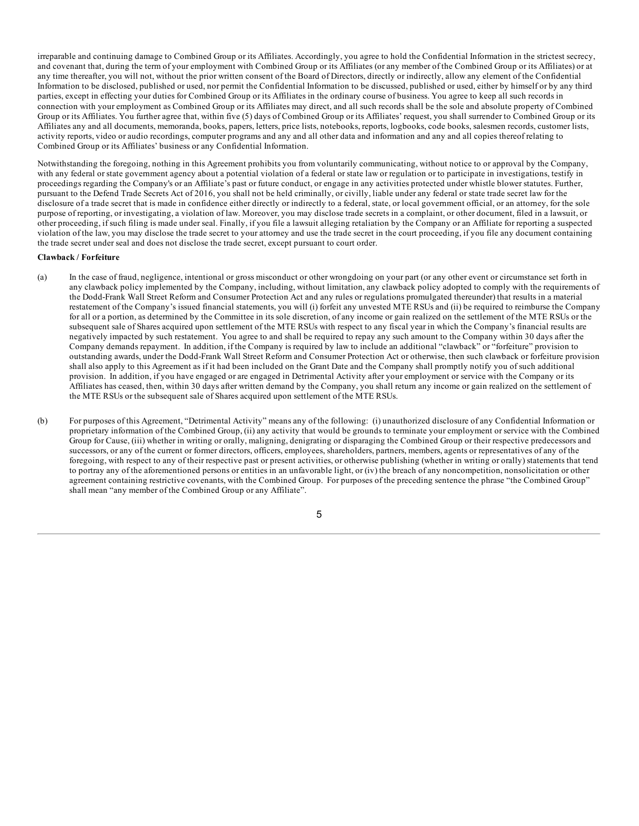irreparable and continuing damage to Combined Group or its Affiliates. Accordingly, you agree to hold the Confidential Information in the strictest secrecy, and covenant that, during the term of your employment with Combined Group or its Affiliates (or any member of the Combined Group or its Affiliates) or at any time thereafter, you will not, without the prior written consent of the Board of Directors, directly or indirectly, allow any element of the Confidential Information to be disclosed, published or used, nor permit the Confidential Information to be discussed, published or used, either by himself or by any third parties, except in effecting your duties for Combined Group or its Affiliates in the ordinary course of business. You agree to keep all such records in connection with your employment as Combined Group or its Affiliates may direct, and all such records shall be the sole and absolute property of Combined Group or its Affiliates. You further agree that, within five (5) days of Combined Group or its Affiliates' request, you shall surrender to Combined Group or its Affiliates any and all documents, memoranda, books, papers, letters, price lists, notebooks, reports, logbooks, code books, salesmen records, customer lists, activity reports, video or audio recordings, computer programs and any and all other data and information and any and all copies thereof relating to Combined Group or its Affiliates' business or any Confidential Information.

Notwithstanding the foregoing, nothing in this Agreement prohibits you from voluntarily communicating, without notice to or approval by the Company, with any federal or state government agency about a potential violation of a federal or state law or regulation or to participate in investigations, testify in proceedings regarding the Company's or an Affiliate's past or future conduct, or engage in any activities protected under whistle blower statutes. Further, pursuant to the Defend Trade Secrets Act of 2016, you shall not be held criminally, or civilly, liable under any federal or state trade secret law for the disclosure of a trade secret that is made in confidence either directly or indirectly to a federal, state, or local government official, or an attorney, for the sole purpose of reporting, or investigating, a violation of law. Moreover, you may disclose trade secrets in a complaint, or other document, filed in a lawsuit, or other proceeding, if such filing is made under seal. Finally, if you file a lawsuit alleging retaliation by the Company or an Affiliate for reporting a suspected violation of the law, you may disclose the trade secret to your attorney and use the trade secret in the court proceeding, if you file any document containing the trade secret under seal and does not disclose the trade secret, except pursuant to court order.

# **Clawback / Forfeiture**

- (a) In the case of fraud, negligence, intentional or gross misconduct or other wrongdoing on your part (or any other event or circumstance set forth in any clawback policy implemented by the Company, including, without limitation, any clawback policy adopted to comply with the requirements of the Dodd-Frank Wall Street Reform and Consumer Protection Act and any rules or regulations promulgated thereunder) that results in a material restatement of the Company's issued financial statements, you will (i) forfeit any unvested MTE RSUs and (ii) be required to reimburse the Company for all or a portion, as determined by the Committee in its sole discretion, of any income or gain realized on the settlement of the MTE RSUs or the subsequent sale of Shares acquired upon settlement of the MTE RSUs with respect to any fiscal year in which the Company's financial results are negatively impacted by such restatement. You agree to and shall be required to repay any such amount to the Company within 30 days after the Company demands repayment. In addition, if the Company is required by law to include an additional "clawback" or "forfeiture" provision to outstanding awards, under the Dodd-Frank Wall Street Reform and Consumer Protection Act or otherwise, then such clawback or forfeiture provision shall also apply to this Agreement as if it had been included on the Grant Date and the Company shall promptly notify you of such additional provision. In addition, if you have engaged or are engaged in Detrimental Activity after your employment or service with the Company or its Affiliates has ceased, then, within 30 days after written demand by the Company, you shall return any income or gain realized on the settlement of the MTE RSUs or the subsequent sale of Shares acquired upon settlement of the MTE RSUs.
- (b) For purposes of this Agreement, "Detrimental Activity" means any of the following: (i) unauthorized disclosure of any Confidential Information or proprietary information of the Combined Group, (ii) any activity that would be grounds to terminate your employment or service with the Combined Group for Cause, (iii) whether in writing or orally, maligning, denigrating or disparaging the Combined Group or their respective predecessors and successors, or any of the current or former directors, officers, employees, shareholders, partners, members, agents or representatives of any of the foregoing, with respect to any of their respective past or present activities, or otherwise publishing (whether in writing or orally) statements that tend to portray any of the aforementioned persons or entities in an unfavorable light, or (iv) the breach of any noncompetition, nonsolicitation or other agreement containing restrictive covenants, with the Combined Group. For purposes of the preceding sentence the phrase "the Combined Group" shall mean "any member of the Combined Group or any Affiliate".
	- 5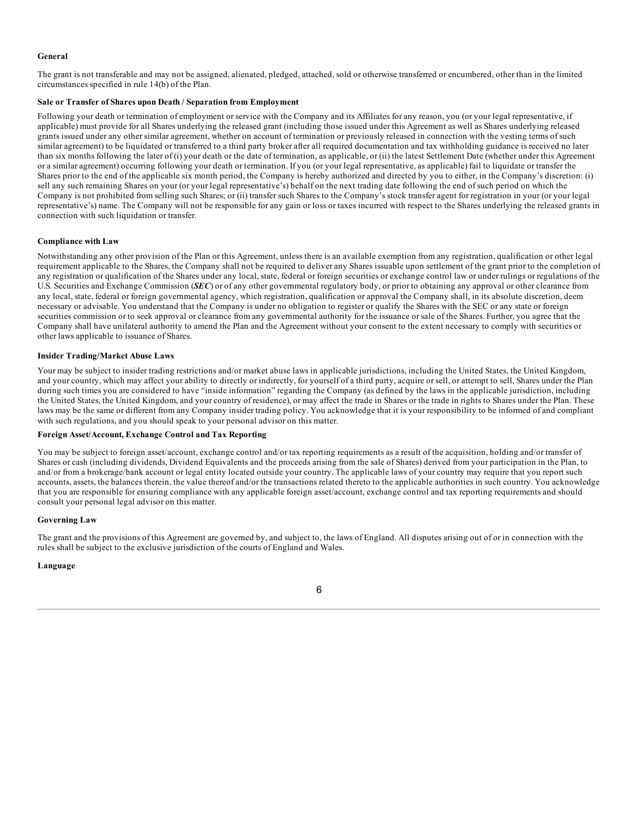# **General**

The grant is not transferable and may not be assigned, alienated, pledged, attached, sold or otherwise transferred or encumbered, other than in the limited circumstances specified in rule 14(b) of the Plan.

## **Sale or Transfer of Shares upon Death / Separation from Employment**

Following your death or termination of employment or service with the Company and its Affiliates for any reason, you (or your legal representative, if applicable) must provide for all Shares underlying the released grant (including those issued under this Agreement as well as Shares underlying released grants issued under any other similar agreement, whether on account of termination or previously released in connection with the vesting terms of such similar agreement) to be liquidated or transferred to a third party broker after all required documentation and tax withholding guidance is received no later than six months following the later of (i) your death or the date of termination, as applicable, or (ii) the latest Settlement Date (whether under this Agreement or a similar agreement) occurring following your death or termination. If you (or your legal representative, as applicable) fail to liquidate or transfer the Shares prior to the end of the applicable six month period, the Company is hereby authorized and directed by you to either, in the Company's discretion: (i) sell any such remaining Shares on your (or your legal representative's) behalf on the next trading date following the end of such period on which the Company is not prohibited from selling such Shares; or (ii) transfer such Shares to the Company's stock transfer agent for registration in your (or your legal representative's) name. The Company will not be responsible for any gain or loss or taxes incurred with respect to the Shares underlying the released grants in connection with such liquidation or transfer.

### **Compliance with Law**

Notwithstanding any other provision of the Plan or this Agreement, unless there is an available exemption from any registration, qualification or other legal requirement applicable to the Shares, the Company shall not be required to deliver any Shares issuable upon settlement of the grant prior to the completion of any registration or qualification of the Shares under any local, state, federal or foreign securities or exchange control law or under rulings or regulations of the U.S. Securities and Exchange Commission (*SEC*) or of any other governmental regulatory body, or prior to obtaining any approval or other clearance from any local, state, federal or foreign governmental agency, which registration, qualification or approval the Company shall, in its absolute discretion, deem necessary or advisable. You understand that the Company is under no obligation to register or qualify the Shares with the SEC or any state or foreign securities commission or to seek approval or clearance from any governmental authority for the issuance or sale of the Shares. Further, you agree that the Company shall have unilateral authority to amend the Plan and the Agreement without your consent to the extent necessary to comply with securities or other laws applicable to issuance of Shares.

#### **Insider Trading/Market Abuse Laws**

Your may be subject to insider trading restrictions and/or market abuse laws in applicable jurisdictions, including the United States, the United Kingdom, and your country, which may affect your ability to directly or indirectly, for yourself of a third party, acquire or sell, or attempt to sell, Shares under the Plan during such times you are considered to have "inside information" regarding the Company (as defined by the laws in the applicable jurisdiction, including the United States, the United Kingdom, and your country of residence), or may affect the trade in Shares or the trade in rights to Shares under the Plan. These laws may be the same or different from any Company insider trading policy. You acknowledge that it is your responsibility to be informed of and compliant with such regulations, and you should speak to your personal advisor on this matter.

## **Foreign Asset/Account, Exchange Control and Tax Reporting**

You may be subject to foreign asset/account, exchange control and/or tax reporting requirements as a result of the acquisition, holding and/or transfer of Shares or cash (including dividends, Dividend Equivalents and the proceeds arising from the sale of Shares) derived from your participation in the Plan, to and/or from a brokerage/bank account or legal entity located outside your country. The applicable laws of your country may require that you report such accounts, assets, the balances therein, the value thereof and/or the transactions related thereto to the applicable authorities in such country. You acknowledge that you are responsible for ensuring compliance with any applicable foreign asset/account, exchange control and tax reporting requirements and should consult your personal legal advisor on this matter.

#### **Governing Law**

The grant and the provisions of this Agreement are governed by, and subject to, the laws of England. All disputes arising out of or in connection with the rules shall be subject to the exclusive jurisdiction of the courts of England and Wales.

**Language**

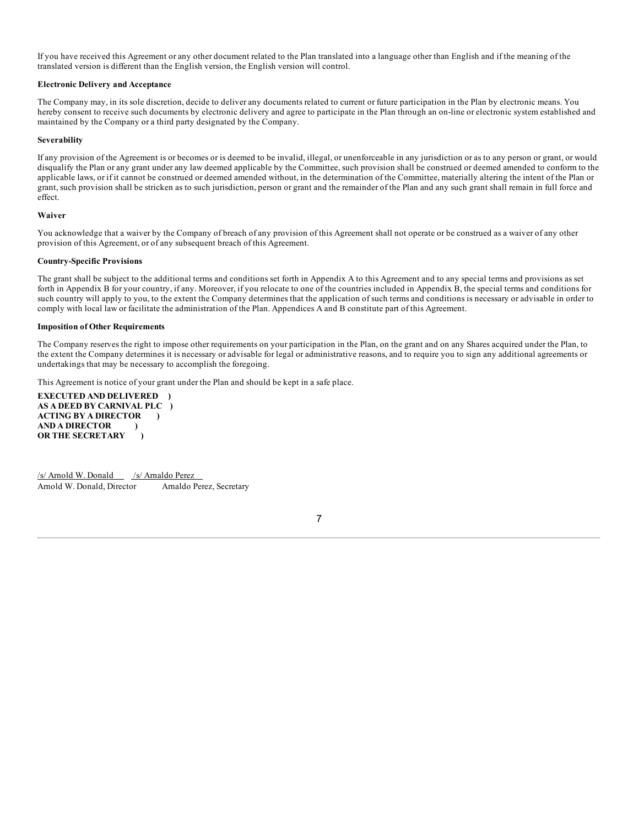If you have received this Agreement or any other document related to the Plan translated into a language other than English and if the meaning of the translated version is different than the English version, the English version will control.

### **Electronic Delivery and Acceptance**

The Company may, in its sole discretion, decide to deliver any documents related to current or future participation in the Plan by electronic means. You hereby consent to receive such documents by electronic delivery and agree to participate in the Plan through an on-line or electronic system established and maintained by the Company or a third party designated by the Company.

### **Severability**

If any provision of the Agreement is or becomes or is deemed to be invalid, illegal, or unenforceable in any jurisdiction or as to any person or grant, or would disqualify the Plan or any grant under any law deemed applicable by the Committee, such provision shall be construed or deemed amended to conform to the applicable laws, or if it cannot be construed or deemed amended without, in the determination of the Committee, materially altering the intent of the Plan or grant, such provision shall be stricken as to such jurisdiction, person or grant and the remainder of the Plan and any such grant shall remain in full force and effect.

### **Waiver**

You acknowledge that a waiver by the Company of breach of any provision of this Agreement shall not operate or be construed as a waiver of any other provision of this Agreement, or of any subsequent breach of this Agreement.

### **Country-Specific Provisions**

The grant shall be subject to the additional terms and conditions set forth in Appendix A to this Agreement and to any special terms and provisions as set forth in Appendix B for your country, if any. Moreover, if you relocate to one of the countries included in Appendix B, the special terms and conditions for such country will apply to you, to the extent the Company determines that the application of such terms and conditions is necessary or advisable in order to comply with local law or facilitate the administration of the Plan. Appendices A and B constitute part of this Agreement.

### **Imposition of Other Requirements**

The Company reserves the right to impose other requirements on your participation in the Plan, on the grant and on any Shares acquired under the Plan, to the extent the Company determines it is necessary or advisable for legal or administrative reasons, and to require you to sign any additional agreements or undertakings that may be necessary to accomplish the foregoing.

This Agreement is notice of your grant under the Plan and should be kept in a safe place.

**EXECUTED AND DELIVERED ) AS A DEED BY CARNIVAL PLC ) ACTING BY A DIRECTOR ) AND A DIRECTOR ) OR THE SECRETARY )**

/s/ Arnold W. Donald /s/ Arnaldo Perez Arnold W. Donald, Director Arnaldo Perez, Secretary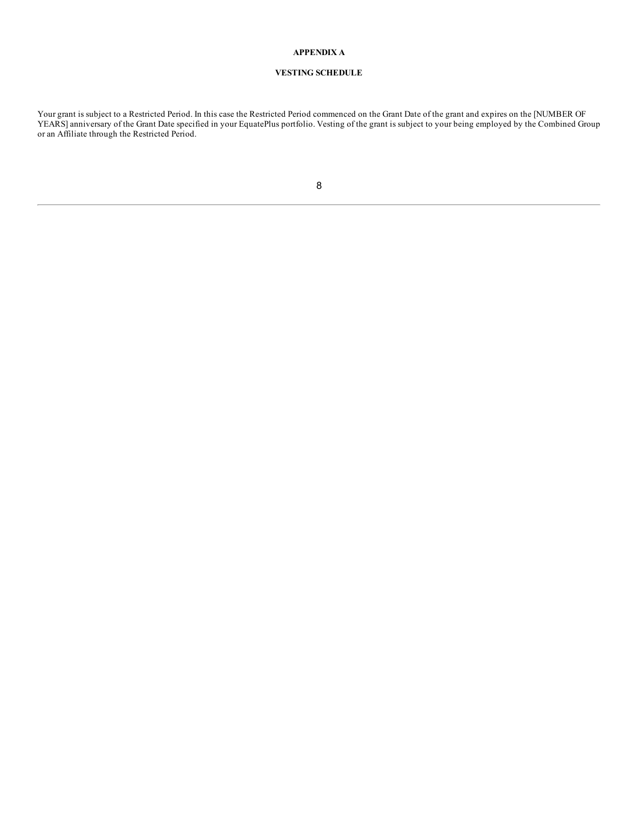# **APPENDIX A**

# **VESTING SCHEDULE**

Your grant is subject to a Restricted Period. In this case the Restricted Period commenced on the Grant Date of the grant and expires on the [NUMBER OF YEARS] anniversary of the Grant Date specified in your EquatePlus portfolio. Vesting of the grant is subject to your being employed by the Combined Group or an Affiliate through the Restricted Period.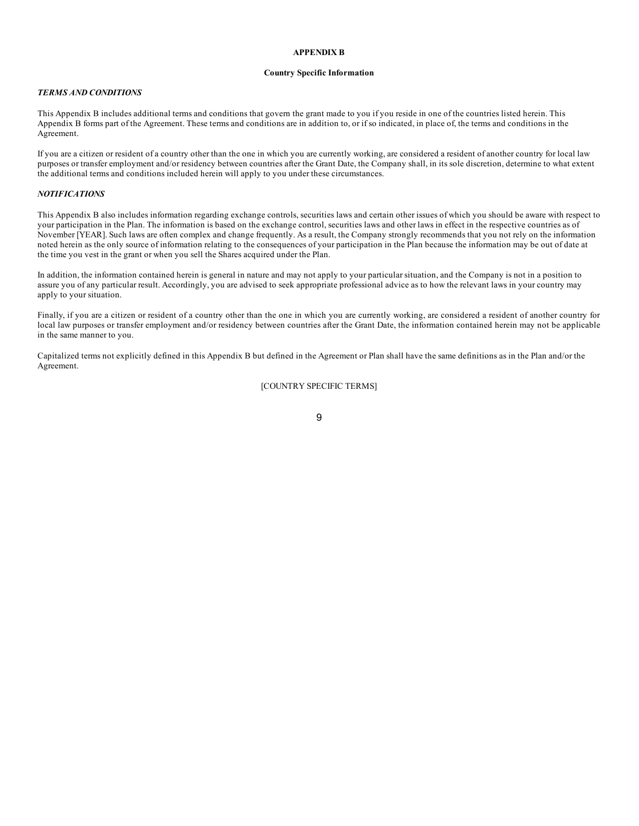### **APPENDIX B**

#### **Country Specific Information**

# *TERMS AND CONDITIONS*

This Appendix B includes additional terms and conditions that govern the grant made to you if you reside in one of the countries listed herein. This Appendix B forms part of the Agreement. These terms and conditions are in addition to, or if so indicated, in place of, the terms and conditions in the Agreement.

If you are a citizen or resident of a country other than the one in which you are currently working, are considered a resident of another country for local law purposes or transfer employment and/or residency between countries after the Grant Date, the Company shall, in its sole discretion, determine to what extent the additional terms and conditions included herein will apply to you under these circumstances.

# *NOTIFICATIONS*

This Appendix B also includes information regarding exchange controls, securities laws and certain other issues of which you should be aware with respect to your participation in the Plan. The information is based on the exchange control, securities laws and other laws in effect in the respective countries as of November [YEAR]. Such laws are often complex and change frequently. As a result, the Company strongly recommends that you not rely on the information noted herein as the only source of information relating to the consequences of your participation in the Plan because the information may be out of date at the time you vest in the grant or when you sell the Shares acquired under the Plan.

In addition, the information contained herein is general in nature and may not apply to your particular situation, and the Company is not in a position to assure you of any particular result. Accordingly, you are advised to seek appropriate professional advice as to how the relevant laws in your country may apply to your situation.

Finally, if you are a citizen or resident of a country other than the one in which you are currently working, are considered a resident of another country for local law purposes or transfer employment and/or residency between countries after the Grant Date, the information contained herein may not be applicable in the same manner to you.

Capitalized terms not explicitly defined in this Appendix B but defined in the Agreement or Plan shall have the same definitions as in the Plan and/or the Agreement.

[COUNTRY SPECIFIC TERMS]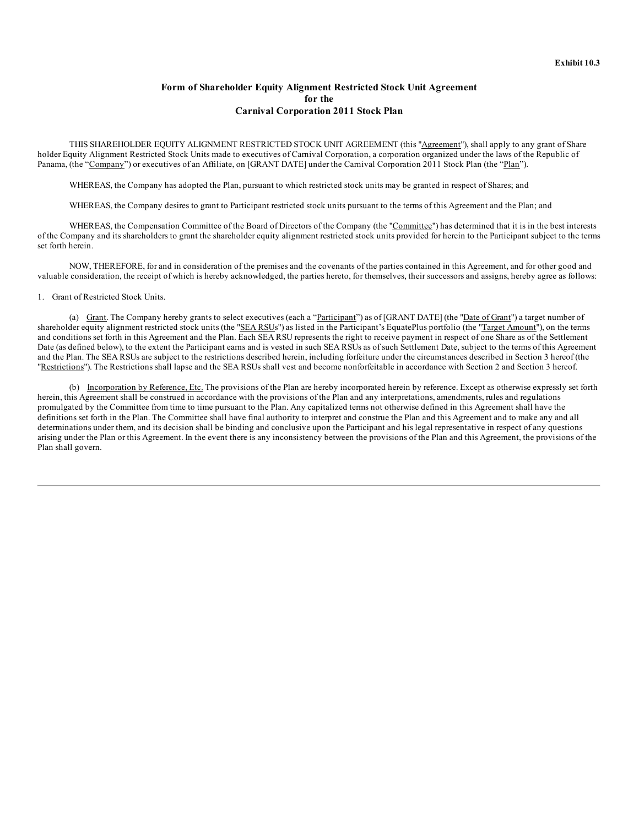# **Form of Shareholder Equity Alignment Restricted Stock Unit Agreement for the Carnival Corporation 2011 Stock Plan**

THIS SHAREHOLDER EQUITY ALIGNMENT RESTRICTED STOCK UNIT AGREEMENT (this "Agreement"), shall apply to any grant of Share holder Equity Alignment Restricted Stock Units made to executives of Carnival Corporation, a corporation organized under the laws of the Republic of Panama, (the "Company") or executives of an Affiliate, on [GRANT DATE] under the Carnival Corporation 2011 Stock Plan (the "Plan").

WHEREAS, the Company has adopted the Plan, pursuant to which restricted stock units may be granted in respect of Shares; and

WHEREAS, the Company desires to grant to Participant restricted stock units pursuant to the terms of this Agreement and the Plan; and

WHEREAS, the Compensation Committee of the Board of Directors of the Company (the "Committee") has determined that it is in the best interests of the Company and its shareholders to grant the shareholder equity alignment restricted stock units provided for herein to the Participant subject to the terms set forth herein.

NOW, THEREFORE, for and in consideration of the premises and the covenants of the parties contained in this Agreement, and for other good and valuable consideration, the receipt of which is hereby acknowledged, the parties hereto, for themselves, their successors and assigns, hereby agree as follows:

### 1. Grant of Restricted Stock Units.

(a) Grant. The Company hereby grants to select executives (each a "Participant") as of [GRANT DATE] (the "Date of Grant") a target number of shareholder equity alignment restricted stock units (the "SEA RSUs") as listed in the Participant's EquatePlus portfolio (the "Target Amount"), on the terms and conditions set forth in this Agreement and the Plan. Each SEA RSU represents the right to receive payment in respect of one Share as of the Settlement Date (as defined below), to the extent the Participant earns and is vested in such SEA RSUs as of such Settlement Date, subject to the terms of this Agreement and the Plan. The SEA RSUs are subject to the restrictions described herein, including forfeiture under the circumstances described in Section 3 hereof (the "Restrictions"). The Restrictions shall lapse and the SEA RSUs shall vest and become nonforfeitable in accordance with Section 2 and Section 3 hereof.

(b) Incorporation by Reference, Etc. The provisions of the Plan are hereby incorporated herein by reference. Except as otherwise expressly set forth herein, this Agreement shall be construed in accordance with the provisions of the Plan and any interpretations, amendments, rules and regulations promulgated by the Committee from time to time pursuant to the Plan. Any capitalized terms not otherwise defined in this Agreement shall have the definitions set forth in the Plan. The Committee shall have final authority to interpret and construe the Plan and this Agreement and to make any and all determinations under them, and its decision shall be binding and conclusive upon the Participant and his legal representative in respect of any questions arising under the Plan or this Agreement. In the event there is any inconsistency between the provisions of the Plan and this Agreement, the provisions of the Plan shall govern.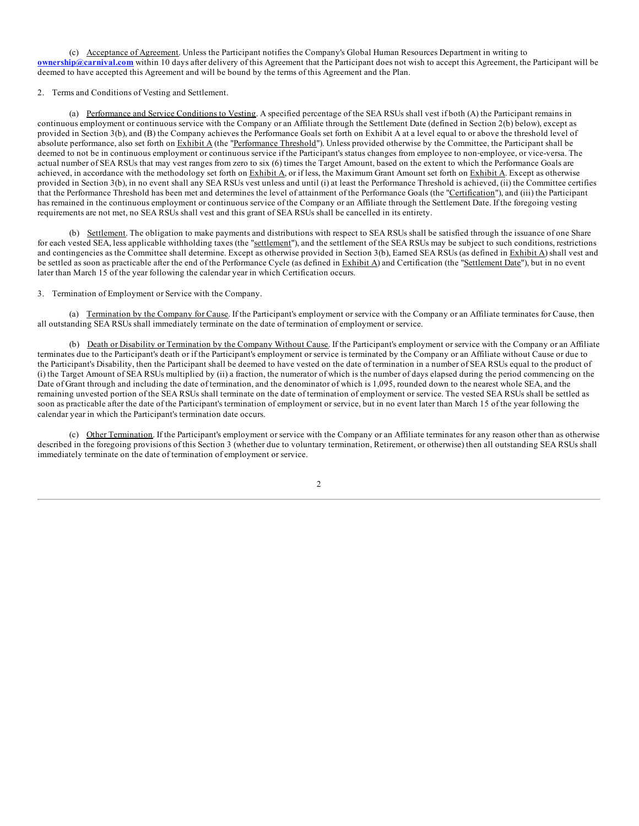(c) Acceptance of Agreement. Unless the Participant notifies the Company's Global Human Resources Department in writing to **ownership@carnival.com** within 10 days after delivery of this Agreement that the Participant does not wish to accept this Agreement, the Participant will be deemed to have accepted this Agreement and will be bound by the terms of this Agreement and the Plan.

# 2. Terms and Conditions of Vesting and Settlement.

(a) [Performance](#page-1-0) and Service Conditions to Vesting. A specified percentage of the SEA RSUs shall vest if both (A) the Participant remains in continuous e[mployment](#page-1-0) or continuous service with the Company or an Affiliate through the Settlement Date (defined in Section 2(b) below), except as provided in Section 3(b), and (B) the Company achieves the Performance Goals set forth on Exhibit A at a level equal to or above the threshold level of absolute performance, also set forth on Exhibit A (the "Performance Threshold"). Unless provided otherwise by the Committee, the Participant shall be deemed to not be in continuous [employment](#page-16-0) or continuous s[e](#page-16-0)rvice if the Participant's status changes from employee to non-employee, or vice-versa. The actual number of SEA RSUs that may vest ranges from zero to six (6) times the Target Amount, based on the extent to which the Performance Goals are achieved, in accordance with the [methodology](#page-30-0) set forth on Exhibit A, or if less, the Maximum Grant Amount set forth on Exhibit A. Except as otherwise provided in Section 3(b), in no [event](#page-30-0) shall any SEA RSUs vest unless and until (i) at least the Performance Threshold is achieved, (ii) the Committee cert[ifie](#page-30-0)s .<br>that the Performance Threshold has been met and determines the level of attainment of the Performance Goals (the "Certification"), and (iii) the Participant has remained in the [continuous](#page-31-0) employment or continuous service of the Company or an Affiliate through the Settlement Date. If the foregoing vesting requirements are not met, no SEA RSUs shall vest and this grant of SEA RSUs shall be cancelled in its entirety.

(b) Settlement. The obligation to make payments and distributions with respect to SEA RSUs shall be satisfied through the issuance of one Share for each vested SEA, less applicable withholding taxes (the ["settlement"\),](#page-31-0) and the settlement of the SEA RSUs may be subject to such condit[ion](#page-31-0)s, restrictions and contingencies as the Committee shall determine. Except as otherwise provided in Section 3(b), Earned SEA RSUs (as defined in Exhibit A) shall vest and be settled as s[oon](#page-32-0) as practicable after the end of the Performance Cycle (as defined in Exhibit A) and Certification (the "Settleme[nt](#page-32-0) Date"), but in no event later than [March](#page-34-0) 15 of the year following the calendar year in which Certification occurs.

### 3. Termination of Employment or Service with the Company.

(a) Termination by the Company for Cause. If the Participant's employment or service with the Company or an Affiliate terminates for Cause, then all outstanding SEA RSUs shall immediately terminate on the date of termination of employment or service.

(b) Death or Disability or Termination by the Company Without Cause. If the Participant's employment or service with the Company or an Affiliate terminates due to the Participant's death or if the Participant's employment or service is terminated by the Company or an Affiliate without Cause or due to the Participant's Disability, then the Participant shall be deemed to have vested on the date of termination in a number of SEA RSUs equal to the product of (i) the Target Amount of SEA RSUs multiplied by (ii) a fraction, the numerator of which is the number of days elapsed during the period commencing on the Date of Grant through and including the date of termination, and the denominator of which is 1,095, rounded down to the nearest whole SEA, and the remaining unvested portion of the SEA RSUs shall terminate on the date of termination of employment or service. The vested SEA RSUs shall be settled as soon as practicable after the date of the Participant's termination of employment or service, but in no event later than March 15 of the year following the calendar year in which the Participant's termination date occurs.

(c) Other Termination. If the Participant's employment or service with the Company or an Affiliate terminates for any reason other than as otherwise described in the foregoing provisions of this Section 3 (whether due to voluntary termination, Retirement, or otherwise) then all outstanding SEA RSUs shall immediately terminate on the date of termination of employment or service.

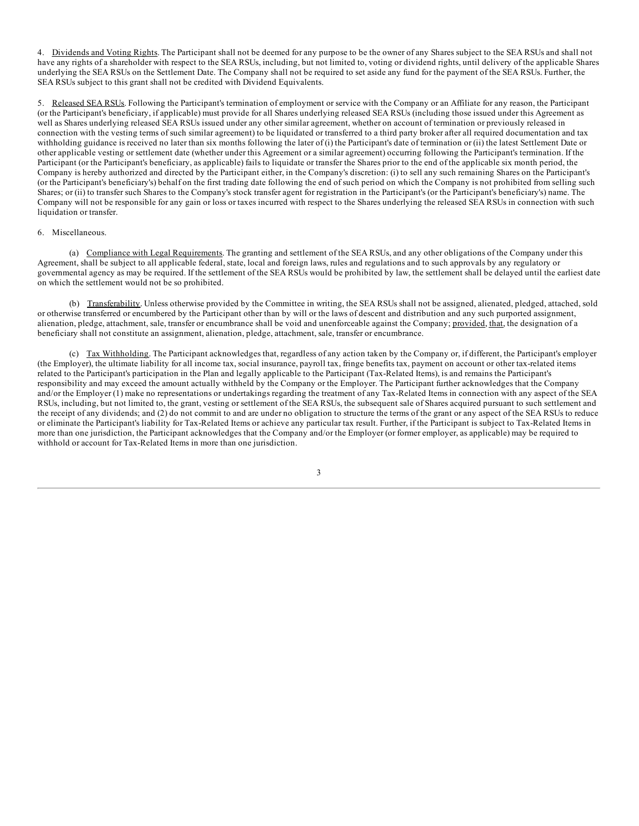4. Dividends and Voting Rights. The Participant shall not be deemed for any purpose to be the owner of any Shares subject to the SEA RSUs and shall not have any rights of a shareholder with respect to the SEA RSUs, including, but not limited to, voting or dividend rights, until delivery of the applicable Shares underlying the SEA RSUs on the Settlement Date. The Company shall not be required to set aside any fund for the payment of the SEA RSUs. Further, the SEA RSUs subject to this grant shall not be credited with Dividend Equivalents.

5. Released SEA RSUs. Following the Participant's termination of employment or service with the Company or an Affiliate for any reason, the Participant (or the Participant's beneficiary, if applicable) must provide for all Shares underlying released SEA RSUs (including those issued under this Agreement as well as Shares underlying released SEA RSUs issued under any other similar agreement, whether on account of termination or previously released in connection with the vesting terms of such similar agreement) to be liquidated or transferred to a third party broker after all required documentation and tax withholding guidance is received no later than six months following the later of (i) the Participant's date of termination or (ii) the latest Settlement Date or other applicable vesting or settlement date (whether under this Agreement or a similar agreement) occurring following the Participant's termination. If the Participant (or the Participant's beneficiary, as applicable) fails to liquidate or transfer the Shares prior to the end of the applicable six month period, the Company is hereby authorized and directed by the Participant either, in the Company's discretion: (i) to sell any such remaining Shares on the Participant's (or the Participant's beneficiary's) behalf on the first trading date following the end of such period on which the Company is not prohibited from selling such Shares; or (ii) to transfer such Shares to the Company's stock transfer agent for registration in the Participant's (or the Participant's beneficiary's) name. The Company will not be responsible for any gain or loss or taxes incurred with respect to the Shares underlying the released SEA RSUs in connection with such liquidation or transfer.

# 6. Miscellaneous.

(a) Compliance with Legal Requirements. The granting and settlement of the SEA RSUs, and any other obligations of the Company under this Agreement, shall be subject to all applicable federal, state, local and foreign laws, rules and regulations and to such approvals by any regulatory or governmental agency as may be required. If the settlement of the SEA RSUs would be prohibited by law, the settlement shall be delayed until the earliest date on which the settlement would not be so prohibited.

(b) Transferability. Unless otherwise provided by the Committee in writing, the SEA RSUs shall not be assigned, alienated, pledged, attached, sold or otherwise transferred or encumbered by the Participant other than by will or the laws of descent and distribution and any such purported assignment, alienation, pledge, attachment, sale, transfer or encumbrance shall be void and unenforceable against the Company; provided, that, the designation of a beneficiary shall not constitute an assignment, alienation, pledge, attachment, sale, transfer or encumbrance.

(c) Tax Withholding. The Participant acknowledges that, regardless of any action taken by the Company or, if different, the Participant's employer (the Employer), the ultimate liability for all income tax, social insurance, payroll tax, fringe benefits tax, payment on account or other tax-related items related to the Participant's participation in the Plan and legally applicable to the Participant (Tax-Related Items), is and remains the Participant's responsibility and may exceed the amount actually withheld by the Company or the Employer. The Participant further acknowledges that the Company and/or the Employer (1) make no representations or undertakings regarding the treatment of any Tax-Related Items in connection with any aspect of the SEA RSUs, including, but not limited to, the grant, vesting or settlement of the SEA RSUs, the subsequent sale of Shares acquired pursuant to such settlement and the receipt of any dividends; and (2) do not commit to and are under no obligation to structure the terms of the grant or any aspect of the SEA RSUs to reduce or eliminate the Participant's liability for Tax-Related Items or achieve any particular tax result. Further, if the Participant is subject to Tax-Related Items in more than one jurisdiction, the Participant acknowledges that the Company and/or the Employer (or former employer, as applicable) may be required to withhold or account for Tax-Related Items in more than one jurisdiction.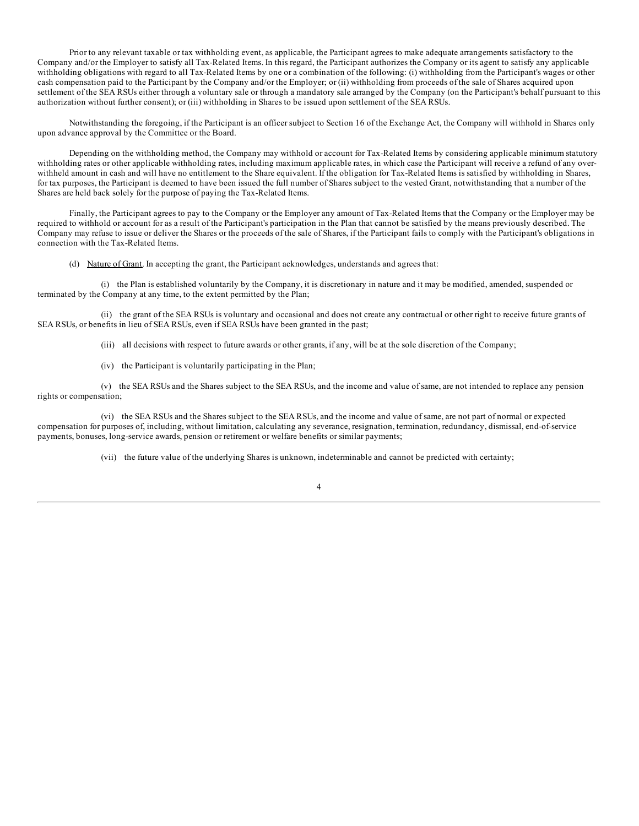Prior to any relevant taxable or tax withholding event, as applicable, the Participant agrees to make adequate arrangements satisfactory to the Company and/or the Employer to satisfy all Tax-Related Items. In this regard, the Participant authorizes the Company or its agent to satisfy any applicable withholding obligations with regard to all Tax-Related Items by one or a combination of the following: (i) withholding from the Participant's wages or other cash compensation paid to the Participant by the Company and/or the Employer; or (ii) withholding from proceeds of the sale of Shares acquired upon settlement of the SEA RSUs either through a voluntary sale or through a mandatory sale arranged by the Company (on the Participant's behalf pursuant to this authorization without further consent); or (iii) withholding in Shares to be issued upon settlement of the SEA RSUs.

Notwithstanding the foregoing, if the Participant is an officer subject to Section 16 of the Exchange Act, the Company will withhold in Shares only upon advance approval by the Committee or the Board.

Depending on the withholding method, the Company may withhold or account for Tax-Related Items by considering applicable minimum statutory withholding rates or other applicable withholding rates, including maximum applicable rates, in which case the Participant will receive a refund of any overwithheld amount in cash and will have no entitlement to the Share equivalent. If the obligation for Tax-Related Items is satisfied by withholding in Shares, for tax purposes, the Participant is deemed to have been issued the full number of Shares subject to the vested Grant, notwithstanding that a number of the Shares are held back solely for the purpose of paying the Tax-Related Items.

Finally, the Participant agrees to pay to the Company or the Employer any amount of Tax-Related Items that the Company or the Employer may be required to withhold or account for as a result of the Participant's participation in the Plan that cannot be satisfied by the means previously described. The Company may refuse to issue or deliver the Shares or the proceeds of the sale of Shares, if the Participant fails to comply with the Participant's obligations in connection with the Tax-Related Items.

(d) Nature of Grant. In accepting the grant, the Participant acknowledges, understands and agrees that:

(i) the Plan is established voluntarily by the Company, it is discretionary in nature and it may be modified, amended, suspended or terminated by the Company at any time, to the extent permitted by the Plan;

(ii) the grant of the SEA RSUs is voluntary and occasional and does not create any contractual or other right to receive future grants of SEA RSUs, or benefits in lieu of SEA RSUs, even if SEA RSUs have been granted in the past;

(iii) all decisions with respect to future awards or other grants, if any, will be at the sole discretion of the Company;

(iv) the Participant is voluntarily participating in the Plan;

(v) the SEA RSUs and the Shares subject to the SEA RSUs, and the income and value of same, are not intended to replace any pension rights or compensation;

(vi) the SEA RSUs and the Shares subject to the SEA RSUs, and the income and value of same, are not part of normal or expected compensation for purposes of, including, without limitation, calculating any severance, resignation, termination, redundancy, dismissal, end-of-service payments, bonuses, long-service awards, pension or retirement or welfare benefits or similar payments;

(vii) the future value of the underlying Shares is unknown, indeterminable and cannot be predicted with certainty;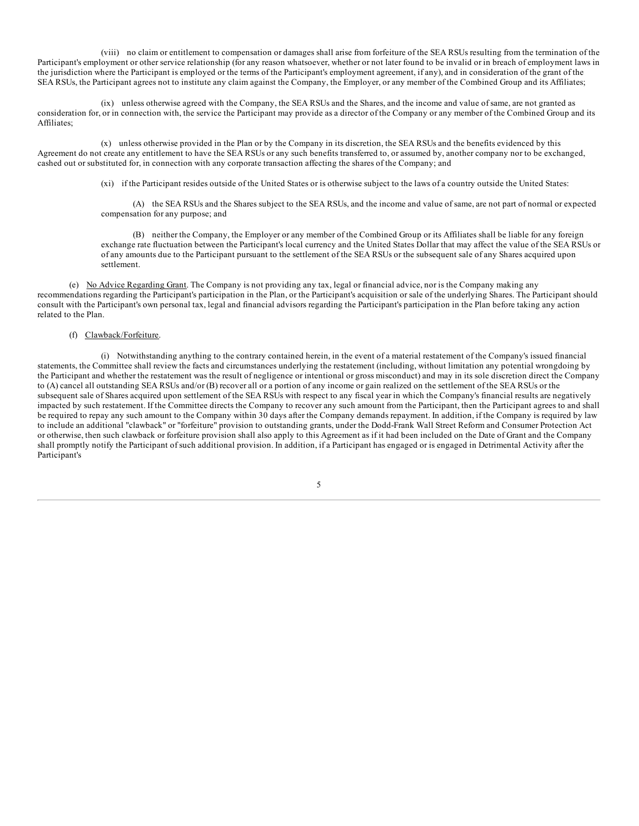(viii) no claim or entitlement to compensation or damages shall arise from forfeiture of the SEA RSUs resulting from the termination of the Participant's employment or other service relationship (for any reason whatsoever, whether or not later found to be invalid or in breach of employment laws in the jurisdiction where the Participant is employed or the terms of the Participant's employment agreement, if any), and in consideration of the grant of the SEA RSUs, the Participant agrees not to institute any claim against the Company, the Employer, or any member of the Combined Group and its Affiliates;

(ix) unless otherwise agreed with the Company, the SEA RSUs and the Shares, and the income and value of same, are not granted as consideration for, or in connection with, the service the Participant may provide as a director of the Company or any member of the Combined Group and its Affiliates;

(x) unless otherwise provided in the Plan or by the Company in its discretion, the SEA RSUs and the benefits evidenced by this Agreement do not create any entitlement to have the SEA RSUs or any such benefits transferred to, or assumed by, another company nor to be exchanged, cashed out or substituted for, in connection with any corporate transaction affecting the shares of the Company; and

(xi) if the Participant resides outside of the United States or is otherwise subject to the laws of a country outside the United States:

(A) the SEA RSUs and the Shares subject to the SEA RSUs, and the income and value of same, are not part of normal or expected compensation for any purpose; and

(B) neither the Company, the Employer or any member of the Combined Group or its Affiliates shall be liable for any foreign exchange rate fluctuation between the Participant's local currency and the United States Dollar that may affect the value of the SEA RSUs or of any amounts due to the Participant pursuant to the settlement of the SEA RSUs or the subsequent sale of any Shares acquired upon settlement.

(e) No Advice Regarding Grant. The Company is not providing any tax, legal or financial advice, nor is the Company making any recommendations regarding the Participant's participation in the Plan, or the Participant's acquisition or sale of the underlying Shares. The Participant should consult with the Participant's own personal tax, legal and financial advisors regarding the Participant's participation in the Plan before taking any action related to the Plan.

### (f) Clawback/Forfeiture.

(i) Notwithstanding anything to the contrary contained herein, in the event of a material restatement of the Company's issued financial statements, the Committee shall review the facts and circumstances underlying the restatement (including, without limitation any potential wrongdoing by the Participant and whether the restatement was the result of negligence or intentional or gross misconduct) and may in its sole discretion direct the Company to (A) cancel all outstanding SEA RSUs and/or (B) recover all or a portion of any income or gain realized on the settlement of the SEA RSUs or the subsequent sale of Shares acquired upon settlement of the SEA RSUs with respect to any fiscal year in which the Company's financial results are negatively impacted by such restatement. If the Committee directs the Company to recover any such amount from the Participant, then the Participant agrees to and shall be required to repay any such amount to the Company within 30 days after the Company demands repayment. In addition, if the Company is required by law to include an additional "clawback" or "forfeiture" provision to outstanding grants, under the Dodd-Frank Wall Street Reform and Consumer Protection Act or otherwise, then such clawback or forfeiture provision shall also apply to this Agreement as if it had been included on the Date of Grant and the Company shall promptly notify the Participant of such additional provision. In addition, if a Participant has engaged or is engaged in Detrimental Activity after the Participant's

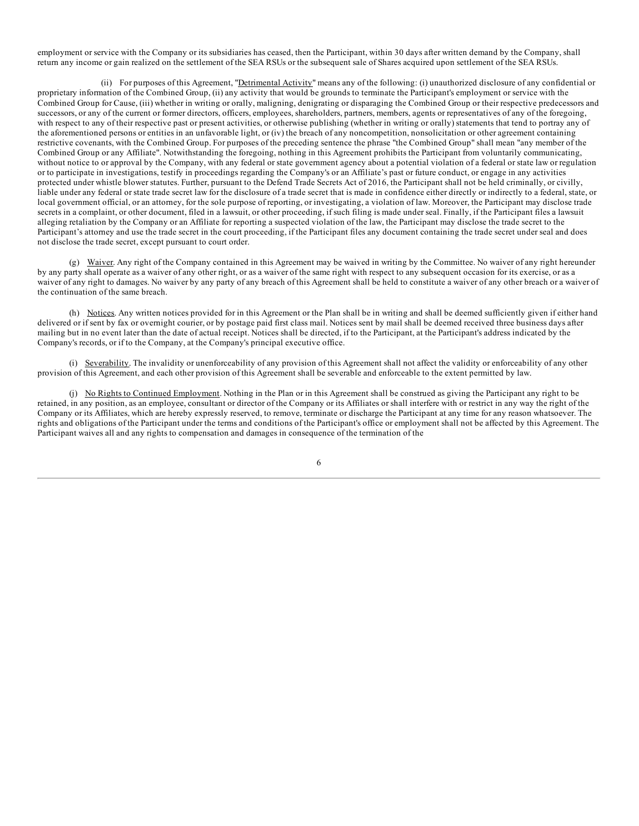employment or service with the Company or its subsidiaries has ceased, then the Participant, within 30 days after written demand by the Company, shall return any income or gain realized on the settlement of the SEA RSUs or the subsequent sale of Shares acquired upon settlement of the SEA RSUs.

(ii) For purposes of this Agreement, "Detrimental Activity" means any of the following: (i) unauthorized disclosure of any confidential or proprietary information of the Combined Group, (ii) any activity that would be grounds to terminate the Participant's employment or service with the Combined Group for Cause, (iii) whether in writing or orally, maligning, denigrating or disparaging the Combined Group or their respective predecessors and successors, or any of the current or former directors, officers, employees, shareholders, partners, members, agents or representatives of any of the foregoing, with respect to any of their respective past or present activities, or otherwise publishing (whether in writing or orally) statements that tend to portray any of the aforementioned persons or entities in an unfavorable light, or (iv) the breach of any noncompetition, nonsolicitation or other agreement containing restrictive covenants, with the Combined Group. For purposes of the preceding sentence the phrase "the Combined Group" shall mean "any member of the Combined Group or any Affiliate". Notwithstanding the foregoing, nothing in this Agreement prohibits the Participant from voluntarily communicating, without notice to or approval by the Company, with any federal or state government agency about a potential violation of a federal or state law or regulation or to participate in investigations, testify in proceedings regarding the Company's or an Affiliate's past or future conduct, or engage in any activities protected under whistle blower statutes. Further, pursuant to the Defend Trade Secrets Act of 2016, the Participant shall not be held criminally, or civilly, liable under any federal or state trade secret law for the disclosure of a trade secret that is made in confidence either directly or indirectly to a federal, state, or local government official, or an attorney, for the sole purpose of reporting, or investigating, a violation of law. Moreover, the Participant may disclose trade secrets in a complaint, or other document, filed in a lawsuit, or other proceeding, if such filing is made under seal. Finally, if the Participant files a lawsuit alleging retaliation by the Company or an Affiliate for reporting a suspected violation of the law, the Participant may disclose the trade secret to the Participant's attorney and use the trade secret in the court proceeding, if the Participant files any document containing the trade secret under seal and does not disclose the trade secret, except pursuant to court order.

(g) Waiver. Any right of the Company contained in this Agreement may be waived in writing by the Committee. No waiver of any right hereunder by any party shall operate as a waiver of any other right, or as a waiver of the same right with respect to any subsequent occasion for its exercise, or as a waiver of any right to damages. No waiver by any party of any breach of this Agreement shall be held to constitute a waiver of any other breach or a waiver of the continuation of the same breach.

(h) Notices. Any written notices provided for in this Agreement or the Plan shall be in writing and shall be deemed sufficiently given if either hand delivered or if sent by fax or overnight courier, or by postage paid first class mail. Notices sent by mail shall be deemed received three business days after mailing but in no event later than the date of actual receipt. Notices shall be directed, if to the Participant, at the Participant's address indicated by the Company's records, or if to the Company, at the Company's principal executive office.

(i) Severability. The invalidity or unenforceability of any provision of this Agreement shall not affect the validity or enforceability of any other provision of this Agreement, and each other provision of this Agreement shall be severable and enforceable to the extent permitted by law.

(j) No Rights to Continued Employment. Nothing in the Plan or in this Agreement shall be construed as giving the Participant any right to be retained, in any position, as an employee, consultant or director of the Company or its Affiliates or shall interfere with or restrict in any way the right of the Company or its Affiliates, which are hereby expressly reserved, to remove, terminate or discharge the Participant at any time for any reason whatsoever. The rights and obligations of the Participant under the terms and conditions of the Participant's office or employment shall not be affected by this Agreement. The Participant waives all and any rights to compensation and damages in consequence of the termination of the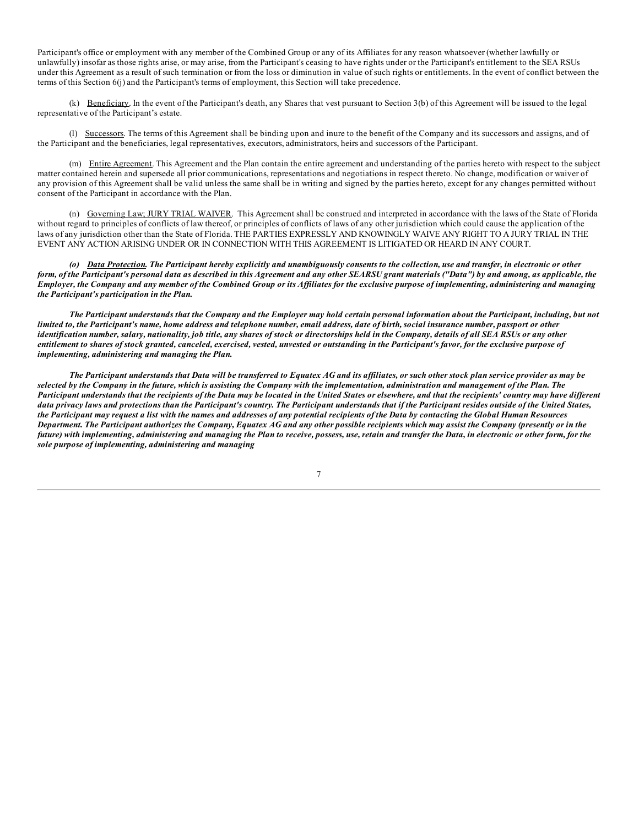Participant's office or employment with any member of the Combined Group or any of its Affiliates for any reason whatsoever (whether lawfully or unlawfully) insofar as those rights arise, or may arise, from the Participant's ceasing to have rights under or the Participant's entitlement to the SEA RSUs under this Agreement as a result of such termination or from the loss or diminution in value of such rights or entitlements. In the event of conflict between the terms of this Section 6(j) and the Participant's terms of employment, this Section will take precedence.

(k) Beneficiary. In the event of the Participant's death, any Shares that vest pursuant to Section 3(b) of this Agreement will be issued to the legal representative of the Participant's estate.

(l) Successors. The terms of this Agreement shall be binding upon and inure to the benefit of the Company and its successors and assigns, and of the Participant and the beneficiaries, legal representatives, executors, administrators, heirs and successors of the Participant.

(m) Entire Agreement. This Agreement and the Plan contain the entire agreement and understanding of the parties hereto with respect to the subject matter contained herein and supersede all prior communications, representations and negotiations in respect thereto. No change, modification or waiver of any provision of this Agreement shall be valid unless the same shall be in writing and signed by the parties hereto, except for any changes permitted without consent of the Participant in accordance with the Plan.

(n) Governing Law; JURY TRIAL WAIVER. This Agreement shall be construed and interpreted in accordance with the laws of the State of Florida without regard to principles of conflicts of law thereof, or principles of conflicts of laws of any other jurisdiction which could cause the application of the laws of any jurisdiction other than the State of Florida. THE PARTIES EXPRESSLY AND KNOWINGLY WAIVE ANY RIGHT TO A JURY TRIAL IN THE EVENT ANY ACTION ARISING UNDER OR IN CONNECTION WITH THIS AGREEMENT IS LITIGATED OR HEARD IN ANY COURT.

(o) Data Protection. The Participant hereby explicitly and unambiguously consents to the collection, use and transfer, in electronic or other form, of the Participant's personal data as described in this Agreement and any other SEARSU grant materials ("Data") by and among, as applicable, the Employer, the Company and any member of the Combined Group or its Affiliates for the exclusive purpose of implementing, administering and managing *the Participant's participation in the Plan.*

The Participant understands that the Company and the Employer may hold certain personal information about the Participant, including, but not limited to, the Participant's name, home address and telephone number, email address, date of birth, social insurance number, passport or other identification number, salary, nationality, job title, any shares of stock or directorships held in the Company, details of all SEA RSUs or any other entitlement to shares of stock granted, canceled, exercised, vested, unvested or outstanding in the Participant's favor, for the exclusive purpose of *implementing, administering and managing the Plan.*

The Participant understands that Data will be transferred to Equatex AG and its affiliates, or such other stock plan service provider as may be selected by the Company in the future, which is assisting the Company with the implementation, administration and management of the Plan. The Participant understands that the recipients of the Data may be located in the United States or elsewhere, and that the recipients' country may have different data privacy laws and protections than the Participant's country. The Participant understands that if the Participant resides outside of the United States, the Participant may request a list with the names and addresses of any potential recipients of the Data by contacting the Global Human Resources Department. The Participant authorizes the Company, Equatex AG and any other possible recipients which may assist the Company (presently or in the future) with implementing, administering and managing the Plan to receive, possess, use, retain and transfer the Data, in electronic or other form, for the *sole purpose of implementing, administering and managing*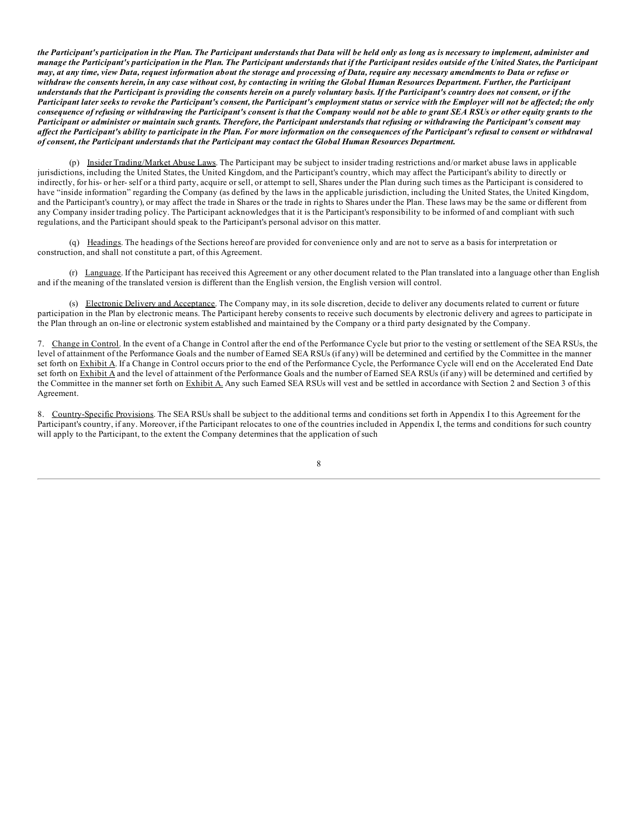the Participant's participation in the Plan. The Participant understands that Data will be held only as long as is necessary to implement, administer and manage the Participant's participation in the Plan. The Participant understands that if the Participant resides outside of the United States, the Participant may, at any time, view Data, request information about the storage and processing of Data, require any necessary amendments to Data or refuse or withdraw the consents herein, in any case without cost, by contacting in writing the Global Human Resources Department. Further, the Participant understands that the Participant is providing the consents herein on a purely voluntary basis. If the Participant's country does not consent, or if the Participant later seeks to revoke the Participant's consent, the Participant's employment status or service with the Employer will not be affected; the only consequence of refusing or withdrawing the Participant's consent is that the Company would not be able to grant SEA RSUs or other equity grants to the Participant or administer or maintain such grants. Therefore, the Participant understands that refusing or withdrawing the Participant's consent may affect the Participant's ability to participate in the Plan. For more information on the consequences of the Participant's refusal to consent or withdrawal *of consent, the Participant understands that the Participant may contact the Global Human Resources Department.*

(p) Insider Trading/Market Abuse Laws. The Participant may be subject to insider trading restrictions and/or market abuse laws in applicable jurisdictions, including the United States, the United Kingdom, and the Participant's country, which may affect the Participant's ability to directly or indirectly, for his- or her- self or a third party, acquire or sell, or attempt to sell, Shares under the Plan during such times as the Participant is considered to have "inside information" regarding the Company (as defined by the laws in the applicable jurisdiction, including the United States, the United Kingdom, and the Participant's country), or may affect the trade in Shares or the trade in rights to Shares under the Plan. These laws may be the same or different from any Company insider trading policy. The Participant acknowledges that it is the Participant's responsibility to be informed of and compliant with such regulations, and the Participant should speak to the Participant's personal advisor on this matter.

(q) Headings. The headings of the Sections hereof are provided for convenience only and are not to serve as a basis for interpretation or construction, and shall not constitute a part, of this Agreement.

(r) Language. If the Participant has received this Agreement or any other document related to the Plan translated into a language other than English and if the meaning of the translated version is different than the English version, the English version will control.

(s) Electronic Delivery and Acceptance. The Company may, in its sole discretion, decide to deliver any documents related to current or future participation in the Plan by electronic means. The Participant hereby consents to receive such documents by electronic delivery and agrees to participate in the Plan through an on-line or electronic system established and maintained by the Company or a third party designated by the Company.

7. Change in Control. In the event of a Change in Control after the end of the Performance Cycle but prior to the vesting or settlement of the SEA RSUs, the level of attainment of the Performance Goals and the number of Earned SEA RSUs (if any) will be determined and certified by the Committee in the manner set forth on Exhibit A. If a Change in Control occurs prior to the end of the Performance Cycle, the Performance Cycle will end on the Accelerated End Date set forth on Exhibit A and the level of attainment of the Performance Goals and the number of Earned SEA RSUs (if any) will be determined and certified by the Committee in the manner set forth on Exhibit A. Any such Earned SEA RSUs will vest and be settled in accordance with Section 2 and Section 3 of this Agreement.

8. Country-Specific Provisions. The SEA RSUs shall be subject to the additional terms and conditions set forth in Appendix I to this Agreement for the Participant's country, if any. Moreover, if the Participant relocates to one of the countries included in Appendix I, the terms and conditions for such country will apply to the Participant, to the extent the Company determines that the application of such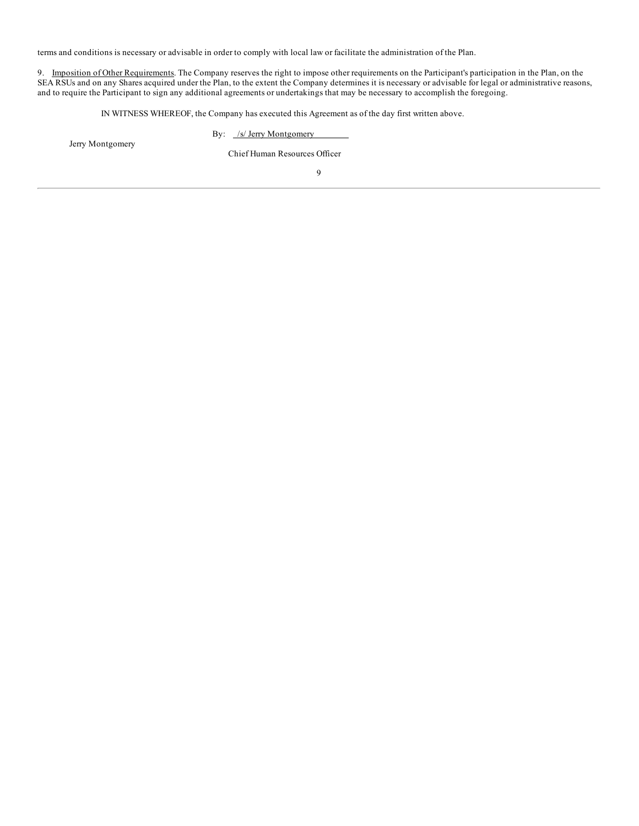terms and conditions is necessary or advisable in order to comply with local law or facilitate the administration of the Plan.

9. Imposition of Other Requirements. The Company reserves the right to impose other requirements on the Participant's participation in the Plan, on the SEA RSUs and on any Shares acquired under the Plan, to the extent the Company determines it is necessary or advisable for legal or administrative reasons, and to require the Participant to sign any additional agreements or undertakings that may be necessary to accomplish the foregoing.

IN WITNESS WHEREOF, the Company has executed this Agreement as of the day first written above.

By: /s/ Jerry Montgomery

Jerry Montgomery

Chief Human Resources Officer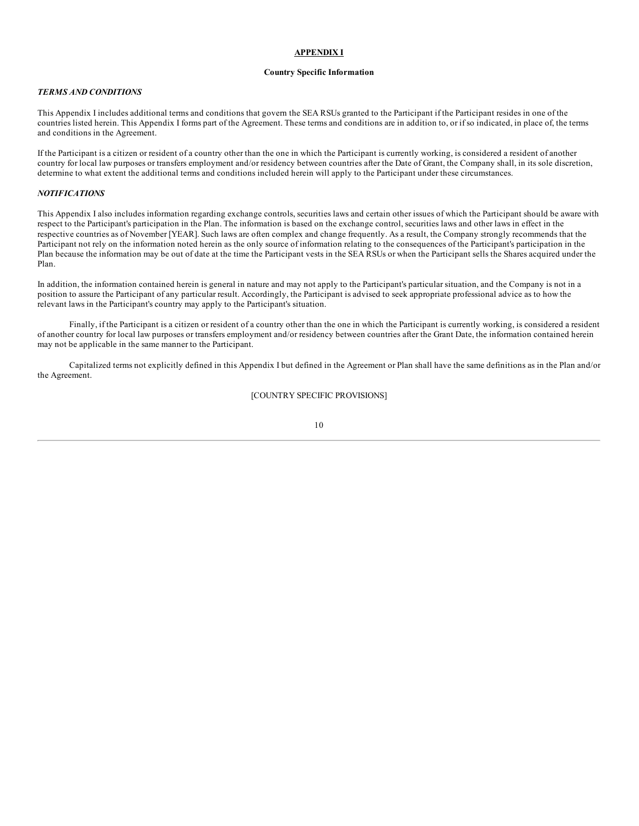# **APPENDIX I**

#### **Country Specific Information**

# *TERMS AND CONDITIONS*

This Appendix I includes additional terms and conditions that govern the SEA RSUs granted to the Participant if the Participant resides in one of the countries listed herein. This Appendix I forms part of the Agreement. These terms and conditions are in addition to, or if so indicated, in place of, the terms and conditions in the Agreement.

If the Participant is a citizen or resident of a country other than the one in which the Participant is currently working, is considered a resident of another country for local law purposes or transfers employment and/or residency between countries after the Date of Grant, the Company shall, in its sole discretion, determine to what extent the additional terms and conditions included herein will apply to the Participant under these circumstances.

### *NOTIFICATIONS*

This Appendix I also includes information regarding exchange controls, securities laws and certain other issues of which the Participant should be aware with respect to the Participant's participation in the Plan. The information is based on the exchange control, securities laws and other laws in effect in the respective countries as of November [YEAR]. Such laws are often complex and change frequently. As a result, the Company strongly recommends that the Participant not rely on the information noted herein as the only source of information relating to the consequences of the Participant's participation in the Plan because the information may be out of date at the time the Participant vests in the SEA RSUs or when the Participant sells the Shares acquired under the Plan.

In addition, the information contained herein is general in nature and may not apply to the Participant's particular situation, and the Company is not in a position to assure the Participant of any particular result. Accordingly, the Participant is advised to seek appropriate professional advice as to how the relevant laws in the Participant's country may apply to the Participant's situation.

Finally, if the Participant is a citizen or resident of a country other than the one in which the Participant is currently working, is considered a resident of another country for local law purposes or transfers employment and/or residency between countries after the Grant Date, the information contained herein may not be applicable in the same manner to the Participant.

Capitalized terms not explicitly defined in this Appendix I but defined in the Agreement or Plan shall have the same definitions as in the Plan and/or the Agreement.

# [COUNTRY SPECIFIC PROVISIONS]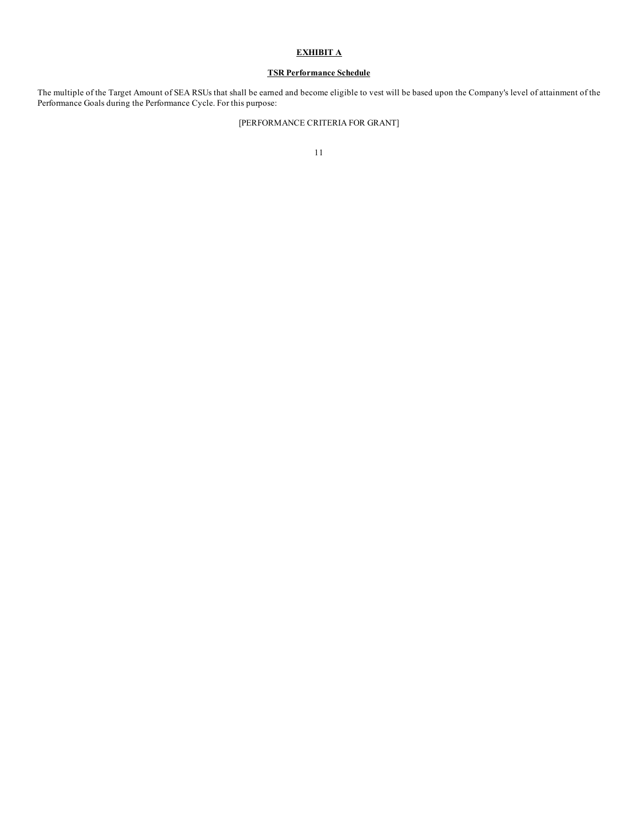# **EXHIBIT A**

# **TSR Performance Schedule**

The multiple of the Target Amount of SEA RSUs that shall be earned and become eligible to vest will be based upon the Company's level of attainment of the Performance Goals during the Performance Cycle. For this purpose:

# [PERFORMANCE CRITERIA FOR GRANT]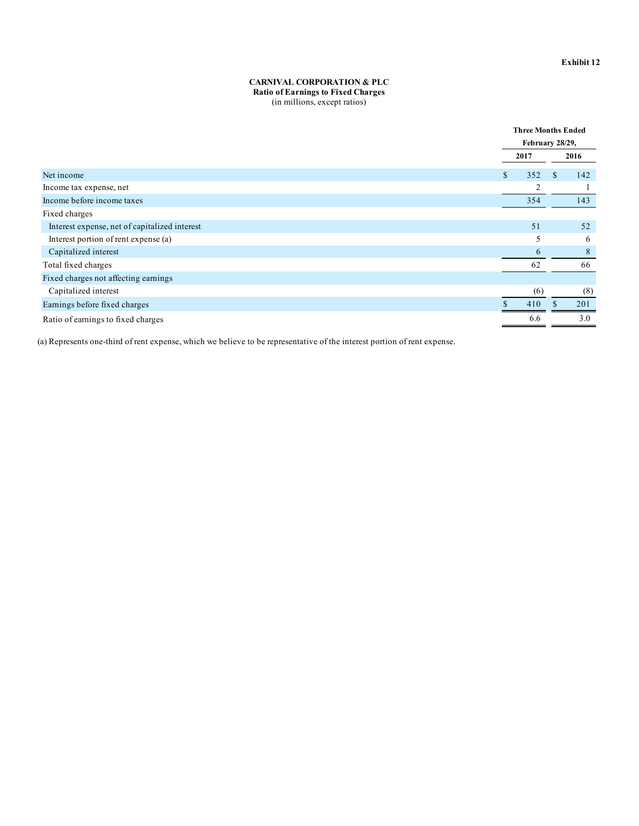# **Exhibit 12**

# **CARNIVAL CORPORATION & PLC Ratio of Earnings to Fixed Charges** (in millions, except ratios)

|                                               | <b>Three Months Ended</b> |     |                 |     |
|-----------------------------------------------|---------------------------|-----|-----------------|-----|
|                                               | 2017                      |     | February 28/29, |     |
|                                               |                           |     | 2016            |     |
| Net income                                    | $\mathbb{S}$              | 352 | \$.             | 142 |
| Income tax expense, net                       |                           | 2   |                 |     |
| Income before income taxes                    |                           | 354 |                 | 143 |
| Fixed charges                                 |                           |     |                 |     |
| Interest expense, net of capitalized interest |                           | 51  |                 | 52  |
| Interest portion of rent expense (a)          |                           | 5   |                 | 6   |
| Capitalized interest                          |                           | 6   |                 | 8   |
| Total fixed charges                           |                           | 62  |                 | 66  |
| Fixed charges not affecting earnings          |                           |     |                 |     |
| Capitalized interest                          |                           | (6) |                 | (8) |
| Earnings before fixed charges                 |                           | 410 | <sup>S</sup>    | 201 |
| Ratio of earnings to fixed charges            |                           | 6.6 |                 | 3.0 |
|                                               |                           |     |                 |     |

(a) Represents one-third of rent expense, which we believe to be representative of the interest portion of rent expense.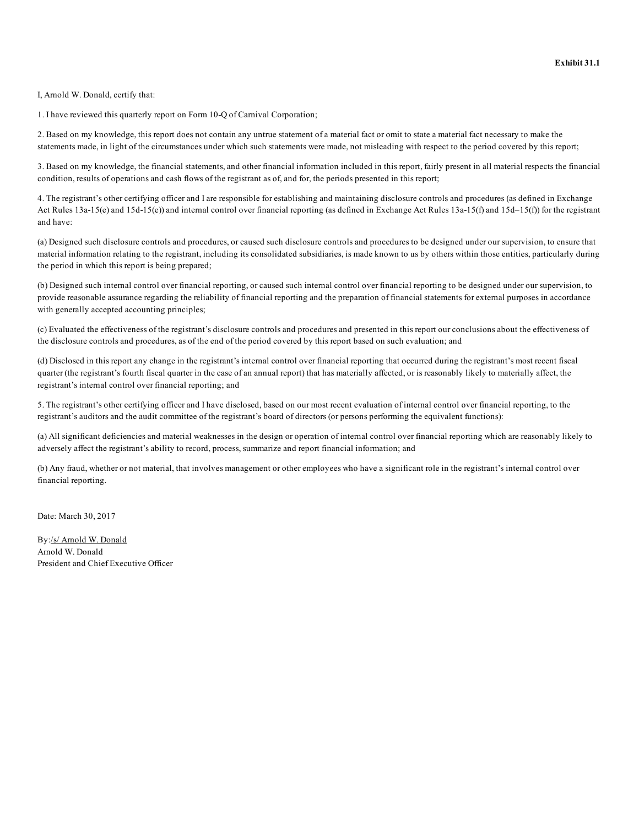I, Arnold W. Donald, certify that:

1. I have reviewed this quarterly report on Form 10-Q of Carnival Corporation;

2. Based on my knowledge, this report does not contain any untrue statement of a material fact or omit to state a material fact necessary to make the statements made, in light of the circumstances under which such statements were made, not misleading with respect to the period covered by this report;

3. Based on my knowledge, the financial statements, and other financial information included in this report, fairly present in all material respects the financial condition, results of operations and cash flows of the registrant as of, and for, the periods presented in this report;

4. The registrant's other certifying officer and I are responsible for establishing and maintaining disclosure controls and procedures (as defined in Exchange Act Rules 13a-15(e) and 15d-15(e)) and internal control over financial reporting (as defined in Exchange Act Rules 13a-15(f) and 15d–15(f)) for the registrant and have:

(a) Designed such disclosure controls and procedures, or caused such disclosure controls and procedures to be designed under our supervision, to ensure that material information relating to the registrant, including its consolidated subsidiaries, is made known to us by others within those entities, particularly during the period in which this report is being prepared;

(b) Designed such internal control over financial reporting, or caused such internal control over financial reporting to be designed under our supervision, to provide reasonable assurance regarding the reliability of financial reporting and the preparation of financial statements for external purposes in accordance with generally accepted accounting principles;

(c) Evaluated the effectiveness of the registrant's disclosure controls and procedures and presented in this report our conclusions about the effectiveness of the disclosure controls and procedures, as of the end of the period covered by this report based on such evaluation; and

(d) Disclosed in this report any change in the registrant's internal control over financial reporting that occurred during the registrant's most recent fiscal quarter (the registrant's fourth fiscal quarter in the case of an annual report) that has materially affected, or is reasonably likely to materially affect, the registrant's internal control over financial reporting; and

5. The registrant's other certifying officer and I have disclosed, based on our most recent evaluation of internal control over financial reporting, to the registrant's auditors and the audit committee of the registrant's board of directors (or persons performing the equivalent functions):

(a) All significant deficiencies and material weaknesses in the design or operation of internal control over financial reporting which are reasonably likely to adversely affect the registrant's ability to record, process, summarize and report financial information; and

(b) Any fraud, whether or not material, that involves management or other employees who have a significant role in the registrant's internal control over financial reporting.

Date: March 30, 2017

By:/s/ Arnold W. Donald Arnold W. Donald President and Chief Executive Officer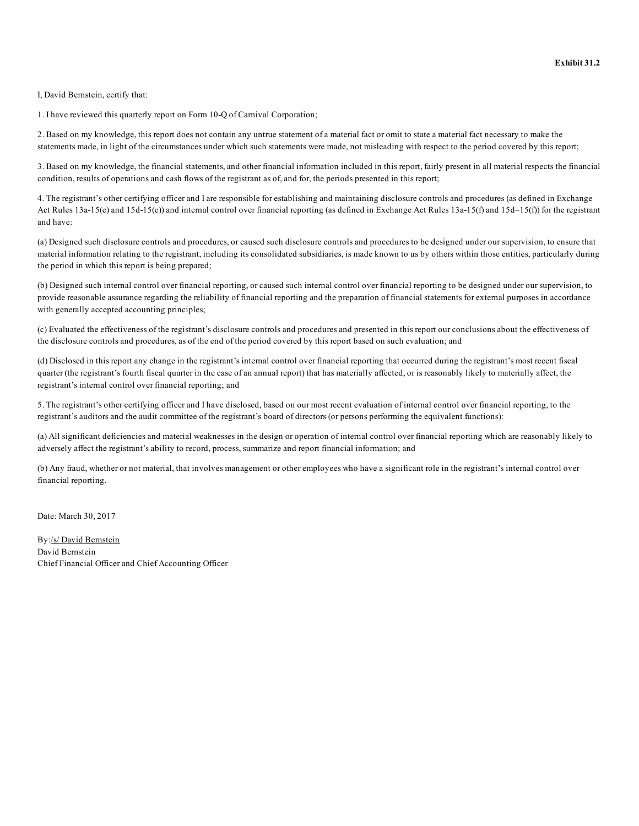I, David Bernstein, certify that:

1. I have reviewed this quarterly report on Form 10-Q of Carnival Corporation;

2. Based on my knowledge, this report does not contain any untrue statement of a material fact or omit to state a material fact necessary to make the statements made, in light of the circumstances under which such statements were made, not misleading with respect to the period covered by this report;

3. Based on my knowledge, the financial statements, and other financial information included in this report, fairly present in all material respects the financial condition, results of operations and cash flows of the registrant as of, and for, the periods presented in this report;

4. The registrant's other certifying officer and I are responsible for establishing and maintaining disclosure controls and procedures (as defined in Exchange Act Rules 13a-15(e) and 15d-15(e)) and internal control over financial reporting (as defined in Exchange Act Rules 13a-15(f) and 15d–15(f)) for the registrant and have:

(a) Designed such disclosure controls and procedures, or caused such disclosure controls and procedures to be designed under our supervision, to ensure that material information relating to the registrant, including its consolidated subsidiaries, is made known to us by others within those entities, particularly during the period in which this report is being prepared;

(b) Designed such internal control over financial reporting, or caused such internal control over financial reporting to be designed under our supervision, to provide reasonable assurance regarding the reliability of financial reporting and the preparation of financial statements for external purposes in accordance with generally accepted accounting principles;

(c) Evaluated the effectiveness of the registrant's disclosure controls and procedures and presented in this report our conclusions about the effectiveness of the disclosure controls and procedures, as of the end of the period covered by this report based on such evaluation; and

(d) Disclosed in this report any change in the registrant's internal control over financial reporting that occurred during the registrant's most recent fiscal quarter (the registrant's fourth fiscal quarter in the case of an annual report) that has materially affected, or is reasonably likely to materially affect, the registrant's internal control over financial reporting; and

5. The registrant's other certifying officer and I have disclosed, based on our most recent evaluation of internal control over financial reporting, to the registrant's auditors and the audit committee of the registrant's board of directors (or persons performing the equivalent functions):

(a) All significant deficiencies and material weaknesses in the design or operation of internal control over financial reporting which are reasonably likely to adversely affect the registrant's ability to record, process, summarize and report financial information; and

(b) Any fraud, whether or not material, that involves management or other employees who have a significant role in the registrant's internal control over financial reporting.

Date: March 30, 2017

By:/s/ David Bernstein David Bernstein Chief Financial Officer and Chief Accounting Officer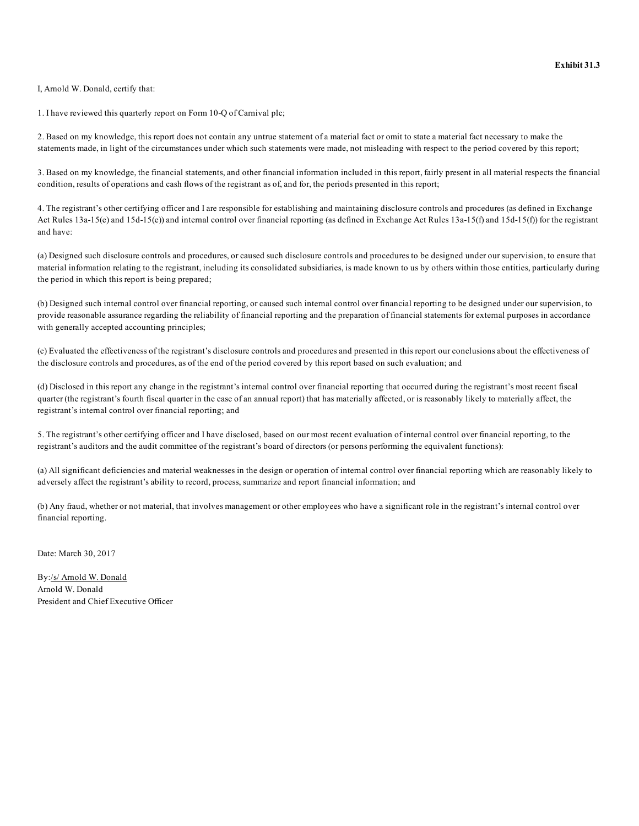I, Arnold W. Donald, certify that:

1. I have reviewed this quarterly report on Form 10-Q of Carnival plc;

2. Based on my knowledge, this report does not contain any untrue statement of a material fact or omit to state a material fact necessary to make the statements made, in light of the circumstances under which such statements were made, not misleading with respect to the period covered by this report;

3. Based on my knowledge, the financial statements, and other financial information included in this report, fairly present in all material respects the financial condition, results of operations and cash flows of the registrant as of, and for, the periods presented in this report;

4. The registrant's other certifying officer and I are responsible for establishing and maintaining disclosure controls and procedures (as defined in Exchange Act Rules 13a-15(e) and 15d-15(e)) and internal control over financial reporting (as defined in Exchange Act Rules 13a-15(f) and 15d-15(f)) for the registrant and have:

(a) Designed such disclosure controls and procedures, or caused such disclosure controls and procedures to be designed under our supervision, to ensure that material information relating to the registrant, including its consolidated subsidiaries, is made known to us by others within those entities, particularly during the period in which this report is being prepared;

(b) Designed such internal control over financial reporting, or caused such internal control over financial reporting to be designed under our supervision, to provide reasonable assurance regarding the reliability of financial reporting and the preparation of financial statements for external purposes in accordance with generally accepted accounting principles;

(c) Evaluated the effectiveness of the registrant's disclosure controls and procedures and presented in this report our conclusions about the effectiveness of the disclosure controls and procedures, as of the end of the period covered by this report based on such evaluation; and

(d) Disclosed in this report any change in the registrant's internal control over financial reporting that occurred during the registrant's most recent fiscal quarter (the registrant's fourth fiscal quarter in the case of an annual report) that has materially affected, or is reasonably likely to materially affect, the registrant's internal control over financial reporting; and

5. The registrant's other certifying officer and I have disclosed, based on our most recent evaluation of internal control over financial reporting, to the registrant's auditors and the audit committee of the registrant's board of directors (or persons performing the equivalent functions):

(a) All significant deficiencies and material weaknesses in the design or operation of internal control over financial reporting which are reasonably likely to adversely affect the registrant's ability to record, process, summarize and report financial information; and

(b) Any fraud, whether or not material, that involves management or other employees who have a significant role in the registrant's internal control over financial reporting.

Date: March 30, 2017

By:/s/ Arnold W. Donald Arnold W. Donald President and Chief Executive Officer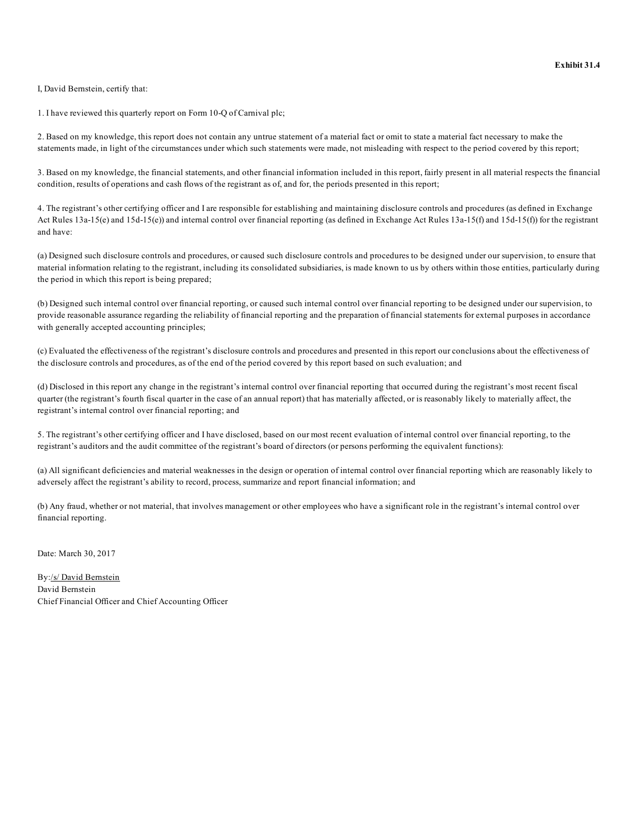I, David Bernstein, certify that:

1. I have reviewed this quarterly report on Form 10-Q of Carnival plc;

2. Based on my knowledge, this report does not contain any untrue statement of a material fact or omit to state a material fact necessary to make the statements made, in light of the circumstances under which such statements were made, not misleading with respect to the period covered by this report;

3. Based on my knowledge, the financial statements, and other financial information included in this report, fairly present in all material respects the financial condition, results of operations and cash flows of the registrant as of, and for, the periods presented in this report;

4. The registrant's other certifying officer and I are responsible for establishing and maintaining disclosure controls and procedures (as defined in Exchange Act Rules 13a-15(e) and 15d-15(e)) and internal control over financial reporting (as defined in Exchange Act Rules 13a-15(f) and 15d-15(f)) for the registrant and have:

(a) Designed such disclosure controls and procedures, or caused such disclosure controls and procedures to be designed under our supervision, to ensure that material information relating to the registrant, including its consolidated subsidiaries, is made known to us by others within those entities, particularly during the period in which this report is being prepared;

(b) Designed such internal control over financial reporting, or caused such internal control over financial reporting to be designed under our supervision, to provide reasonable assurance regarding the reliability of financial reporting and the preparation of financial statements for external purposes in accordance with generally accepted accounting principles;

(c) Evaluated the effectiveness of the registrant's disclosure controls and procedures and presented in this report our conclusions about the effectiveness of the disclosure controls and procedures, as of the end of the period covered by this report based on such evaluation; and

(d) Disclosed in this report any change in the registrant's internal control over financial reporting that occurred during the registrant's most recent fiscal quarter (the registrant's fourth fiscal quarter in the case of an annual report) that has materially affected, or is reasonably likely to materially affect, the registrant's internal control over financial reporting; and

5. The registrant's other certifying officer and I have disclosed, based on our most recent evaluation of internal control over financial reporting, to the registrant's auditors and the audit committee of the registrant's board of directors (or persons performing the equivalent functions):

(a) All significant deficiencies and material weaknesses in the design or operation of internal control over financial reporting which are reasonably likely to adversely affect the registrant's ability to record, process, summarize and report financial information; and

(b) Any fraud, whether or not material, that involves management or other employees who have a significant role in the registrant's internal control over financial reporting.

Date: March 30, 2017

By:/s/ David Bernstein David Bernstein Chief Financial Officer and Chief Accounting Officer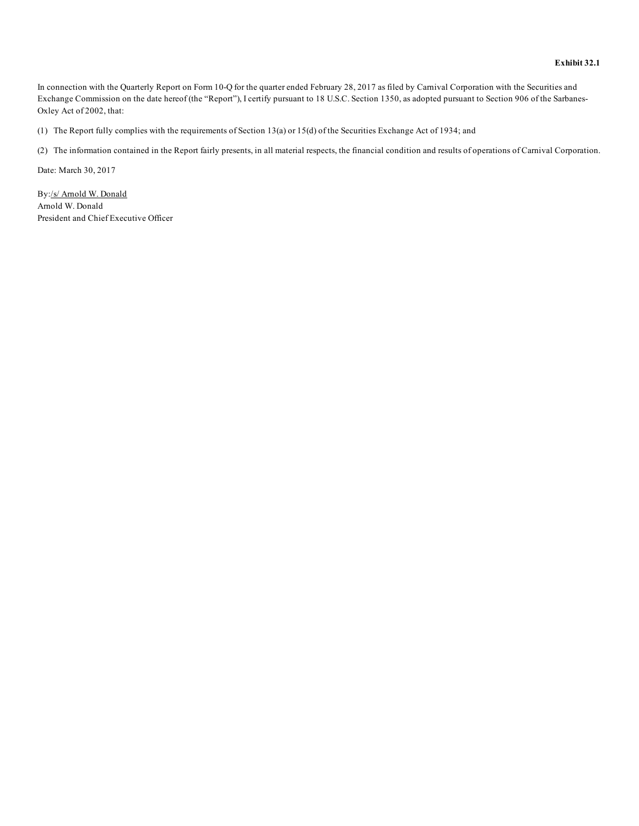In connection with the Quarterly Report on Form 10-Q for the quarter ended February 28, 2017 as filed by Carnival Corporation with the Securities and Exchange Commission on the date hereof (the "Report"), I certify pursuant to 18 U.S.C. Section 1350, as adopted pursuant to Section 906 of the Sarbanes-Oxley Act of 2002, that:

(1) The Report fully complies with the requirements of Section 13(a) or 15(d) of the Securities Exchange Act of 1934; and

(2) The information contained in the Report fairly presents, in all material respects, the financial condition and results of operations of Carnival Corporation.

Date: March 30, 2017

By:/s/ Arnold W. Donald Arnold W. Donald President and Chief Executive Officer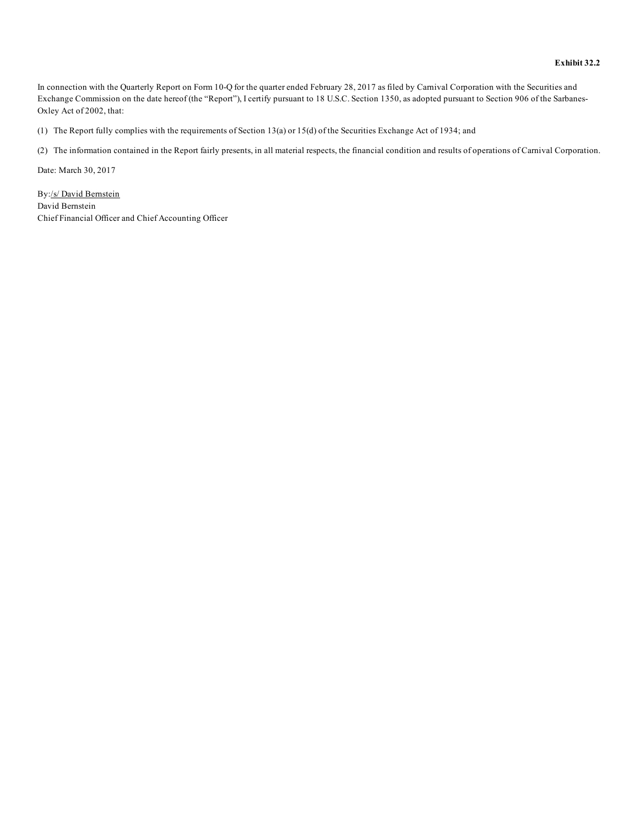In connection with the Quarterly Report on Form 10-Q for the quarter ended February 28, 2017 as filed by Carnival Corporation with the Securities and Exchange Commission on the date hereof (the "Report"), I certify pursuant to 18 U.S.C. Section 1350, as adopted pursuant to Section 906 of the Sarbanes-Oxley Act of 2002, that:

(1) The Report fully complies with the requirements of Section 13(a) or 15(d) of the Securities Exchange Act of 1934; and

(2) The information contained in the Report fairly presents, in all material respects, the financial condition and results of operations of Carnival Corporation.

Date: March 30, 2017

By:/s/ David Bernstein David Bernstein Chief Financial Officer and Chief Accounting Officer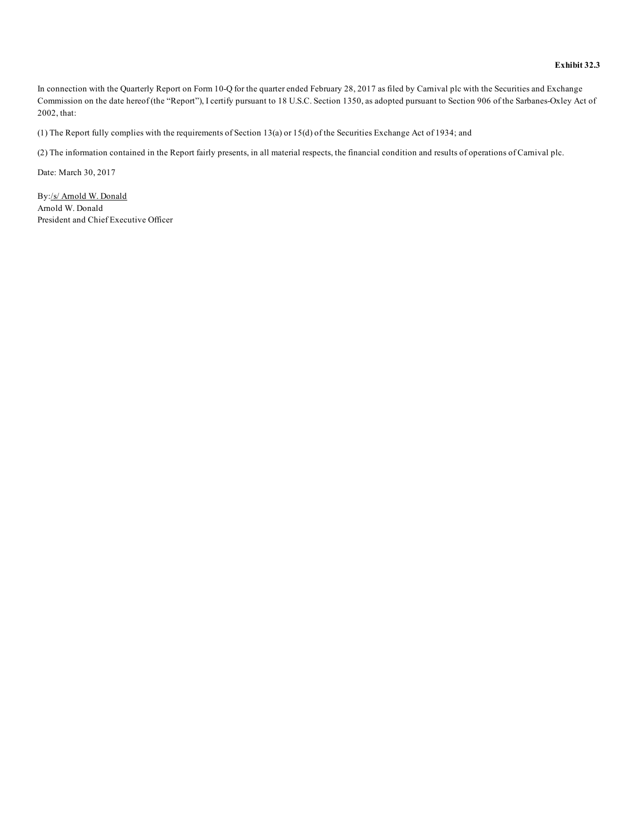In connection with the Quarterly Report on Form 10-Q for the quarter ended February 28, 2017 as filed by Carnival plc with the Securities and Exchange Commission on the date hereof (the "Report"), I certify pursuant to 18 U.S.C. Section 1350, as adopted pursuant to Section 906 of the Sarbanes-Oxley Act of 2002, that:

(1) The Report fully complies with the requirements of Section 13(a) or 15(d) of the Securities Exchange Act of 1934; and

(2) The information contained in the Report fairly presents, in all material respects, the financial condition and results of operations of Carnival plc.

Date: March 30, 2017

By:/s/ Arnold W. Donald Arnold W. Donald President and Chief Executive Officer